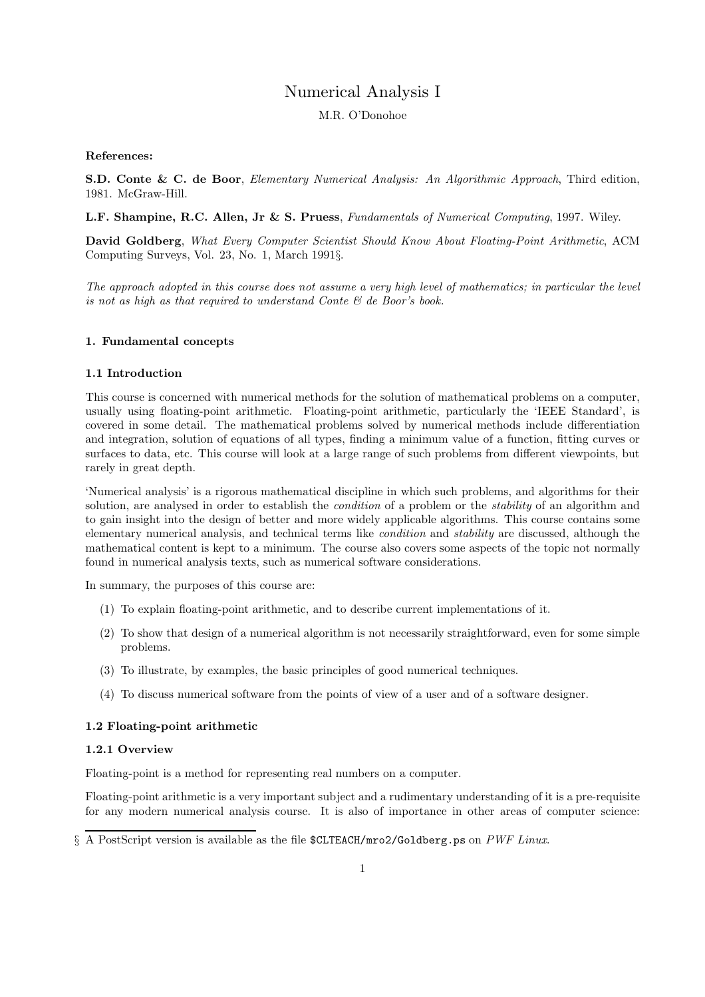# Numerical Analysis I

M.R. O'Donohoe

## References:

S.D. Conte & C. de Boor, Elementary Numerical Analysis: An Algorithmic Approach, Third edition, 1981. McGraw-Hill.

L.F. Shampine, R.C. Allen, Jr & S. Pruess, Fundamentals of Numerical Computing, 1997. Wiley.

David Goldberg, What Every Computer Scientist Should Know About Floating-Point Arithmetic, ACM Computing Surveys, Vol. 23, No. 1, March 1991§.

The approach adopted in this course does not assume a very high level of mathematics; in particular the level is not as high as that required to understand Conte  $\mathcal{C}$  de Boor's book.

## 1. Fundamental concepts

## 1.1 Introduction

This course is concerned with numerical methods for the solution of mathematical problems on a computer, usually using floating-point arithmetic. Floating-point arithmetic, particularly the 'IEEE Standard', is covered in some detail. The mathematical problems solved by numerical methods include differentiation and integration, solution of equations of all types, finding a minimum value of a function, fitting curves or surfaces to data, etc. This course will look at a large range of such problems from different viewpoints, but rarely in great depth.

'Numerical analysis' is a rigorous mathematical discipline in which such problems, and algorithms for their solution, are analysed in order to establish the *condition* of a problem or the *stability* of an algorithm and to gain insight into the design of better and more widely applicable algorithms. This course contains some elementary numerical analysis, and technical terms like condition and stability are discussed, although the mathematical content is kept to a minimum. The course also covers some aspects of the topic not normally found in numerical analysis texts, such as numerical software considerations.

In summary, the purposes of this course are:

- (1) To explain floating-point arithmetic, and to describe current implementations of it.
- (2) To show that design of a numerical algorithm is not necessarily straightforward, even for some simple problems.
- (3) To illustrate, by examples, the basic principles of good numerical techniques.
- (4) To discuss numerical software from the points of view of a user and of a software designer.

## 1.2 Floating-point arithmetic

## 1.2.1 Overview

Floating-point is a method for representing real numbers on a computer.

Floating-point arithmetic is a very important subject and a rudimentary understanding of it is a pre-requisite for any modern numerical analysis course. It is also of importance in other areas of computer science:

§ A PostScript version is available as the file \$CLTEACH/mro2/Goldberg.ps on PWF Linux.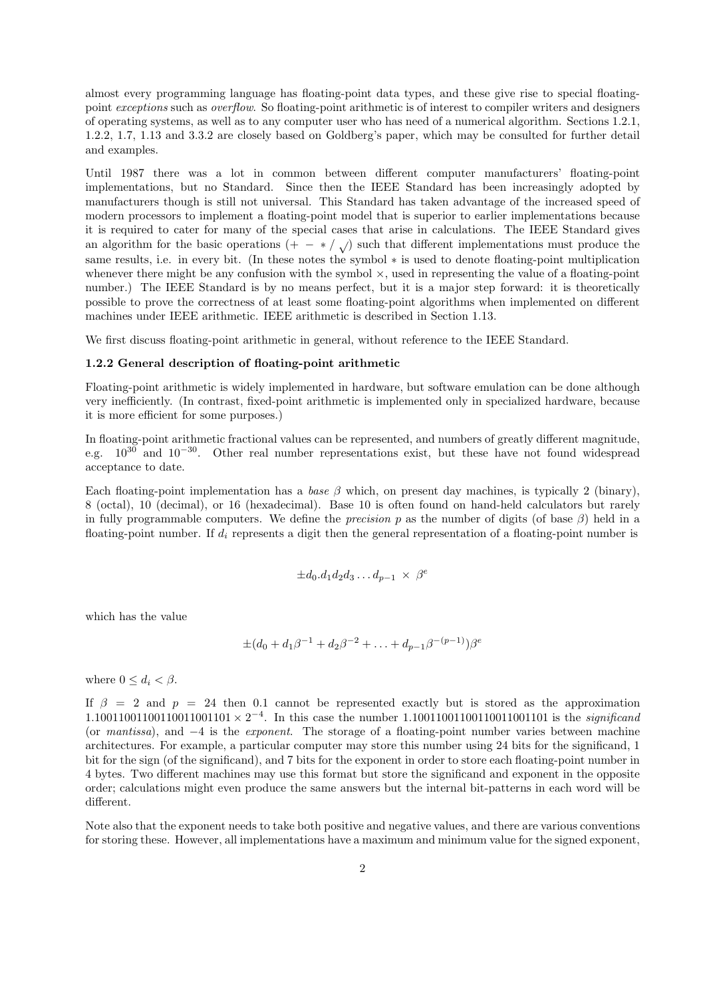almost every programming language has floating-point data types, and these give rise to special floatingpoint exceptions such as overflow. So floating-point arithmetic is of interest to compiler writers and designers of operating systems, as well as to any computer user who has need of a numerical algorithm. Sections 1.2.1, 1.2.2, 1.7, 1.13 and 3.3.2 are closely based on Goldberg's paper, which may be consulted for further detail and examples.

Until 1987 there was a lot in common between different computer manufacturers' floating-point implementations, but no Standard. Since then the IEEE Standard has been increasingly adopted by manufacturers though is still not universal. This Standard has taken advantage of the increased speed of modern processors to implement a floating-point model that is superior to earlier implementations because it is required to cater for many of the special cases that arise in calculations. The IEEE Standard gives an algorithm for the basic operations (+  $-$  \* /  $\sqrt{ }$ ) such that different implementations must produce the same results, i.e. in every bit. (In these notes the symbol ∗ is used to denote floating-point multiplication whenever there might be any confusion with the symbol  $\times$ , used in representing the value of a floating-point number.) The IEEE Standard is by no means perfect, but it is a major step forward: it is theoretically possible to prove the correctness of at least some floating-point algorithms when implemented on different machines under IEEE arithmetic. IEEE arithmetic is described in Section 1.13.

We first discuss floating-point arithmetic in general, without reference to the IEEE Standard.

#### 1.2.2 General description of floating-point arithmetic

Floating-point arithmetic is widely implemented in hardware, but software emulation can be done although very inefficiently. (In contrast, fixed-point arithmetic is implemented only in specialized hardware, because it is more efficient for some purposes.)

In floating-point arithmetic fractional values can be represented, and numbers of greatly different magnitude, e.g. 10<sup>30</sup> and 10<sup>−</sup><sup>30</sup>. Other real number representations exist, but these have not found widespread acceptance to date.

Each floating-point implementation has a base  $\beta$  which, on present day machines, is typically 2 (binary), 8 (octal), 10 (decimal), or 16 (hexadecimal). Base 10 is often found on hand-held calculators but rarely in fully programmable computers. We define the *precision* p as the number of digits (of base  $\beta$ ) held in a floating-point number. If  $d_i$  represents a digit then the general representation of a floating-point number is

$$
\pm d_0.d_1d_2d_3\dots d_{p-1} \times \beta^e
$$

which has the value

$$
\pm (d_0 + d_1 \beta^{-1} + d_2 \beta^{-2} + \ldots + d_{p-1} \beta^{-(p-1)}) \beta^e
$$

where  $0 \leq d_i < \beta$ .

If  $\beta = 2$  and  $p = 24$  then 0.1 cannot be represented exactly but is stored as the approximation 1.10011001100110011001101 × 2<sup>-4</sup>. In this case the number 1.1001100110011001101101 is the *significand* (or mantissa), and −4 is the exponent. The storage of a floating-point number varies between machine architectures. For example, a particular computer may store this number using 24 bits for the significand, 1 bit for the sign (of the significand), and 7 bits for the exponent in order to store each floating-point number in 4 bytes. Two different machines may use this format but store the significand and exponent in the opposite order; calculations might even produce the same answers but the internal bit-patterns in each word will be different.

Note also that the exponent needs to take both positive and negative values, and there are various conventions for storing these. However, all implementations have a maximum and minimum value for the signed exponent,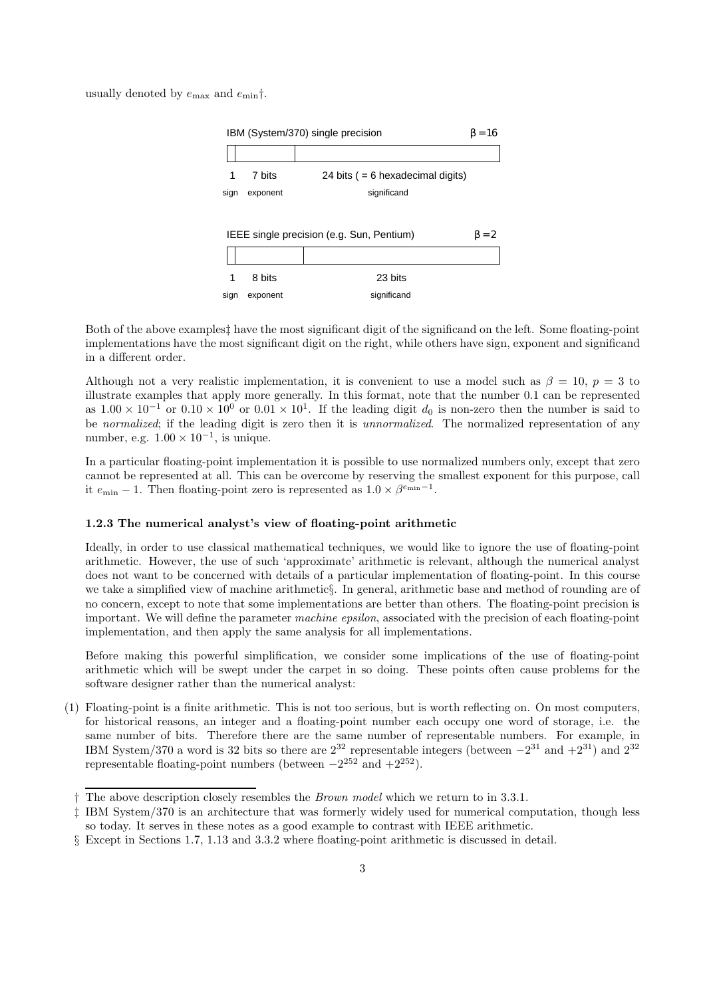usually denoted by  $e_{\text{max}}$  and  $e_{\text{min}}\dagger$ .



Both of the above examplest have the most significant digit of the significand on the left. Some floating-point implementations have the most significant digit on the right, while others have sign, exponent and significand in a different order.

Although not a very realistic implementation, it is convenient to use a model such as  $\beta = 10$ ,  $p = 3$  to illustrate examples that apply more generally. In this format, note that the number 0.1 can be represented as  $1.00 \times 10^{-1}$  or  $0.10 \times 10^{0}$  or  $0.01 \times 10^{1}$ . If the leading digit  $d_0$  is non-zero then the number is said to be normalized; if the leading digit is zero then it is unnormalized. The normalized representation of any number, e.g.  $1.00 \times 10^{-1}$ , is unique.

In a particular floating-point implementation it is possible to use normalized numbers only, except that zero cannot be represented at all. This can be overcome by reserving the smallest exponent for this purpose, call it  $e_{\min} - 1$ . Then floating-point zero is represented as  $1.0 \times \beta^{e_{\min}-1}$ .

## 1.2.3 The numerical analyst's view of floating-point arithmetic

Ideally, in order to use classical mathematical techniques, we would like to ignore the use of floating-point arithmetic. However, the use of such 'approximate' arithmetic is relevant, although the numerical analyst does not want to be concerned with details of a particular implementation of floating-point. In this course we take a simplified view of machine arithmetic§. In general, arithmetic base and method of rounding are of no concern, except to note that some implementations are better than others. The floating-point precision is important. We will define the parameter machine epsilon, associated with the precision of each floating-point implementation, and then apply the same analysis for all implementations.

Before making this powerful simplification, we consider some implications of the use of floating-point arithmetic which will be swept under the carpet in so doing. These points often cause problems for the software designer rather than the numerical analyst:

(1) Floating-point is a finite arithmetic. This is not too serious, but is worth reflecting on. On most computers, for historical reasons, an integer and a floating-point number each occupy one word of storage, i.e. the same number of bits. Therefore there are the same number of representable numbers. For example, in IBM System/370 a word is 32 bits so there are  $2^{32}$  representable integers (between  $-2^{31}$  and  $+2^{31}$ ) and  $2^{32}$ representable floating-point numbers (between  $-2^{252}$  and  $+2^{252}$ ).

<sup>†</sup> The above description closely resembles the Brown model which we return to in 3.3.1.

<sup>‡</sup> IBM System/370 is an architecture that was formerly widely used for numerical computation, though less so today. It serves in these notes as a good example to contrast with IEEE arithmetic.

<sup>§</sup> Except in Sections 1.7, 1.13 and 3.3.2 where floating-point arithmetic is discussed in detail.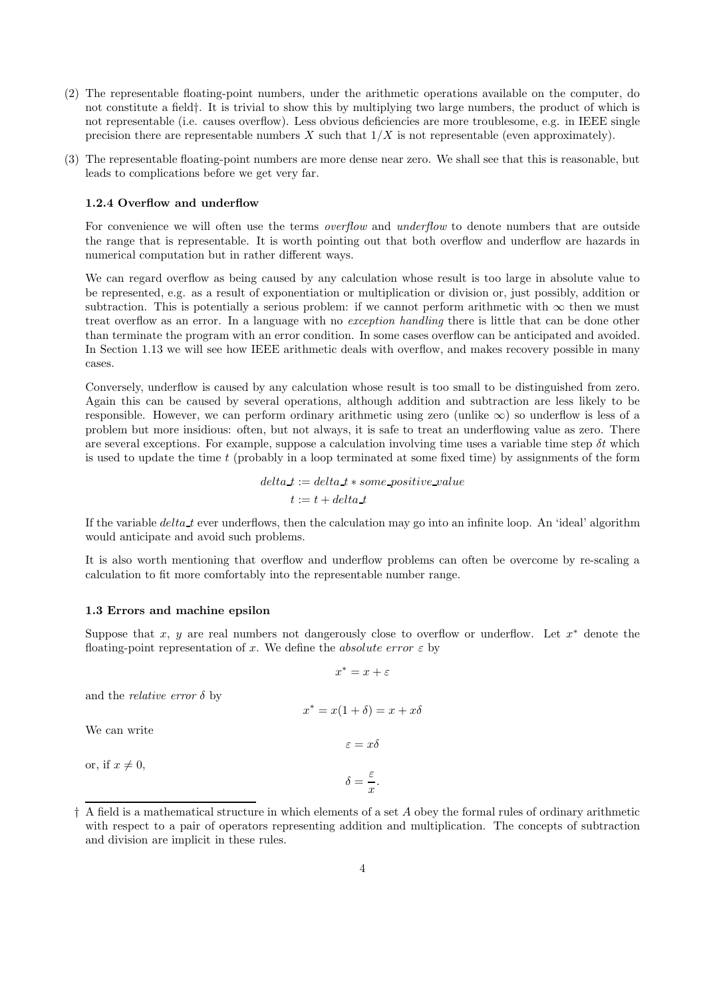- (2) The representable floating-point numbers, under the arithmetic operations available on the computer, do not constitute a field†. It is trivial to show this by multiplying two large numbers, the product of which is not representable (i.e. causes overflow). Less obvious deficiencies are more troublesome, e.g. in IEEE single precision there are representable numbers X such that  $1/X$  is not representable (even approximately).
- (3) The representable floating-point numbers are more dense near zero. We shall see that this is reasonable, but leads to complications before we get very far.

## 1.2.4 Overflow and underflow

For convenience we will often use the terms *overflow* and *underflow* to denote numbers that are outside the range that is representable. It is worth pointing out that both overflow and underflow are hazards in numerical computation but in rather different ways.

We can regard overflow as being caused by any calculation whose result is too large in absolute value to be represented, e.g. as a result of exponentiation or multiplication or division or, just possibly, addition or subtraction. This is potentially a serious problem: if we cannot perform arithmetic with  $\infty$  then we must treat overflow as an error. In a language with no exception handling there is little that can be done other than terminate the program with an error condition. In some cases overflow can be anticipated and avoided. In Section 1.13 we will see how IEEE arithmetic deals with overflow, and makes recovery possible in many cases.

Conversely, underflow is caused by any calculation whose result is too small to be distinguished from zero. Again this can be caused by several operations, although addition and subtraction are less likely to be responsible. However, we can perform ordinary arithmetic using zero (unlike  $\infty$ ) so underflow is less of a problem but more insidious: often, but not always, it is safe to treat an underflowing value as zero. There are several exceptions. For example, suppose a calculation involving time uses a variable time step  $\delta t$  which is used to update the time  $t$  (probably in a loop terminated at some fixed time) by assignments of the form

> $delta t := delta_t * some\_positive\_value$  $t := t + delta_t$

If the variable  $delta\_t$  ever underflows, then the calculation may go into an infinite loop. An 'ideal' algorithm would anticipate and avoid such problems.

It is also worth mentioning that overflow and underflow problems can often be overcome by re-scaling a calculation to fit more comfortably into the representable number range.

#### 1.3 Errors and machine epsilon

Suppose that x, y are real numbers not dangerously close to overflow or underflow. Let  $x^*$  denote the floating-point representation of x. We define the absolute error  $\varepsilon$  by

$$
x^*=x+\varepsilon
$$

 $x^* = x(1 + \delta) = x + x\delta$ 

 $\varepsilon = x\delta$ 

 $\delta = \frac{\varepsilon}{\varepsilon}$  $\frac{z}{x}$ .

and the *relative error*  $\delta$  by

We can write

or, if  $x \neq 0$ ,

$$
\dagger
$$
 A field is a mathematical structure in which elements of a set A obey the formal rules of ordinary arithmetic with respect to a pair of operators representing addition and multiplication. The concepts of subtraction and division are implicit in these rules.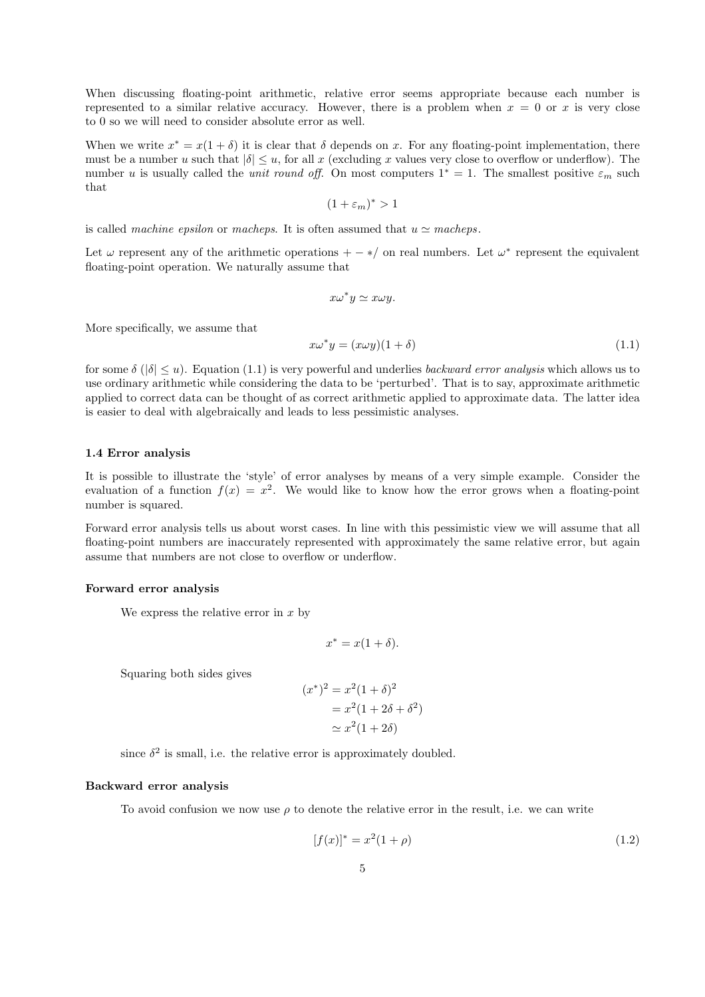When discussing floating-point arithmetic, relative error seems appropriate because each number is represented to a similar relative accuracy. However, there is a problem when  $x = 0$  or x is very close to 0 so we will need to consider absolute error as well.

When we write  $x^* = x(1 + \delta)$  it is clear that  $\delta$  depends on x. For any floating-point implementation, there must be a number u such that  $|\delta| \leq u$ , for all x (excluding x values very close to overflow or underflow). The number u is usually called the *unit round off.* On most computers  $1^* = 1$ . The smallest positive  $\varepsilon_m$  such that

$$
(1+\varepsilon_m)^* > 1
$$

is called machine epsilon or macheps. It is often assumed that  $u \simeq$  macheps.

Let  $\omega$  represent any of the arithmetic operations  $+ -*/$  on real numbers. Let  $\omega^*$  represent the equivalent floating-point operation. We naturally assume that

$$
x\omega^*y\simeq x\omega y.
$$

More specifically, we assume that

$$
x\omega^*y = (x\omega y)(1+\delta) \tag{1.1}
$$

for some  $\delta$  ( $|\delta| \le u$ ). Equation (1.1) is very powerful and underlies *backward error analysis* which allows us to use ordinary arithmetic while considering the data to be 'perturbed'. That is to say, approximate arithmetic applied to correct data can be thought of as correct arithmetic applied to approximate data. The latter idea is easier to deal with algebraically and leads to less pessimistic analyses.

## 1.4 Error analysis

It is possible to illustrate the 'style' of error analyses by means of a very simple example. Consider the evaluation of a function  $f(x) = x^2$ . We would like to know how the error grows when a floating-point number is squared.

Forward error analysis tells us about worst cases. In line with this pessimistic view we will assume that all floating-point numbers are inaccurately represented with approximately the same relative error, but again assume that numbers are not close to overflow or underflow.

## Forward error analysis

We express the relative error in  $x$  by

$$
x^* = x(1+\delta).
$$

Squaring both sides gives

$$
x^*)^2 = x^2(1+\delta)^2
$$
  
=  $x^2(1+2\delta+\delta^2)$   
 $\approx x^2(1+2\delta)$ 

since  $\delta^2$  is small, i.e. the relative error is approximately doubled.

(x

### Backward error analysis

To avoid confusion we now use  $\rho$  to denote the relative error in the result, i.e. we can write

$$
[f(x)]^* = x^2(1+\rho)
$$
 (1.2)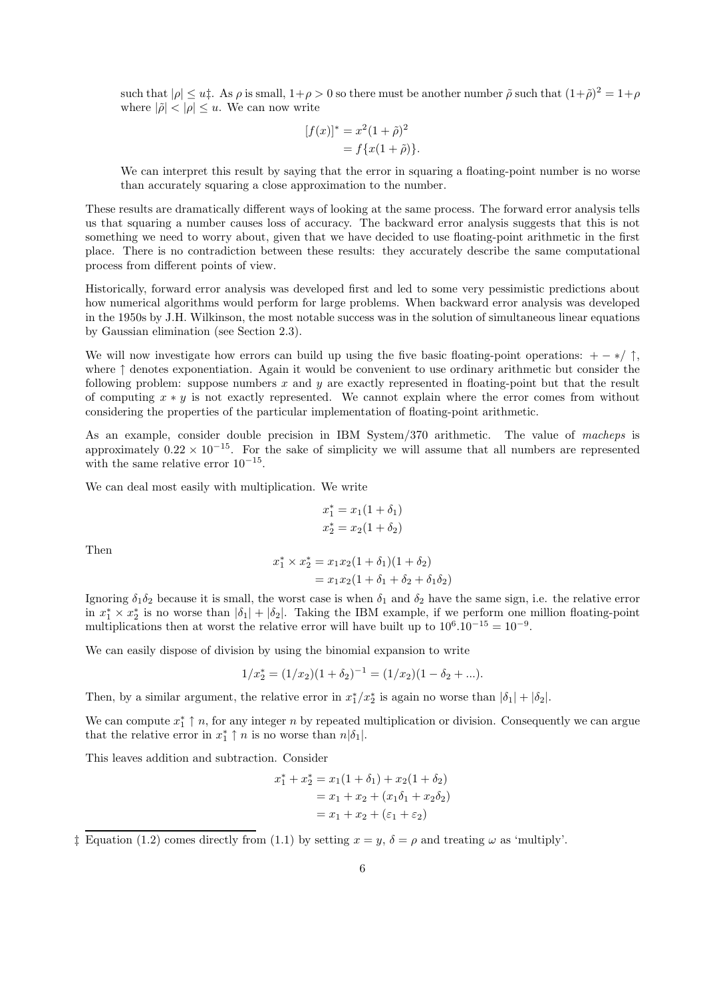such that  $|\rho| \le u$ . As  $\rho$  is small,  $1+\rho > 0$  so there must be another number  $\tilde{\rho}$  such that  $(1+\tilde{\rho})^2 = 1+\rho$ where  $|\tilde{\rho}| < |\rho| \leq u$ . We can now write

$$
[f(x)]^* = x^2 (1 + \tilde{\rho})^2
$$
  
=  $f\{x(1 + \tilde{\rho})\}.$ 

We can interpret this result by saying that the error in squaring a floating-point number is no worse than accurately squaring a close approximation to the number.

These results are dramatically different ways of looking at the same process. The forward error analysis tells us that squaring a number causes loss of accuracy. The backward error analysis suggests that this is not something we need to worry about, given that we have decided to use floating-point arithmetic in the first place. There is no contradiction between these results: they accurately describe the same computational process from different points of view.

Historically, forward error analysis was developed first and led to some very pessimistic predictions about how numerical algorithms would perform for large problems. When backward error analysis was developed in the 1950s by J.H. Wilkinson, the most notable success was in the solution of simultaneous linear equations by Gaussian elimination (see Section 2.3).

We will now investigate how errors can build up using the five basic floating-point operations:  $+ - */ \uparrow$ , where ↑ denotes exponentiation. Again it would be convenient to use ordinary arithmetic but consider the following problem: suppose numbers  $x$  and  $y$  are exactly represented in floating-point but that the result of computing  $x * y$  is not exactly represented. We cannot explain where the error comes from without considering the properties of the particular implementation of floating-point arithmetic.

As an example, consider double precision in IBM System/370 arithmetic. The value of macheps is approximately  $0.22 \times 10^{-15}$ . For the sake of simplicity we will assume that all numbers are represented with the same relative error 10<sup>−</sup><sup>15</sup> .

We can deal most easily with multiplication. We write

$$
x_1^* = x_1(1 + \delta_1)
$$
  

$$
x_2^* = x_2(1 + \delta_2)
$$

Then

$$
x_1^* \times x_2^* = x_1 x_2 (1 + \delta_1)(1 + \delta_2)
$$
  
=  $x_1 x_2 (1 + \delta_1 + \delta_2 + \delta_1 \delta_2)$ 

Ignoring  $\delta_1 \delta_2$  because it is small, the worst case is when  $\delta_1$  and  $\delta_2$  have the same sign, i.e. the relative error in  $x_1^* \times x_2^*$  is no worse than  $|\delta_1| + |\delta_2|$ . Taking the IBM example, if we perform one million floating-point multiplications then at worst the relative error will have built up to  $10^6 \cdot 10^{-15} = 10^{-9}$ .

We can easily dispose of division by using the binomial expansion to write

$$
1/x_2^* = (1/x_2)(1+\delta_2)^{-1} = (1/x_2)(1-\delta_2+\ldots).
$$

Then, by a similar argument, the relative error in  $x_1^*/x_2^*$  is again no worse than  $|\delta_1| + |\delta_2|$ .

We can compute  $x_1^* \uparrow n$ , for any integer n by repeated multiplication or division. Consequently we can argue that the relative error in  $x_1^* \uparrow n$  is no worse than  $n|\delta_1|$ .

This leaves addition and subtraction. Consider

$$
x_1^* + x_2^* = x_1(1 + \delta_1) + x_2(1 + \delta_2)
$$
  
=  $x_1 + x_2 + (x_1\delta_1 + x_2\delta_2)$   
=  $x_1 + x_2 + (\varepsilon_1 + \varepsilon_2)$ 

<sup>&</sup>lt;sup>†</sup> Equation (1.2) comes directly from (1.1) by setting  $x = y$ ,  $\delta = \rho$  and treating  $\omega$  as 'multiply'.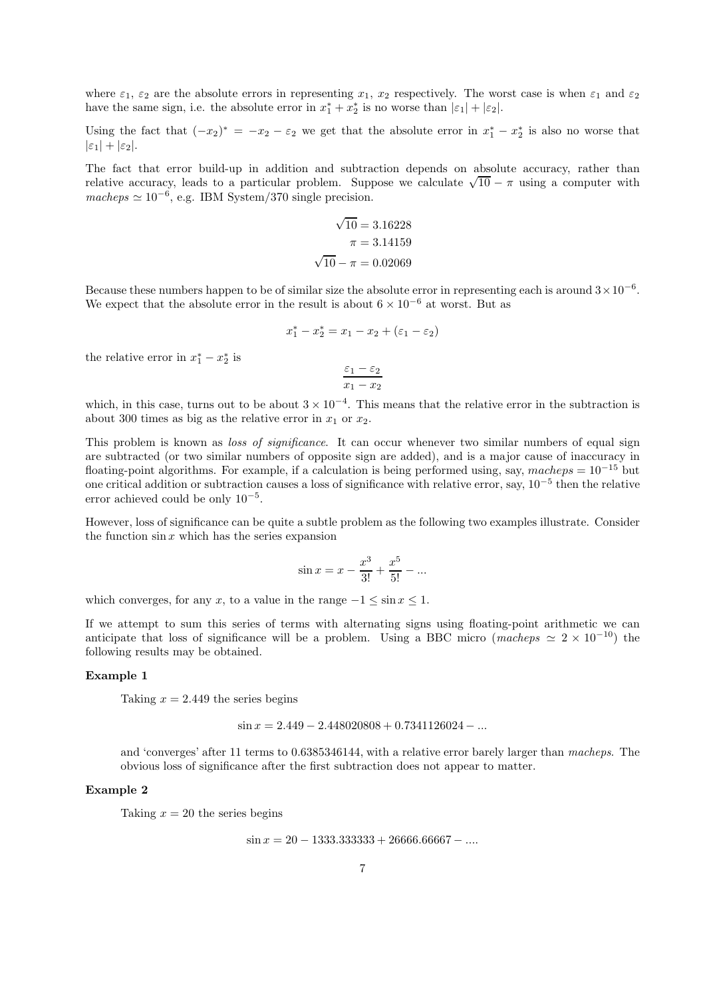where  $\varepsilon_1$ ,  $\varepsilon_2$  are the absolute errors in representing  $x_1$ ,  $x_2$  respectively. The worst case is when  $\varepsilon_1$  and  $\varepsilon_2$ have the same sign, i.e. the absolute error in  $x_1^* + x_2^*$  is no worse than  $|\varepsilon_1| + |\varepsilon_2|$ .

Using the fact that  $(-x_2)^* = -x_2 - \varepsilon_2$  we get that the absolute error in  $x_1^* - x_2^*$  is also no worse that  $|\varepsilon_1| + |\varepsilon_2|$ .

The fact that error build-up in addition and subtraction depends on absolute accuracy, rather than relative accuracy, leads to a particular problem. Suppose we calculate  $\sqrt{10} - \pi$  using a computer with  $macheps \simeq 10^{-6}$ , e.g. IBM System/370 single precision.

$$
\sqrt{10} = 3.16228
$$

$$
\pi = 3.14159
$$

$$
\sqrt{10} - \pi = 0.02069
$$

Because these numbers happen to be of similar size the absolute error in representing each is around  $3 \times 10^{-6}$ . We expect that the absolute error in the result is about  $6 \times 10^{-6}$  at worst. But as

$$
x_1^* - x_2^* = x_1 - x_2 + (\varepsilon_1 - \varepsilon_2)
$$

the relative error in  $x_1^* - x_2^*$  is

$$
\frac{\varepsilon_1-\varepsilon_2}{x_1-x_2}
$$

which, in this case, turns out to be about  $3 \times 10^{-4}$ . This means that the relative error in the subtraction is about 300 times as big as the relative error in  $x_1$  or  $x_2$ .

This problem is known as *loss of significance*. It can occur whenever two similar numbers of equal sign are subtracted (or two similar numbers of opposite sign are added), and is a major cause of inaccuracy in floating-point algorithms. For example, if a calculation is being performed using, say,  $macheps = 10^{-15}$  but one critical addition or subtraction causes a loss of significance with relative error, say, 10<sup>−</sup><sup>5</sup> then the relative error achieved could be only  $10^{-5}$ .

However, loss of significance can be quite a subtle problem as the following two examples illustrate. Consider the function  $\sin x$  which has the series expansion

$$
\sin x = x - \frac{x^3}{3!} + \frac{x^5}{5!} - \dots
$$

which converges, for any x, to a value in the range  $-1 \le \sin x \le 1$ .

If we attempt to sum this series of terms with alternating signs using floating-point arithmetic we can anticipate that loss of significance will be a problem. Using a BBC micro (macheps  $\simeq 2 \times 10^{-10}$ ) the following results may be obtained.

### Example 1

Taking  $x = 2.449$  the series begins

$$
\sin x = 2.449 - 2.448020808 + 0.7341126024 - \dots
$$

and 'converges' after 11 terms to 0.6385346144, with a relative error barely larger than macheps. The obvious loss of significance after the first subtraction does not appear to matter.

### Example 2

Taking  $x = 20$  the series begins

 $\sin x = 20 - 1333.333333 + 26666.66667 - \dots$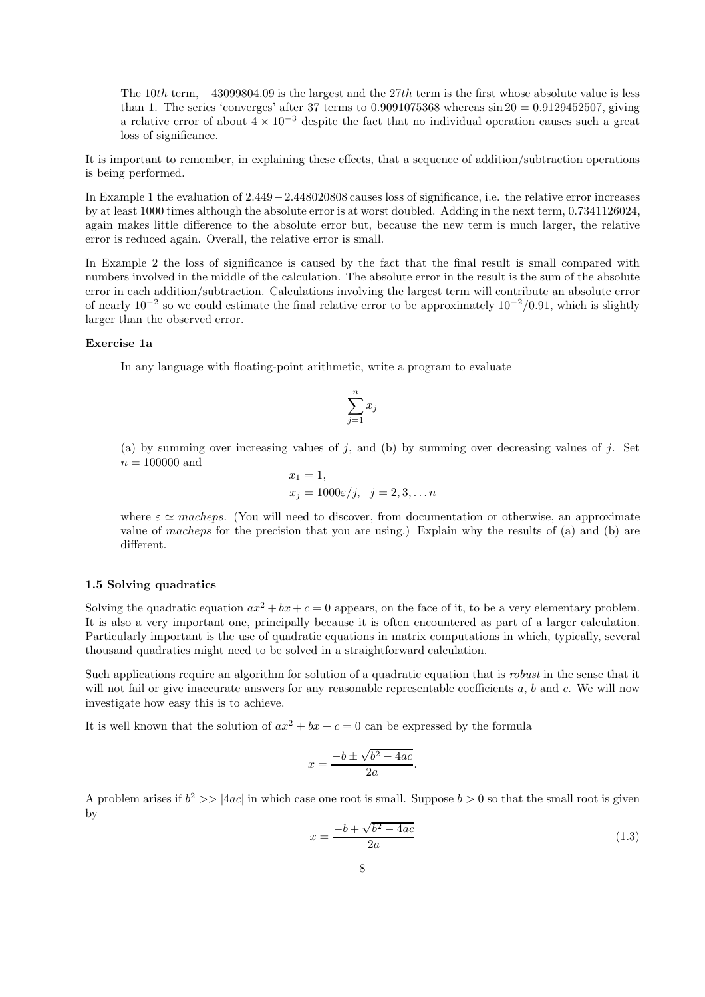The 10th term, −43099804.09 is the largest and the 27th term is the first whose absolute value is less than 1. The series 'converges' after 37 terms to  $0.9091075368$  whereas  $\sin 20 = 0.9129452507$ , giving a relative error of about  $4 \times 10^{-3}$  despite the fact that no individual operation causes such a great loss of significance.

It is important to remember, in explaining these effects, that a sequence of addition/subtraction operations is being performed.

In Example 1 the evaluation of 2.449−2.448020808 causes loss of significance, i.e. the relative error increases by at least 1000 times although the absolute error is at worst doubled. Adding in the next term, 0.7341126024, again makes little difference to the absolute error but, because the new term is much larger, the relative error is reduced again. Overall, the relative error is small.

In Example 2 the loss of significance is caused by the fact that the final result is small compared with numbers involved in the middle of the calculation. The absolute error in the result is the sum of the absolute error in each addition/subtraction. Calculations involving the largest term will contribute an absolute error of nearly  $10^{-2}$  so we could estimate the final relative error to be approximately  $10^{-2}/0.91$ , which is slightly larger than the observed error.

## Exercise 1a

In any language with floating-point arithmetic, write a program to evaluate

$$
\sum_{j=1}^n x_j
$$

(a) by summing over increasing values of j, and (b) by summing over decreasing values of j. Set  $n=100000$  and

$$
x_1 = 1,
$$
  
\n
$$
x_j = 1000\varepsilon/j, \quad j = 2, 3, \dots n
$$

where  $\varepsilon \simeq$  macheps. (You will need to discover, from documentation or otherwise, an approximate value of macheps for the precision that you are using.) Explain why the results of (a) and (b) are different.

## 1.5 Solving quadratics

Solving the quadratic equation  $ax^2 + bx + c = 0$  appears, on the face of it, to be a very elementary problem. It is also a very important one, principally because it is often encountered as part of a larger calculation. Particularly important is the use of quadratic equations in matrix computations in which, typically, several thousand quadratics might need to be solved in a straightforward calculation.

Such applications require an algorithm for solution of a quadratic equation that is *robust* in the sense that it will not fail or give inaccurate answers for any reasonable representable coefficients  $a, b$  and  $c$ . We will now investigate how easy this is to achieve.

It is well known that the solution of  $ax^2 + bx + c = 0$  can be expressed by the formula

$$
x = \frac{-b \pm \sqrt{b^2 - 4ac}}{2a}.
$$

A problem arises if  $b^2 \gg |4ac|$  in which case one root is small. Suppose  $b > 0$  so that the small root is given by

$$
x = \frac{-b + \sqrt{b^2 - 4ac}}{2a} \tag{1.3}
$$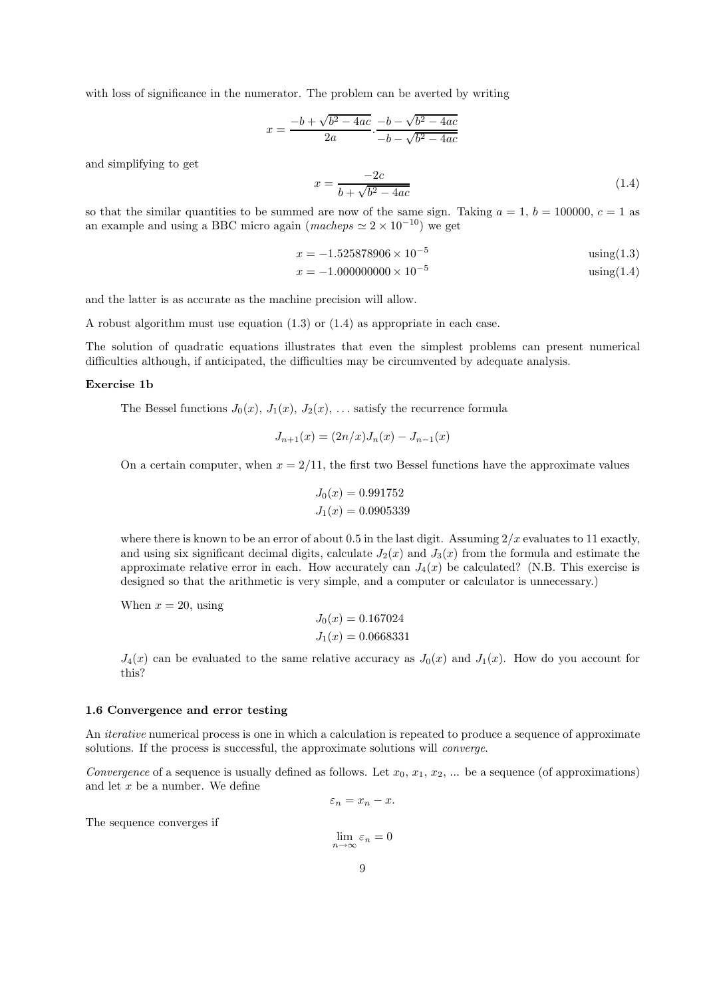with loss of significance in the numerator. The problem can be averted by writing

$$
x = \frac{-b + \sqrt{b^2 - 4ac}}{2a} \cdot \frac{-b - \sqrt{b^2 - 4ac}}{-b - \sqrt{b^2 - 4ac}}
$$

and simplifying to get

$$
x = \frac{-2c}{b + \sqrt{b^2 - 4ac}}\tag{1.4}
$$

so that the similar quantities to be summed are now of the same sign. Taking  $a = 1$ ,  $b = 100000$ ,  $c = 1$  as an example and using a BBC micro again (macheps  $\simeq 2 \times 10^{-10}$ ) we get

$$
x = -1.525878906 \times 10^{-5}
$$
 using (1.3)

$$
x = -1.000000000 \times 10^{-5}
$$
 using (1.4)

and the latter is as accurate as the machine precision will allow.

A robust algorithm must use equation (1.3) or (1.4) as appropriate in each case.

The solution of quadratic equations illustrates that even the simplest problems can present numerical difficulties although, if anticipated, the difficulties may be circumvented by adequate analysis.

#### Exercise 1b

The Bessel functions  $J_0(x)$ ,  $J_1(x)$ ,  $J_2(x)$ , ... satisfy the recurrence formula

$$
J_{n+1}(x) = (2n/x)J_n(x) - J_{n-1}(x)
$$

On a certain computer, when  $x = 2/11$ , the first two Bessel functions have the approximate values

$$
J_0(x) = 0.991752
$$
  

$$
J_1(x) = 0.0905339
$$

where there is known to be an error of about 0.5 in the last digit. Assuming  $2/x$  evaluates to 11 exactly, and using six significant decimal digits, calculate  $J_2(x)$  and  $J_3(x)$  from the formula and estimate the approximate relative error in each. How accurately can  $J_4(x)$  be calculated? (N.B. This exercise is designed so that the arithmetic is very simple, and a computer or calculator is unnecessary.)

When  $x = 20$ , using

$$
J_0(x) = 0.167024
$$
  

$$
J_1(x) = 0.0668331
$$

 $J_4(x)$  can be evaluated to the same relative accuracy as  $J_0(x)$  and  $J_1(x)$ . How do you account for this?

#### 1.6 Convergence and error testing

An iterative numerical process is one in which a calculation is repeated to produce a sequence of approximate solutions. If the process is successful, the approximate solutions will *converge*.

Convergence of a sequence is usually defined as follows. Let  $x_0, x_1, x_2, ...$  be a sequence (of approximations) and let  $x$  be a number. We define

$$
\varepsilon_n = x_n - x.
$$

The sequence converges if

 $\lim_{n\to\infty}\varepsilon_n=0$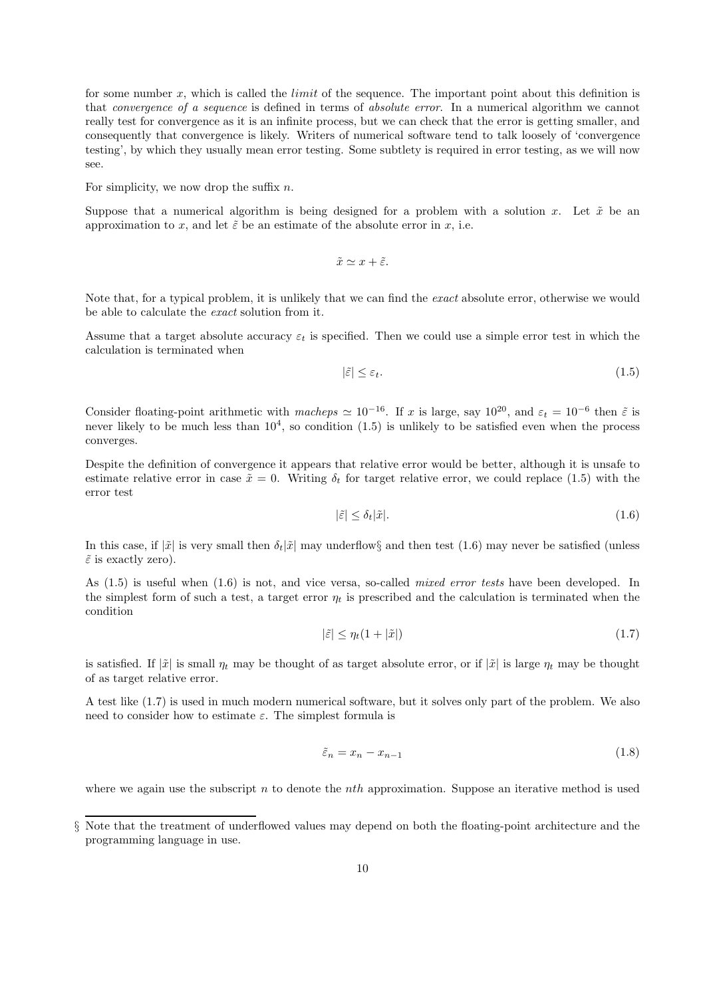for some number x, which is called the *limit* of the sequence. The important point about this definition is that convergence of a sequence is defined in terms of absolute error. In a numerical algorithm we cannot really test for convergence as it is an infinite process, but we can check that the error is getting smaller, and consequently that convergence is likely. Writers of numerical software tend to talk loosely of 'convergence testing', by which they usually mean error testing. Some subtlety is required in error testing, as we will now see.

For simplicity, we now drop the suffix  $n$ .

Suppose that a numerical algorithm is being designed for a problem with a solution x. Let  $\tilde{x}$  be an approximation to x, and let  $\tilde{\varepsilon}$  be an estimate of the absolute error in x, i.e.

$$
\tilde{x} \simeq x + \tilde{\varepsilon}.
$$

Note that, for a typical problem, it is unlikely that we can find the exact absolute error, otherwise we would be able to calculate the exact solution from it.

Assume that a target absolute accuracy  $\varepsilon_t$  is specified. Then we could use a simple error test in which the calculation is terminated when

$$
|\tilde{\varepsilon}| \le \varepsilon_t. \tag{1.5}
$$

Consider floating-point arithmetic with macheps  $\simeq 10^{-16}$ . If x is large, say  $10^{20}$ , and  $\varepsilon_t = 10^{-6}$  then  $\tilde{\varepsilon}$  is never likely to be much less than  $10<sup>4</sup>$ , so condition  $(1.5)$  is unlikely to be satisfied even when the process converges.

Despite the definition of convergence it appears that relative error would be better, although it is unsafe to estimate relative error in case  $\tilde{x} = 0$ . Writing  $\delta_t$  for target relative error, we could replace (1.5) with the error test

$$
|\tilde{\varepsilon}| \le \delta_t |\tilde{x}|.\tag{1.6}
$$

In this case, if  $|\tilde{x}|$  is very small then  $\delta_t|\tilde{x}|$  may underflow§ and then test (1.6) may never be satisfied (unless  $\tilde{\varepsilon}$  is exactly zero).

As (1.5) is useful when (1.6) is not, and vice versa, so-called mixed error tests have been developed. In the simplest form of such a test, a target error  $\eta_t$  is prescribed and the calculation is terminated when the condition

$$
|\tilde{\varepsilon}| \le \eta_t (1 + |\tilde{x}|) \tag{1.7}
$$

is satisfied. If  $|\tilde{x}|$  is small  $\eta_t$  may be thought of as target absolute error, or if  $|\tilde{x}|$  is large  $\eta_t$  may be thought of as target relative error.

A test like (1.7) is used in much modern numerical software, but it solves only part of the problem. We also need to consider how to estimate  $\varepsilon$ . The simplest formula is

$$
\tilde{\varepsilon}_n = x_n - x_{n-1} \tag{1.8}
$$

where we again use the subscript  $n$  to denote the *nth* approximation. Suppose an iterative method is used

<sup>§</sup> Note that the treatment of underflowed values may depend on both the floating-point architecture and the programming language in use.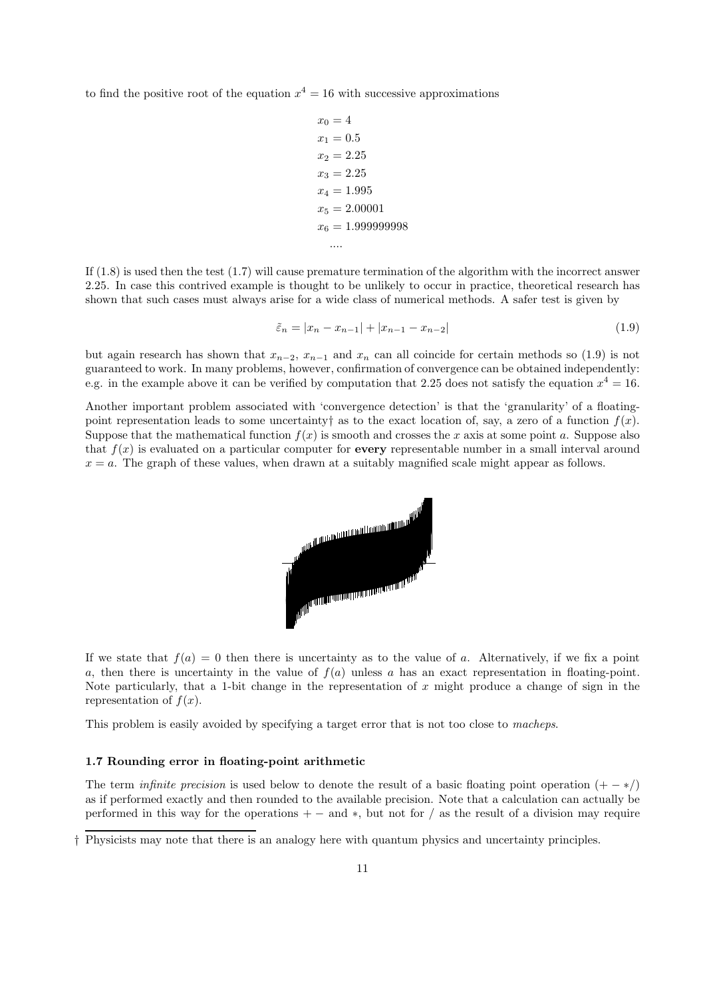to find the positive root of the equation  $x^4 = 16$  with successive approximations

$$
x_0 = 4
$$
  
\n
$$
x_1 = 0.5
$$
  
\n
$$
x_2 = 2.25
$$
  
\n
$$
x_3 = 2.25
$$
  
\n
$$
x_4 = 1.995
$$
  
\n
$$
x_5 = 2.00001
$$
  
\n
$$
x_6 = 1.999999998
$$
  
\n...

If (1.8) is used then the test (1.7) will cause premature termination of the algorithm with the incorrect answer 2.25. In case this contrived example is thought to be unlikely to occur in practice, theoretical research has shown that such cases must always arise for a wide class of numerical methods. A safer test is given by

$$
\tilde{\varepsilon}_n = |x_n - x_{n-1}| + |x_{n-1} - x_{n-2}| \tag{1.9}
$$

but again research has shown that  $x_{n-2}$ ,  $x_{n-1}$  and  $x_n$  can all coincide for certain methods so (1.9) is not guaranteed to work. In many problems, however, confirmation of convergence can be obtained independently: e.g. in the example above it can be verified by computation that 2.25 does not satisfy the equation  $x^4 = 16$ .

Another important problem associated with 'convergence detection' is that the 'granularity' of a floatingpoint representation leads to some uncertainty as to the exact location of, say, a zero of a function  $f(x)$ . Suppose that the mathematical function  $f(x)$  is smooth and crosses the x axis at some point a. Suppose also that  $f(x)$  is evaluated on a particular computer for **every** representable number in a small interval around  $x = a$ . The graph of these values, when drawn at a suitably magnified scale might appear as follows.



If we state that  $f(a) = 0$  then there is uncertainty as to the value of a. Alternatively, if we fix a point a, then there is uncertainty in the value of  $f(a)$  unless a has an exact representation in floating-point. Note particularly, that a 1-bit change in the representation of  $x$  might produce a change of sign in the representation of  $f(x)$ .

This problem is easily avoided by specifying a target error that is not too close to macheps.

### 1.7 Rounding error in floating-point arithmetic

The term *infinite precision* is used below to denote the result of a basic floating point operation  $(+ - *\)$ as if performed exactly and then rounded to the available precision. Note that a calculation can actually be performed in this way for the operations  $+$  – and  $*$ , but not for / as the result of a division may require

<sup>†</sup> Physicists may note that there is an analogy here with quantum physics and uncertainty principles.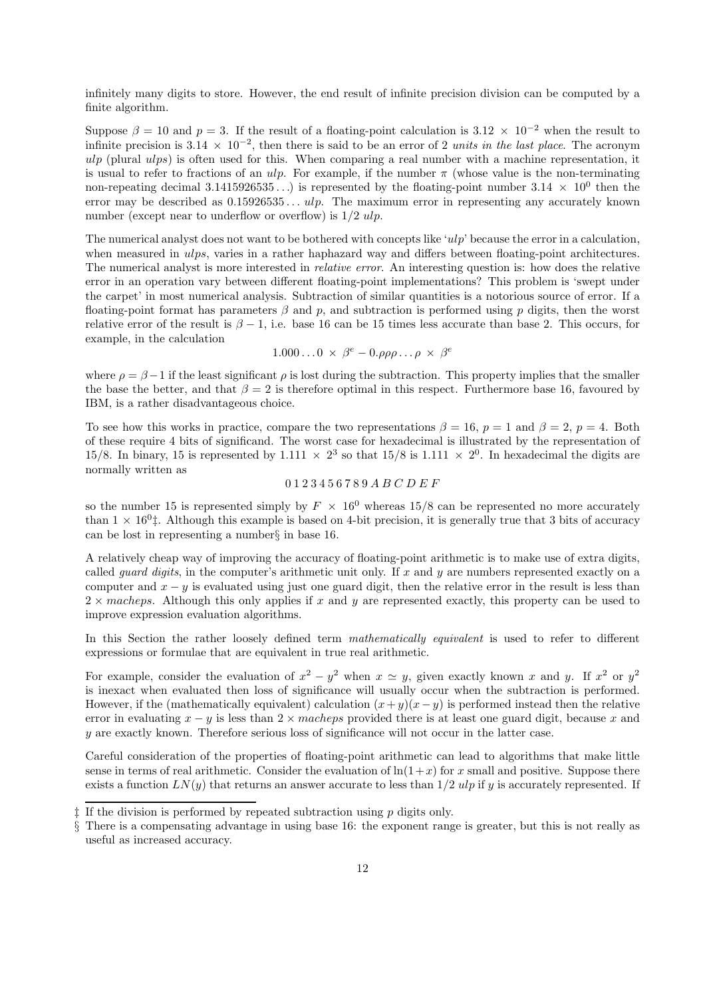infinitely many digits to store. However, the end result of infinite precision division can be computed by a finite algorithm.

Suppose  $\beta = 10$  and  $p = 3$ . If the result of a floating-point calculation is 3.12 × 10<sup>-2</sup> when the result to infinite precision is  $3.14 \times 10^{-2}$ , then there is said to be an error of 2 units in the last place. The acronym ulp (plural ulps) is often used for this. When comparing a real number with a machine representation, it is usual to refer to fractions of an ulp. For example, if the number  $\pi$  (whose value is the non-terminating non-repeating decimal 3.1415926535...) is represented by the floating-point number  $3.14 \times 10^0$  then the error may be described as  $0.15926535...$  ulp. The maximum error in representing any accurately known number (except near to underflow or overflow) is  $1/2$  ulp.

The numerical analyst does not want to be bothered with concepts like 'ulp' because the error in a calculation, when measured in ulps, varies in a rather haphazard way and differs between floating-point architectures. The numerical analyst is more interested in relative error. An interesting question is: how does the relative error in an operation vary between different floating-point implementations? This problem is 'swept under the carpet' in most numerical analysis. Subtraction of similar quantities is a notorious source of error. If a floating-point format has parameters  $\beta$  and  $p$ , and subtraction is performed using p digits, then the worst relative error of the result is  $\beta - 1$ , i.e. base 16 can be 15 times less accurate than base 2. This occurs, for example, in the calculation

$$
1.000\ldots 0 \times \beta^e - 0.\rho\rho\rho\ldots\rho \times \beta^e
$$

where  $\rho = \beta - 1$  if the least significant  $\rho$  is lost during the subtraction. This property implies that the smaller the base the better, and that  $\beta = 2$  is therefore optimal in this respect. Furthermore base 16, favoured by IBM, is a rather disadvantageous choice.

To see how this works in practice, compare the two representations  $\beta = 16$ ,  $p = 1$  and  $\beta = 2$ ,  $p = 4$ . Both of these require 4 bits of significand. The worst case for hexadecimal is illustrated by the representation of 15/8. In binary, 15 is represented by 1.111  $\times$  2<sup>3</sup> so that 15/8 is 1.111  $\times$  2<sup>0</sup>. In hexadecimal the digits are normally written as

## 0 1 2 3 4 5 6 7 8 9 A B C D E F

so the number 15 is represented simply by  $F \times 16^0$  whereas 15/8 can be represented no more accurately than  $1 \times 16^0$ . Although this example is based on 4-bit precision, it is generally true that 3 bits of accuracy can be lost in representing a number§ in base 16.

A relatively cheap way of improving the accuracy of floating-point arithmetic is to make use of extra digits, called *guard digits*, in the computer's arithmetic unit only. If x and y are numbers represented exactly on a computer and  $x - y$  is evaluated using just one guard digit, then the relative error in the result is less than  $2 \times$  macheps. Although this only applies if x and y are represented exactly, this property can be used to improve expression evaluation algorithms.

In this Section the rather loosely defined term *mathematically equivalent* is used to refer to different expressions or formulae that are equivalent in true real arithmetic.

For example, consider the evaluation of  $x^2 - y^2$  when  $x \approx y$ , given exactly known x and y. If  $x^2$  or  $y^2$ is inexact when evaluated then loss of significance will usually occur when the subtraction is performed. However, if the (mathematically equivalent) calculation  $(x + y)(x - y)$  is performed instead then the relative error in evaluating  $x - y$  is less than  $2 \times$  macheps provided there is at least one guard digit, because x and y are exactly known. Therefore serious loss of significance will not occur in the latter case.

Careful consideration of the properties of floating-point arithmetic can lead to algorithms that make little sense in terms of real arithmetic. Consider the evaluation of  $\ln(1+x)$  for x small and positive. Suppose there exists a function  $LN(y)$  that returns an answer accurate to less than  $1/2$  ulp if y is accurately represented. If

 $\ddagger$  If the division is performed by repeated subtraction using  $p$  digits only.

<sup>§</sup> There is a compensating advantage in using base 16: the exponent range is greater, but this is not really as useful as increased accuracy.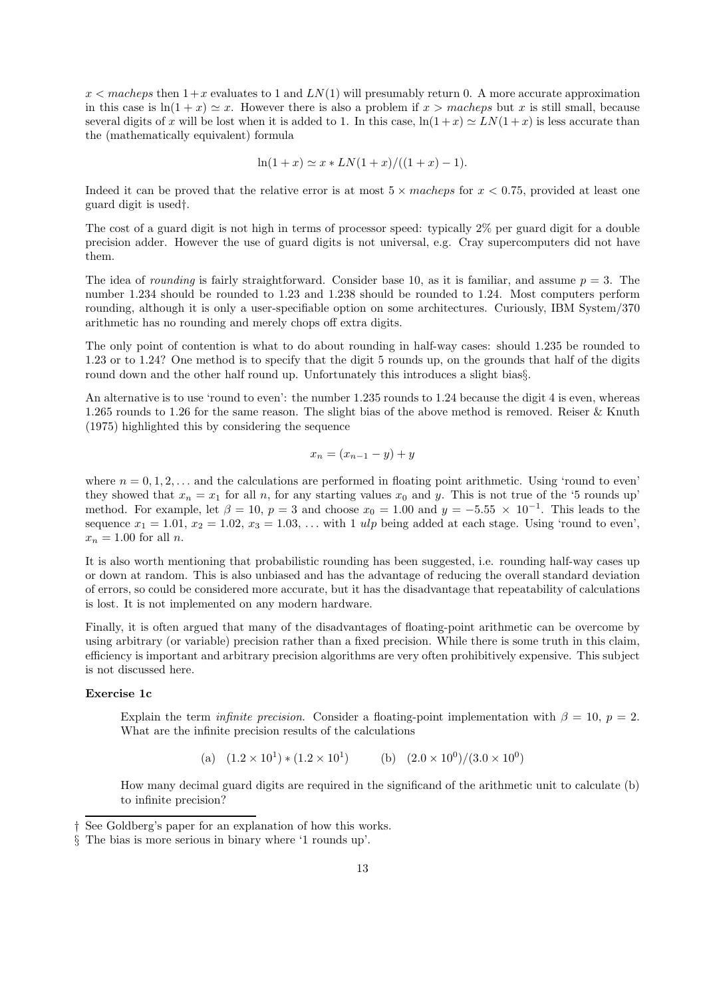$x <$  macheps then  $1+x$  evaluates to 1 and  $LN(1)$  will presumably return 0. A more accurate approximation in this case is  $ln(1 + x) \approx x$ . However there is also a problem if  $x >$  macheps but x is still small, because several digits of x will be lost when it is added to 1. In this case,  $\ln(1+x) \simeq LN(1+x)$  is less accurate than the (mathematically equivalent) formula

$$
\ln(1+x) \simeq x * LN(1+x) / ((1+x) - 1).
$$

Indeed it can be proved that the relative error is at most  $5 \times$  macheps for  $x < 0.75$ , provided at least one guard digit is used†.

The cost of a guard digit is not high in terms of processor speed: typically 2% per guard digit for a double precision adder. However the use of guard digits is not universal, e.g. Cray supercomputers did not have them.

The idea of *rounding* is fairly straightforward. Consider base 10, as it is familiar, and assume  $p = 3$ . The number 1.234 should be rounded to 1.23 and 1.238 should be rounded to 1.24. Most computers perform rounding, although it is only a user-specifiable option on some architectures. Curiously, IBM System/370 arithmetic has no rounding and merely chops off extra digits.

The only point of contention is what to do about rounding in half-way cases: should 1.235 be rounded to 1.23 or to 1.24? One method is to specify that the digit 5 rounds up, on the grounds that half of the digits round down and the other half round up. Unfortunately this introduces a slight bias§.

An alternative is to use 'round to even': the number 1.235 rounds to 1.24 because the digit 4 is even, whereas 1.265 rounds to 1.26 for the same reason. The slight bias of the above method is removed. Reiser & Knuth (1975) highlighted this by considering the sequence

$$
x_n = (x_{n-1} - y) + y
$$

where  $n = 0, 1, 2, \ldots$  and the calculations are performed in floating point arithmetic. Using 'round to even' they showed that  $x_n = x_1$  for all n, for any starting values  $x_0$  and y. This is not true of the '5 rounds up' method. For example, let  $\beta = 10$ ,  $p = 3$  and choose  $x_0 = 1.00$  and  $y = -5.55 \times 10^{-1}$ . This leads to the sequence  $x_1 = 1.01$ ,  $x_2 = 1.02$ ,  $x_3 = 1.03$ , ... with 1 ulp being added at each stage. Using 'round to even',  $x_n = 1.00$  for all n.

It is also worth mentioning that probabilistic rounding has been suggested, i.e. rounding half-way cases up or down at random. This is also unbiased and has the advantage of reducing the overall standard deviation of errors, so could be considered more accurate, but it has the disadvantage that repeatability of calculations is lost. It is not implemented on any modern hardware.

Finally, it is often argued that many of the disadvantages of floating-point arithmetic can be overcome by using arbitrary (or variable) precision rather than a fixed precision. While there is some truth in this claim, efficiency is important and arbitrary precision algorithms are very often prohibitively expensive. This subject is not discussed here.

## Exercise 1c

Explain the term *infinite precision*. Consider a floating-point implementation with  $\beta = 10$ ,  $p = 2$ . What are the infinite precision results of the calculations

(a)  $(1.2 \times 10^1) * (1.2 \times 10^1)$  (b)  $(2.0 \times 10^0)/(3.0 \times 10^0)$ 

How many decimal guard digits are required in the significand of the arithmetic unit to calculate (b) to infinite precision?

<sup>†</sup> See Goldberg's paper for an explanation of how this works.

<sup>§</sup> The bias is more serious in binary where '1 rounds up'.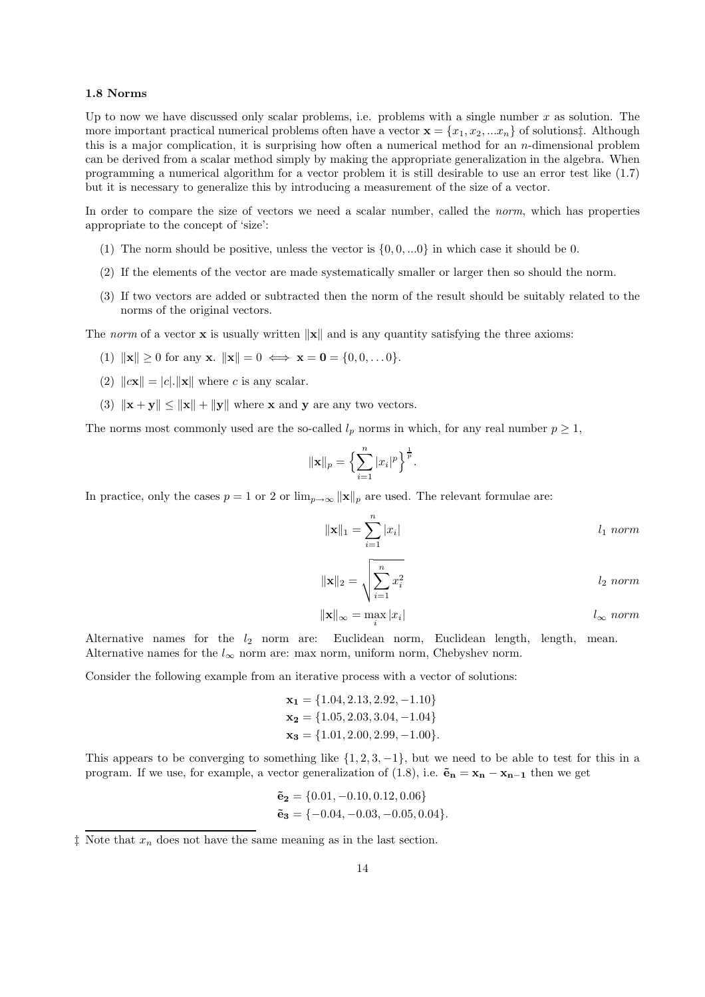## 1.8 Norms

Up to now we have discussed only scalar problems, i.e. problems with a single number  $x$  as solution. The more important practical numerical problems often have a vector  $\mathbf{x} = \{x_1, x_2, ... x_n\}$  of solutions: Although this is a major complication, it is surprising how often a numerical method for an  $n$ -dimensional problem can be derived from a scalar method simply by making the appropriate generalization in the algebra. When programming a numerical algorithm for a vector problem it is still desirable to use an error test like (1.7) but it is necessary to generalize this by introducing a measurement of the size of a vector.

In order to compare the size of vectors we need a scalar number, called the *norm*, which has properties appropriate to the concept of 'size':

- (1) The norm should be positive, unless the vector is  $\{0, 0, \ldots 0\}$  in which case it should be 0.
- (2) If the elements of the vector are made systematically smaller or larger then so should the norm.
- (3) If two vectors are added or subtracted then the norm of the result should be suitably related to the norms of the original vectors.

The norm of a vector **x** is usually written  $\|\mathbf{x}\|$  and is any quantity satisfying the three axioms:

- (1)  $\|\mathbf{x}\| \ge 0$  for any **x**.  $\|\mathbf{x}\| = 0 \iff \mathbf{x} = \mathbf{0} = \{0, 0, \dots 0\}.$
- (2)  $\|\mathbf{cx}\| = |c| \cdot \|\mathbf{x}\|$  where c is any scalar.
- (3)  $\|\mathbf{x} + \mathbf{y}\| \le \|\mathbf{x}\| + \|\mathbf{y}\|$  where **x** and **y** are any two vectors.

The norms most commonly used are the so-called  $l_p$  norms in which, for any real number  $p \geq 1$ ,

$$
\|\mathbf{x}\|_{p} = \left\{\sum_{i=1}^{n} |x_i|^p\right\}^{\frac{1}{p}}.
$$

In practice, only the cases  $p = 1$  or 2 or  $\lim_{p \to \infty} ||\mathbf{x}||_p$  are used. The relevant formulae are:

$$
\|\mathbf{x}\|_1 = \sum_{i=1}^n |x_i| \qquad l_1 \text{ norm}
$$

$$
\|\mathbf{x}\|_2 = \sqrt{\sum_{i=1}^n x_i^2}
$$
 *l<sub>2</sub> norm*

$$
\|\mathbf{x}\|_{\infty} = \max_{i} |x_i| \qquad l_{\infty} \text{ norm}
$$

Alternative names for the  $l_2$  norm are: Euclidean norm, Euclidean length, length, mean. Alternative names for the  $l_{\infty}$  norm are: max norm, uniform norm, Chebyshev norm.

Consider the following example from an iterative process with a vector of solutions:

$$
\mathbf{x_1} = \{1.04, 2.13, 2.92, -1.10\}
$$
  
\n
$$
\mathbf{x_2} = \{1.05, 2.03, 3.04, -1.04\}
$$
  
\n
$$
\mathbf{x_3} = \{1.01, 2.00, 2.99, -1.00\}.
$$

This appears to be converging to something like  $\{1, 2, 3, -1\}$ , but we need to be able to test for this in a program. If we use, for example, a vector generalization of (1.8), i.e.  $\tilde{\mathbf{e}}_n = \mathbf{x}_n - \mathbf{x}_{n-1}$  then we get

$$
\begin{aligned}\n\tilde{\mathbf{e}}_2 &= \{0.01, -0.10, 0.12, 0.06\} \\
\tilde{\mathbf{e}}_3 &= \{-0.04, -0.03, -0.05, 0.04\}.\n\end{aligned}
$$

 $\ddagger$  Note that  $x_n$  does not have the same meaning as in the last section.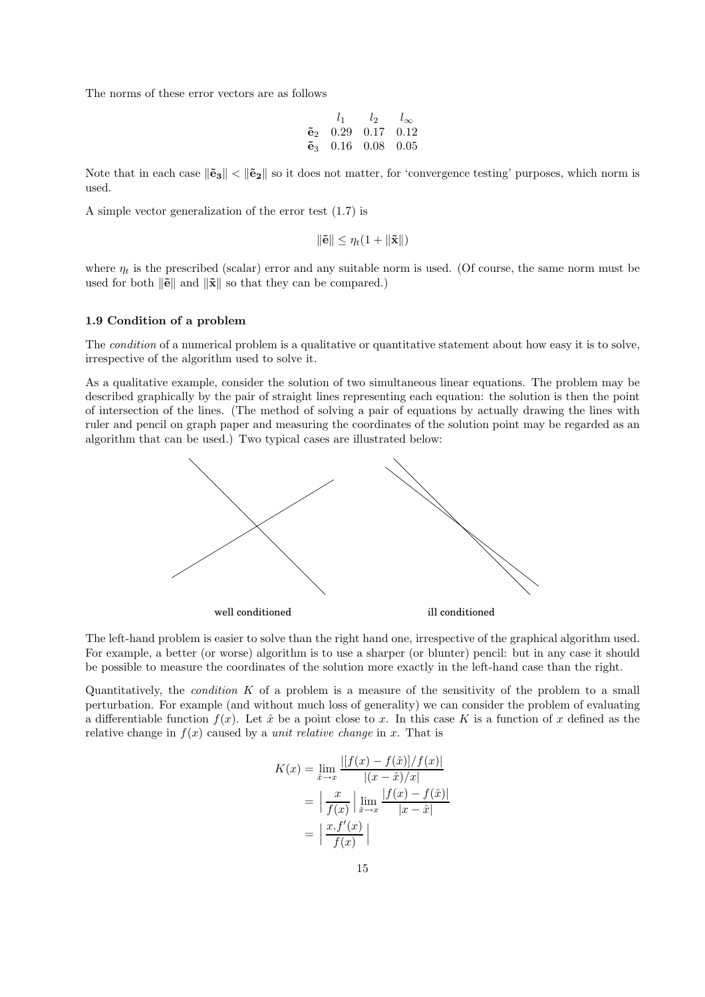The norms of these error vectors are as follows

| $l_{1}$                      | $l_2$ | $l_{\infty}$ |
|------------------------------|-------|--------------|
| $\tilde{e}_2$ 0.29 0.17 0.12 |       |              |
| $\tilde{e}_3$ 0.16 0.08 0.05 |       |              |

Note that in each case  $\|\tilde{\mathbf{e}}_3\| < \|\tilde{\mathbf{e}}_2\|$  so it does not matter, for 'convergence testing' purposes, which norm is used.

A simple vector generalization of the error test (1.7) is

$$
\|\tilde{\mathbf{e}}\| \leq \eta_t(1 + \|\tilde{\mathbf{x}}\|)
$$

where  $\eta_t$  is the prescribed (scalar) error and any suitable norm is used. (Of course, the same norm must be used for both  $\|\tilde{\mathbf{e}}\|$  and  $\|\tilde{\mathbf{x}}\|$  so that they can be compared.)

#### 1.9 Condition of a problem

The *condition* of a numerical problem is a qualitative or quantitative statement about how easy it is to solve, irrespective of the algorithm used to solve it.

As a qualitative example, consider the solution of two simultaneous linear equations. The problem may be described graphically by the pair of straight lines representing each equation: the solution is then the point of intersection of the lines. (The method of solving a pair of equations by actually drawing the lines with ruler and pencil on graph paper and measuring the coordinates of the solution point may be regarded as an algorithm that can be used.) Two typical cases are illustrated below:



The left-hand problem is easier to solve than the right hand one, irrespective of the graphical algorithm used. For example, a better (or worse) algorithm is to use a sharper (or blunter) pencil: but in any case it should be possible to measure the coordinates of the solution more exactly in the left-hand case than the right.

Quantitatively, the *condition*  $K$  of a problem is a measure of the sensitivity of the problem to a small perturbation. For example (and without much loss of generality) we can consider the problem of evaluating a differentiable function  $f(x)$ . Let  $\hat{x}$  be a point close to x. In this case K is a function of x defined as the relative change in  $f(x)$  caused by a *unit relative change* in x. That is

$$
K(x) = \lim_{\hat{x} \to x} \frac{|[f(x) - f(\hat{x})]/f(x)|}{|(x - \hat{x})/x|}
$$
  
=  $\left| \frac{x}{f(x)} \right| \lim_{\hat{x} \to x} \frac{|f(x) - f(\hat{x})|}{|x - \hat{x}|}$   
=  $\left| \frac{x \cdot f'(x)}{f(x)} \right|$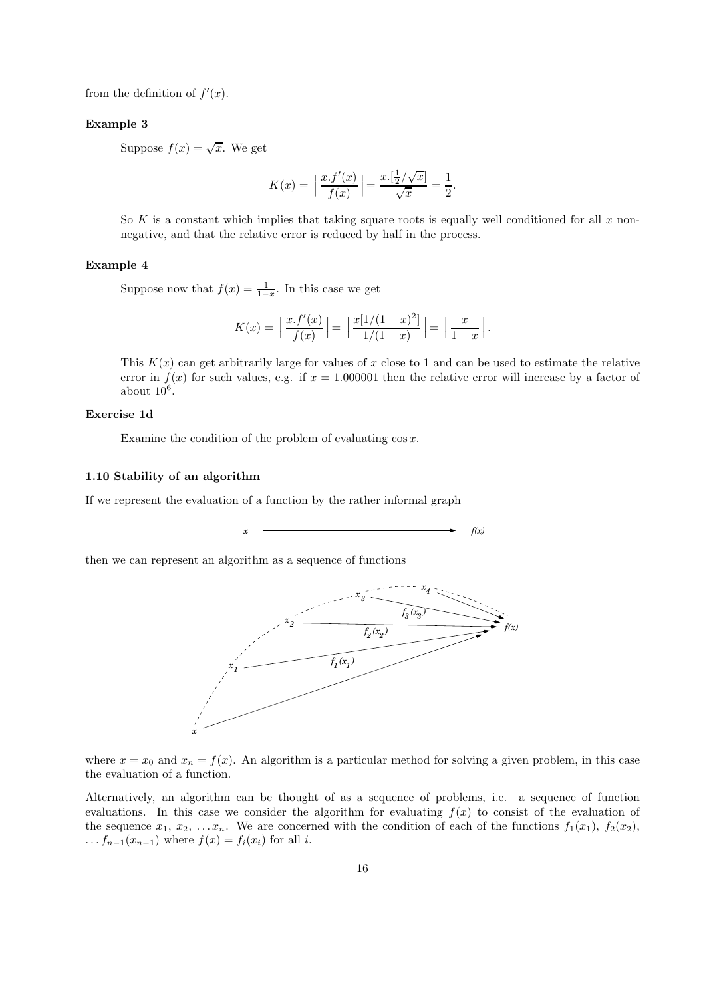from the definition of  $f'(x)$ .

## Example 3

Suppose  $f(x) = \sqrt{x}$ . We get

$$
K(x) = \left| \frac{x \cdot f'(x)}{f(x)} \right| = \frac{x \cdot \left(\frac{1}{2} / \sqrt{x}\right)}{\sqrt{x}} = \frac{1}{2}.
$$

So K is a constant which implies that taking square roots is equally well conditioned for all  $x$  nonnegative, and that the relative error is reduced by half in the process.

## Example 4

Suppose now that  $f(x) = \frac{1}{1-x}$ . In this case we get

$$
K(x) = \left| \frac{x \cdot f'(x)}{f(x)} \right| = \left| \frac{x[1/(1-x)^2]}{1/(1-x)} \right| = \left| \frac{x}{1-x} \right|.
$$

This  $K(x)$  can get arbitrarily large for values of x close to 1 and can be used to estimate the relative error in  $f(x)$  for such values, e.g. if  $x = 1.000001$  then the relative error will increase by a factor of about  $10^6$ .

## Exercise 1d

Examine the condition of the problem of evaluating  $\cos x$ .

## 1.10 Stability of an algorithm

If we represent the evaluation of a function by the rather informal graph

 $x \rightarrow f(x)$ 

then we can represent an algorithm as a sequence of functions



where  $x = x_0$  and  $x_n = f(x)$ . An algorithm is a particular method for solving a given problem, in this case the evaluation of a function.

Alternatively, an algorithm can be thought of as a sequence of problems, i.e. a sequence of function evaluations. In this case we consider the algorithm for evaluating  $f(x)$  to consist of the evaluation of the sequence  $x_1, x_2, \ldots, x_n$ . We are concerned with the condition of each of the functions  $f_1(x_1), f_2(x_2),$  $\ldots f_{n-1}(x_{n-1})$  where  $f(x) = f_i(x_i)$  for all i.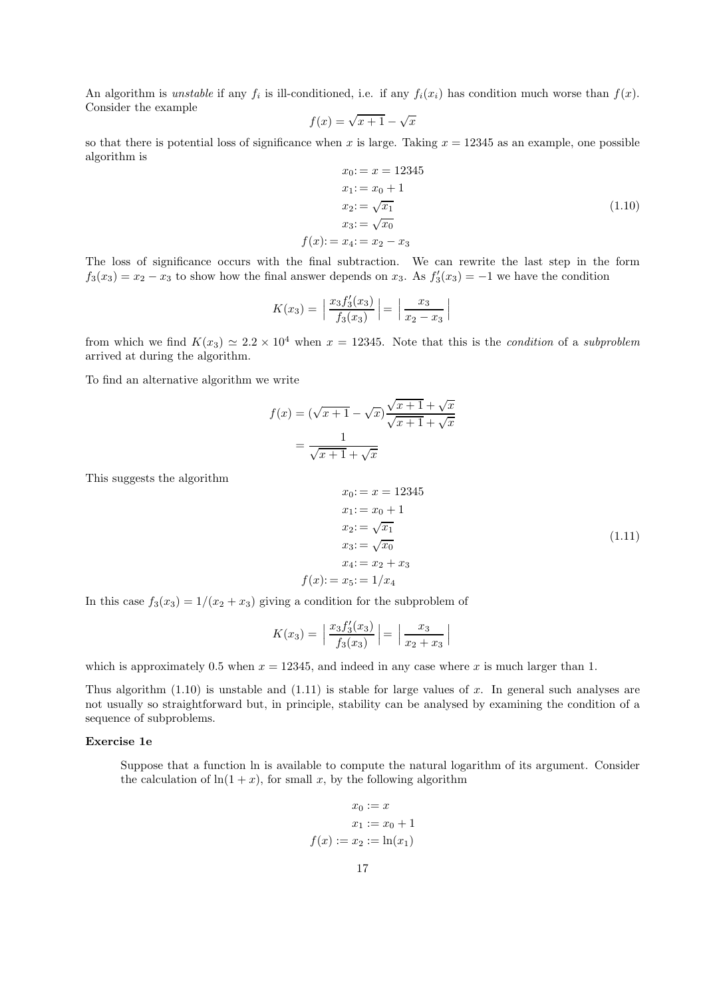An algorithm is *unstable* if any  $f_i$  is ill-conditioned, i.e. if any  $f_i(x_i)$  has condition much worse than  $f(x)$ . Consider the example

$$
f(x) = \sqrt{x+1} - \sqrt{x}
$$

so that there is potential loss of significance when x is large. Taking  $x = 12345$  as an example, one possible algorithm is

$$
x_0: = x = 12345\n x_1: = x_0 + 1\n x_2: = \sqrt{x_1}\n x_3: = \sqrt{x_0}\n f(x): = x_4: = x_2 - x_3
$$
\n(1.10)

The loss of significance occurs with the final subtraction. We can rewrite the last step in the form  $f_3(x_3) = x_2 - x_3$  to show how the final answer depends on  $x_3$ . As  $f'_3(x_3) = -1$  we have the condition

$$
K(x_3) = \left| \frac{x_3 f_3'(x_3)}{f_3(x_3)} \right| = \left| \frac{x_3}{x_2 - x_3} \right|
$$

from which we find  $K(x_3) \simeq 2.2 \times 10^4$  when  $x = 12345$ . Note that this is the *condition* of a *subproblem* arrived at during the algorithm.

To find an alternative algorithm we write

$$
f(x) = (\sqrt{x+1} - \sqrt{x})\frac{\sqrt{x+1} + \sqrt{x}}{\sqrt{x+1} + \sqrt{x}}
$$

$$
= \frac{1}{\sqrt{x+1} + \sqrt{x}}
$$

This suggests the algorithm

$$
x_0: = x = 12345\n x_1: = x_0 + 1\n x_2: = \sqrt{x_1}\n x_3: = \sqrt{x_0}\n x_4: = x_2 + x_3\n f(x): = x_5: = 1/x_4
$$
\n(1.11)

In this case  $f_3(x_3) = 1/(x_2 + x_3)$  giving a condition for the subproblem of

$$
K(x_3) = \left| \frac{x_3 f_3'(x_3)}{f_3(x_3)} \right| = \left| \frac{x_3}{x_2 + x_3} \right|
$$

which is approximately 0.5 when  $x = 12345$ , and indeed in any case where x is much larger than 1.

Thus algorithm  $(1.10)$  is unstable and  $(1.11)$  is stable for large values of x. In general such analyses are not usually so straightforward but, in principle, stability can be analysed by examining the condition of a sequence of subproblems.

## Exercise 1e

Suppose that a function ln is available to compute the natural logarithm of its argument. Consider the calculation of  $\ln(1+x)$ , for small x, by the following algorithm

$$
x_0 := x
$$
  

$$
x_1 := x_0 + 1
$$
  

$$
f(x) := x_2 := \ln(x_1)
$$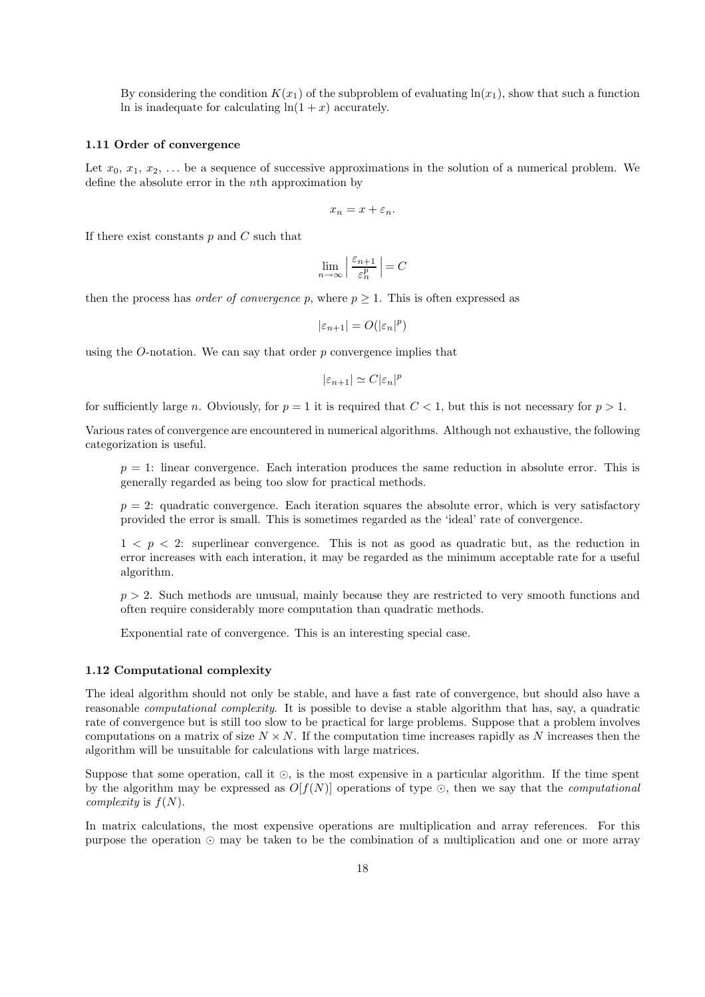By considering the condition  $K(x_1)$  of the subproblem of evaluating  $\ln(x_1)$ , show that such a function In is inadequate for calculating  $ln(1 + x)$  accurately.

#### 1.11 Order of convergence

Let  $x_0, x_1, x_2, \ldots$  be a sequence of successive approximations in the solution of a numerical problem. We define the absolute error in the nth approximation by

$$
x_n=x+\varepsilon_n.
$$

If there exist constants  $p$  and  $C$  such that

$$
\lim_{n \to \infty} \left| \frac{\varepsilon_{n+1}}{\varepsilon_n^p} \right| = C
$$

then the process has *order of convergence* p, where  $p \geq 1$ . This is often expressed as

$$
|\varepsilon_{n+1}| = O(|\varepsilon_n|^p)
$$

using the *O*-notation. We can say that order  $p$  convergence implies that

$$
|\varepsilon_{n+1}| \simeq C |\varepsilon_n|^p
$$

for sufficiently large n. Obviously, for  $p = 1$  it is required that  $C < 1$ , but this is not necessary for  $p > 1$ .

Various rates of convergence are encountered in numerical algorithms. Although not exhaustive, the following categorization is useful.

 $p = 1$ : linear convergence. Each interation produces the same reduction in absolute error. This is generally regarded as being too slow for practical methods.

 $p = 2$ : quadratic convergence. Each iteration squares the absolute error, which is very satisfactory provided the error is small. This is sometimes regarded as the 'ideal' rate of convergence.

 $1 < p < 2$ : superlinear convergence. This is not as good as quadratic but, as the reduction in error increases with each interation, it may be regarded as the minimum acceptable rate for a useful algorithm.

 $p > 2$ . Such methods are unusual, mainly because they are restricted to very smooth functions and often require considerably more computation than quadratic methods.

Exponential rate of convergence. This is an interesting special case.

### 1.12 Computational complexity

The ideal algorithm should not only be stable, and have a fast rate of convergence, but should also have a reasonable computational complexity. It is possible to devise a stable algorithm that has, say, a quadratic rate of convergence but is still too slow to be practical for large problems. Suppose that a problem involves computations on a matrix of size  $N \times N$ . If the computation time increases rapidly as N increases then the algorithm will be unsuitable for calculations with large matrices.

Suppose that some operation, call it ⊙, is the most expensive in a particular algorithm. If the time spent by the algorithm may be expressed as  $O[f(N)]$  operations of type ⊙, then we say that the *computational complexity* is  $f(N)$ .

In matrix calculations, the most expensive operations are multiplication and array references. For this purpose the operation ⊙ may be taken to be the combination of a multiplication and one or more array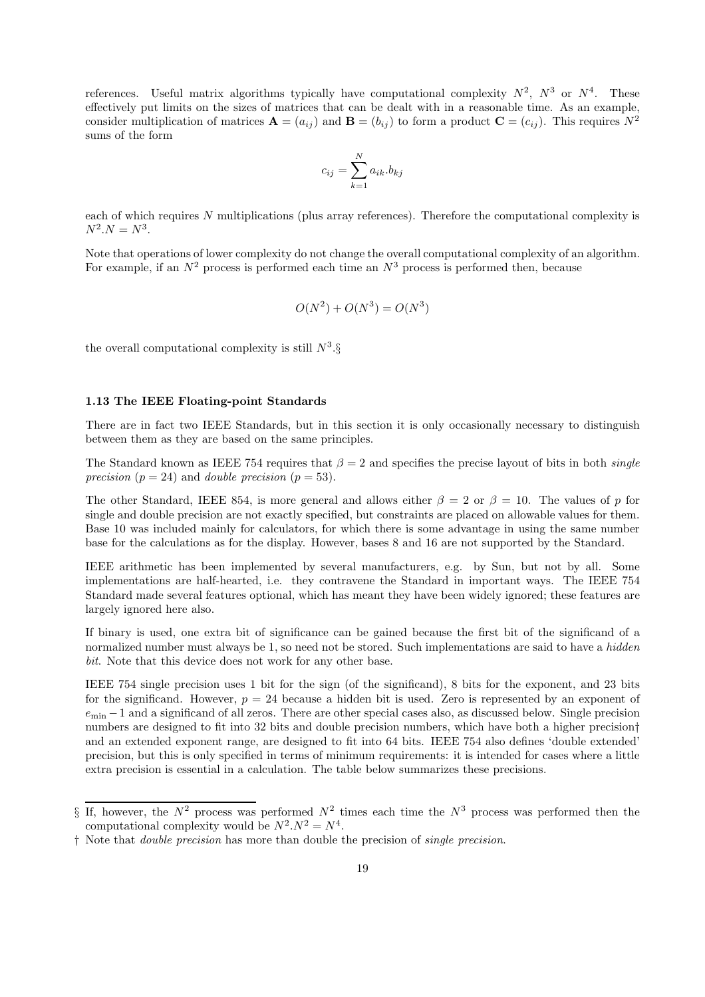references. Useful matrix algorithms typically have computational complexity  $N^2$ ,  $N^3$  or  $N^4$ . These effectively put limits on the sizes of matrices that can be dealt with in a reasonable time. As an example, consider multiplication of matrices  $\mathbf{A} = (a_{ij})$  and  $\mathbf{B} = (b_{ij})$  to form a product  $\mathbf{C} = (c_{ij})$ . This requires  $N^2$ sums of the form

$$
c_{ij} = \sum_{k=1}^{N} a_{ik} b_{kj}
$$

each of which requires N multiplications (plus array references). Therefore the computational complexity is  $N^2.N = N^3.$ 

Note that operations of lower complexity do not change the overall computational complexity of an algorithm. For example, if an  $N^2$  process is performed each time an  $N^3$  process is performed then, because

$$
O(N^2) + O(N^3) = O(N^3)
$$

the overall computational complexity is still  $N^3$ .

## 1.13 The IEEE Floating-point Standards

There are in fact two IEEE Standards, but in this section it is only occasionally necessary to distinguish between them as they are based on the same principles.

The Standard known as IEEE 754 requires that  $\beta = 2$  and specifies the precise layout of bits in both *single* precision ( $p = 24$ ) and *double precision* ( $p = 53$ ).

The other Standard, IEEE 854, is more general and allows either  $\beta = 2$  or  $\beta = 10$ . The values of p for single and double precision are not exactly specified, but constraints are placed on allowable values for them. Base 10 was included mainly for calculators, for which there is some advantage in using the same number base for the calculations as for the display. However, bases 8 and 16 are not supported by the Standard.

IEEE arithmetic has been implemented by several manufacturers, e.g. by Sun, but not by all. Some implementations are half-hearted, i.e. they contravene the Standard in important ways. The IEEE 754 Standard made several features optional, which has meant they have been widely ignored; these features are largely ignored here also.

If binary is used, one extra bit of significance can be gained because the first bit of the significand of a normalized number must always be 1, so need not be stored. Such implementations are said to have a *hidden* bit. Note that this device does not work for any other base.

IEEE 754 single precision uses 1 bit for the sign (of the significand), 8 bits for the exponent, and 23 bits for the significand. However,  $p = 24$  because a hidden bit is used. Zero is represented by an exponent of  $e_{\text{min}} - 1$  and a significand of all zeros. There are other special cases also, as discussed below. Single precision numbers are designed to fit into 32 bits and double precision numbers, which have both a higher precision† and an extended exponent range, are designed to fit into 64 bits. IEEE 754 also defines 'double extended' precision, but this is only specified in terms of minimum requirements: it is intended for cases where a little extra precision is essential in a calculation. The table below summarizes these precisions.

<sup>§</sup> If, however, the  $N^2$  process was performed  $N^2$  times each time the  $N^3$  process was performed then the computational complexity would be  $N^2.N^2 = N^4$ .

<sup>†</sup> Note that double precision has more than double the precision of single precision.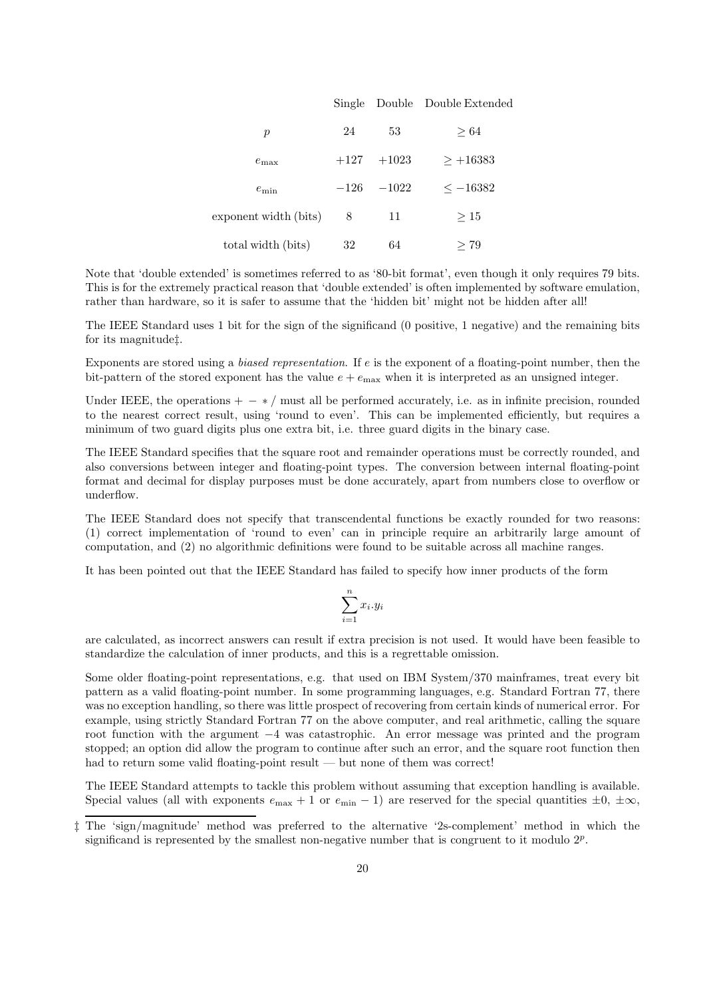|                       |        |              | Single Double Double Extended |
|-----------------------|--------|--------------|-------------------------------|
| $\boldsymbol{p}$      | 24     | 53           | $\geq 64$                     |
| $e_{\rm max}$         |        | $+127 +1023$ | $> +16383$                    |
| $e_{\min}$            | $-126$ | $-1022$      | $\leq -16382$                 |
| exponent width (bits) | 8      | 11           | >15                           |
| total width (bits)    | 32     | 64           | >79                           |

Note that 'double extended' is sometimes referred to as '80-bit format', even though it only requires 79 bits. This is for the extremely practical reason that 'double extended' is often implemented by software emulation, rather than hardware, so it is safer to assume that the 'hidden bit' might not be hidden after all!

The IEEE Standard uses 1 bit for the sign of the significand (0 positive, 1 negative) and the remaining bits for its magnitude‡.

Exponents are stored using a biased representation. If e is the exponent of a floating-point number, then the bit-pattern of the stored exponent has the value  $e + e_{\text{max}}$  when it is interpreted as an unsigned integer.

Under IEEE, the operations  $+ - * /$  must all be performed accurately, i.e. as in infinite precision, rounded to the nearest correct result, using 'round to even'. This can be implemented efficiently, but requires a minimum of two guard digits plus one extra bit, i.e. three guard digits in the binary case.

The IEEE Standard specifies that the square root and remainder operations must be correctly rounded, and also conversions between integer and floating-point types. The conversion between internal floating-point format and decimal for display purposes must be done accurately, apart from numbers close to overflow or underflow.

The IEEE Standard does not specify that transcendental functions be exactly rounded for two reasons: (1) correct implementation of 'round to even' can in principle require an arbitrarily large amount of computation, and (2) no algorithmic definitions were found to be suitable across all machine ranges.

It has been pointed out that the IEEE Standard has failed to specify how inner products of the form

$$
\sum_{i=1}^{n} x_i \cdot y_i
$$

are calculated, as incorrect answers can result if extra precision is not used. It would have been feasible to standardize the calculation of inner products, and this is a regrettable omission.

Some older floating-point representations, e.g. that used on IBM System/370 mainframes, treat every bit pattern as a valid floating-point number. In some programming languages, e.g. Standard Fortran 77, there was no exception handling, so there was little prospect of recovering from certain kinds of numerical error. For example, using strictly Standard Fortran 77 on the above computer, and real arithmetic, calling the square root function with the argument −4 was catastrophic. An error message was printed and the program stopped; an option did allow the program to continue after such an error, and the square root function then had to return some valid floating-point result — but none of them was correct!

The IEEE Standard attempts to tackle this problem without assuming that exception handling is available. Special values (all with exponents  $e_{\text{max}} + 1$  or  $e_{\text{min}} - 1$ ) are reserved for the special quantities  $\pm 0$ ,  $\pm \infty$ ,

<sup>‡</sup> The 'sign/magnitude' method was preferred to the alternative '2s-complement' method in which the significand is represented by the smallest non-negative number that is congruent to it modulo  $2^p$ .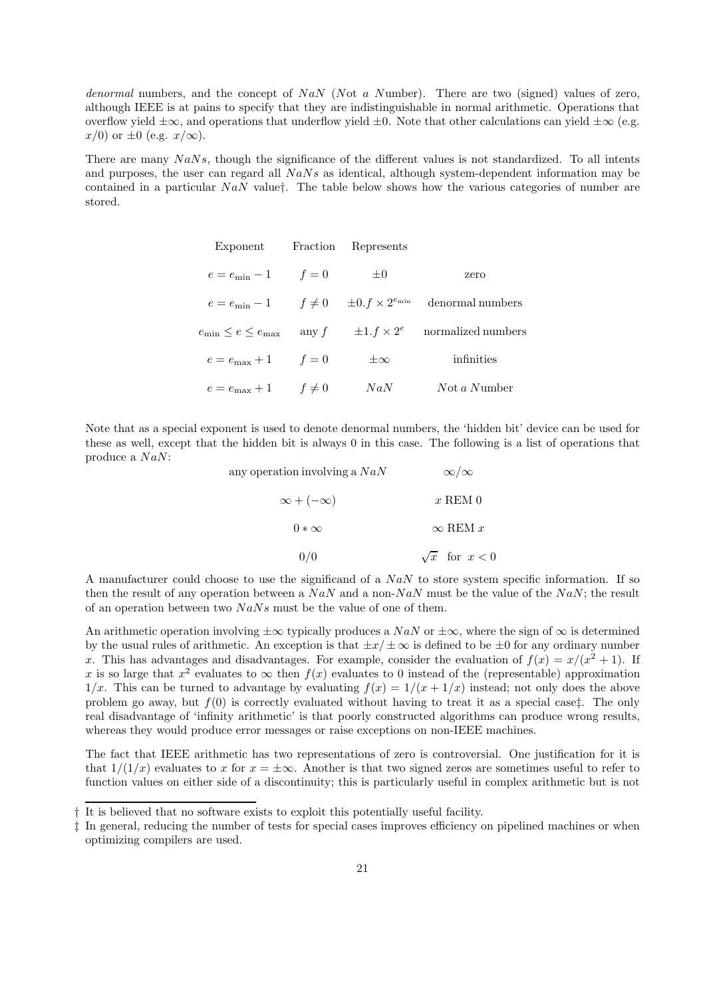denormal numbers, and the concept of NaN (Not a Number). There are two (signed) values of zero, although IEEE is at pains to specify that they are indistinguishable in normal arithmetic. Operations that overflow yield  $\pm\infty$ , and operations that underflow yield  $\pm 0$ . Note that other calculations can yield  $\pm\infty$  (e.g.  $x/0$  or  $\pm 0$  (e.g.  $x/\infty$ ).

There are many  $N a N s$ , though the significance of the different values is not standardized. To all intents and purposes, the user can regard all  $NaNs$  as identical, although system-dependent information may be contained in a particular  $N a N$  value†. The table below shows how the various categories of number are stored.

| Exponent Fraction Represents     |            |             |                                                                               |
|----------------------------------|------------|-------------|-------------------------------------------------------------------------------|
| $e = e_{\min} - 1$ $f = 0$       |            | $\pm 0$     | zero                                                                          |
|                                  |            |             | $e = e_{\min} - 1$ $f \neq 0$ $\pm 0. f \times 2^{e_{\min}}$ denormal numbers |
| $e_{\min} \leq e \leq e_{\max}$  | any $f$    |             | $\pm 1.f \times 2^e$ normalized numbers                                       |
| $e = e_{\text{max}} + 1$ $f = 0$ |            | $\pm\infty$ | infinities                                                                    |
| $e=e_{\text{max}}+1$             | $f \neq 0$ | NaN         | $Not\,a\,Number$                                                              |

Note that as a special exponent is used to denote denormal numbers, the 'hidden bit' device can be used for these as well, except that the hidden bit is always 0 in this case. The following is a list of operations that produce a  $NaN$ :

| any operation involving a $NaN$ | $\infty/\infty$        |
|---------------------------------|------------------------|
| $\infty + (-\infty)$            | $x$ REM $0$            |
| $0 * \infty$                    | $\infty$ REM x         |
| 0/0                             | $\sqrt{x}$ for $x < 0$ |

A manufacturer could choose to use the significand of a  $NaN$  to store system specific information. If so then the result of any operation between a NaN and a non-NaN must be the value of the NaN; the result of an operation between two  $N a N s$  must be the value of one of them.

An arithmetic operation involving  $\pm\infty$  typically produces a NaN or  $\pm\infty$ , where the sign of  $\infty$  is determined by the usual rules of arithmetic. An exception is that  $\pm x/\pm \infty$  is defined to be  $\pm 0$  for any ordinary number x. This has advantages and disadvantages. For example, consider the evaluation of  $f(x) = x/(x^2 + 1)$ . If x is so large that  $x^2$  evaluates to  $\infty$  then  $f(x)$  evaluates to 0 instead of the (representable) approximation  $1/x$ . This can be turned to advantage by evaluating  $f(x) = 1/(x + 1/x)$  instead; not only does the above problem go away, but  $f(0)$  is correctly evaluated without having to treat it as a special case<sup>†</sup>. The only real disadvantage of 'infinity arithmetic' is that poorly constructed algorithms can produce wrong results, whereas they would produce error messages or raise exceptions on non-IEEE machines.

The fact that IEEE arithmetic has two representations of zero is controversial. One justification for it is that  $1/(1/x)$  evaluates to x for  $x = \pm \infty$ . Another is that two signed zeros are sometimes useful to refer to function values on either side of a discontinuity; this is particularly useful in complex arithmetic but is not

<sup>†</sup> It is believed that no software exists to exploit this potentially useful facility.

<sup>‡</sup> In general, reducing the number of tests for special cases improves efficiency on pipelined machines or when optimizing compilers are used.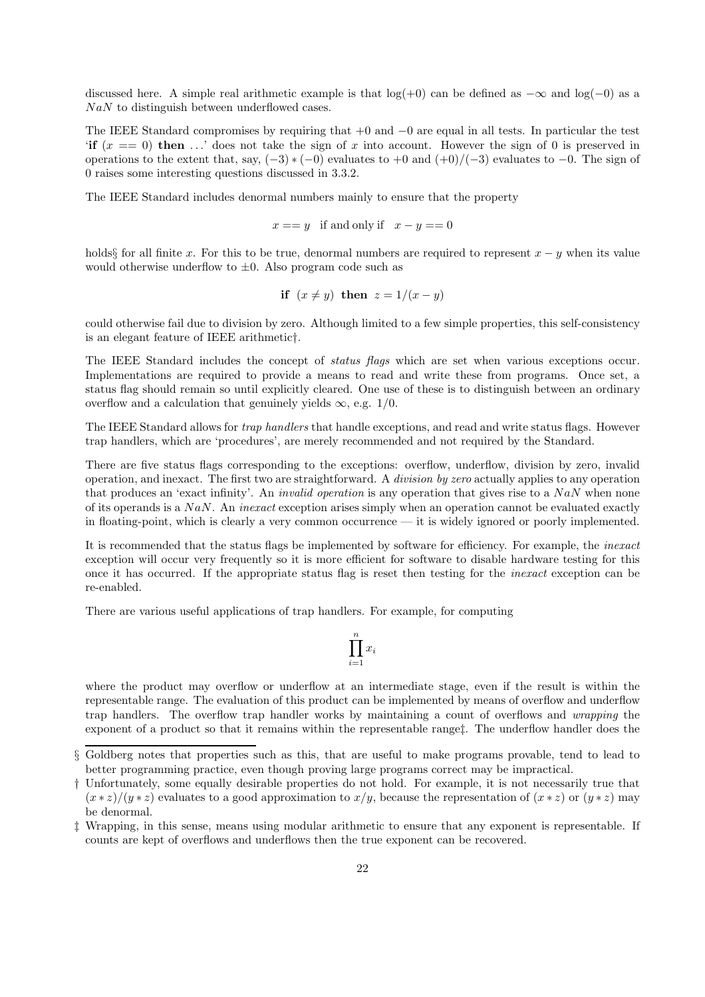discussed here. A simple real arithmetic example is that  $log(+0)$  can be defined as  $-\infty$  and  $log(-0)$  as a  $N a N$  to distinguish between underflowed cases.

The IEEE Standard compromises by requiring that +0 and −0 are equal in all tests. In particular the test 'if  $(x == 0)$  then ...' does not take the sign of x into account. However the sign of 0 is preserved in operations to the extent that, say,  $(-3) * (-0)$  evaluates to  $+0$  and  $(+0)/(-3)$  evaluates to  $-0$ . The sign of 0 raises some interesting questions discussed in 3.3.2.

The IEEE Standard includes denormal numbers mainly to ensure that the property

$$
x == y \text{ if and only if } x - y == 0
$$

holds§ for all finite x. For this to be true, denormal numbers are required to represent  $x - y$  when its value would otherwise underflow to  $\pm 0$ . Also program code such as

$$
if (x \neq y) then z = 1/(x - y)
$$

could otherwise fail due to division by zero. Although limited to a few simple properties, this self-consistency is an elegant feature of IEEE arithmetic†.

The IEEE Standard includes the concept of status flags which are set when various exceptions occur. Implementations are required to provide a means to read and write these from programs. Once set, a status flag should remain so until explicitly cleared. One use of these is to distinguish between an ordinary overflow and a calculation that genuinely yields  $\infty$ , e.g. 1/0.

The IEEE Standard allows for *trap handlers* that handle exceptions, and read and write status flags. However trap handlers, which are 'procedures', are merely recommended and not required by the Standard.

There are five status flags corresponding to the exceptions: overflow, underflow, division by zero, invalid operation, and inexact. The first two are straightforward. A division by zero actually applies to any operation that produces an 'exact infinity'. An *invalid operation* is any operation that gives rise to a  $NaN$  when none of its operands is a  $N a N$ . An *inexact* exception arises simply when an operation cannot be evaluated exactly in floating-point, which is clearly a very common occurrence — it is widely ignored or poorly implemented.

It is recommended that the status flags be implemented by software for efficiency. For example, the *inexact* exception will occur very frequently so it is more efficient for software to disable hardware testing for this once it has occurred. If the appropriate status flag is reset then testing for the inexact exception can be re-enabled.

There are various useful applications of trap handlers. For example, for computing

$$
\prod_{i=1}^n x_i
$$

where the product may overflow or underflow at an intermediate stage, even if the result is within the representable range. The evaluation of this product can be implemented by means of overflow and underflow trap handlers. The overflow trap handler works by maintaining a count of overflows and wrapping the exponent of a product so that it remains within the representable range‡. The underflow handler does the

<sup>§</sup> Goldberg notes that properties such as this, that are useful to make programs provable, tend to lead to better programming practice, even though proving large programs correct may be impractical.

<sup>†</sup> Unfortunately, some equally desirable properties do not hold. For example, it is not necessarily true that  $(x * z)/(y * z)$  evaluates to a good approximation to  $x/y$ , because the representation of  $(x * z)$  or  $(y * z)$  may be denormal.

<sup>‡</sup> Wrapping, in this sense, means using modular arithmetic to ensure that any exponent is representable. If counts are kept of overflows and underflows then the true exponent can be recovered.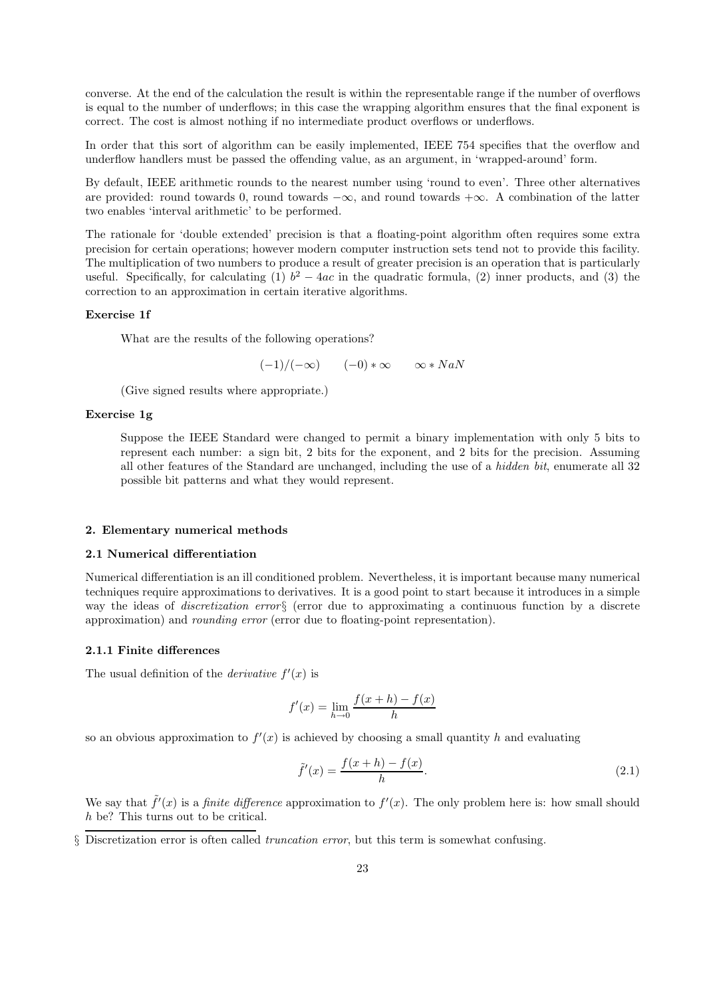converse. At the end of the calculation the result is within the representable range if the number of overflows is equal to the number of underflows; in this case the wrapping algorithm ensures that the final exponent is correct. The cost is almost nothing if no intermediate product overflows or underflows.

In order that this sort of algorithm can be easily implemented, IEEE 754 specifies that the overflow and underflow handlers must be passed the offending value, as an argument, in 'wrapped-around' form.

By default, IEEE arithmetic rounds to the nearest number using 'round to even'. Three other alternatives are provided: round towards 0, round towards  $-\infty$ , and round towards  $+\infty$ . A combination of the latter two enables 'interval arithmetic' to be performed.

The rationale for 'double extended' precision is that a floating-point algorithm often requires some extra precision for certain operations; however modern computer instruction sets tend not to provide this facility. The multiplication of two numbers to produce a result of greater precision is an operation that is particularly useful. Specifically, for calculating (1)  $b^2 - 4ac$  in the quadratic formula, (2) inner products, and (3) the correction to an approximation in certain iterative algorithms.

#### Exercise 1f

What are the results of the following operations?

 $(-1)/(-\infty)$   $(-0)*\infty$   $\infty *$  NaN

(Give signed results where appropriate.)

#### Exercise 1g

Suppose the IEEE Standard were changed to permit a binary implementation with only 5 bits to represent each number: a sign bit, 2 bits for the exponent, and 2 bits for the precision. Assuming all other features of the Standard are unchanged, including the use of a hidden bit, enumerate all 32 possible bit patterns and what they would represent.

#### 2. Elementary numerical methods

### 2.1 Numerical differentiation

Numerical differentiation is an ill conditioned problem. Nevertheless, it is important because many numerical techniques require approximations to derivatives. It is a good point to start because it introduces in a simple way the ideas of discretization error§ (error due to approximating a continuous function by a discrete approximation) and rounding error (error due to floating-point representation).

#### 2.1.1 Finite differences

The usual definition of the *derivative*  $f'(x)$  is

$$
f'(x) = \lim_{h \to 0} \frac{f(x+h) - f(x)}{h}
$$

so an obvious approximation to  $f'(x)$  is achieved by choosing a small quantity h and evaluating

$$
\tilde{f}'(x) = \frac{f(x+h) - f(x)}{h}.
$$
\n(2.1)

We say that  $\tilde{f}'(x)$  is a *finite difference* approximation to  $f'(x)$ . The only problem here is: how small should h be? This turns out to be critical.

§ Discretization error is often called truncation error, but this term is somewhat confusing.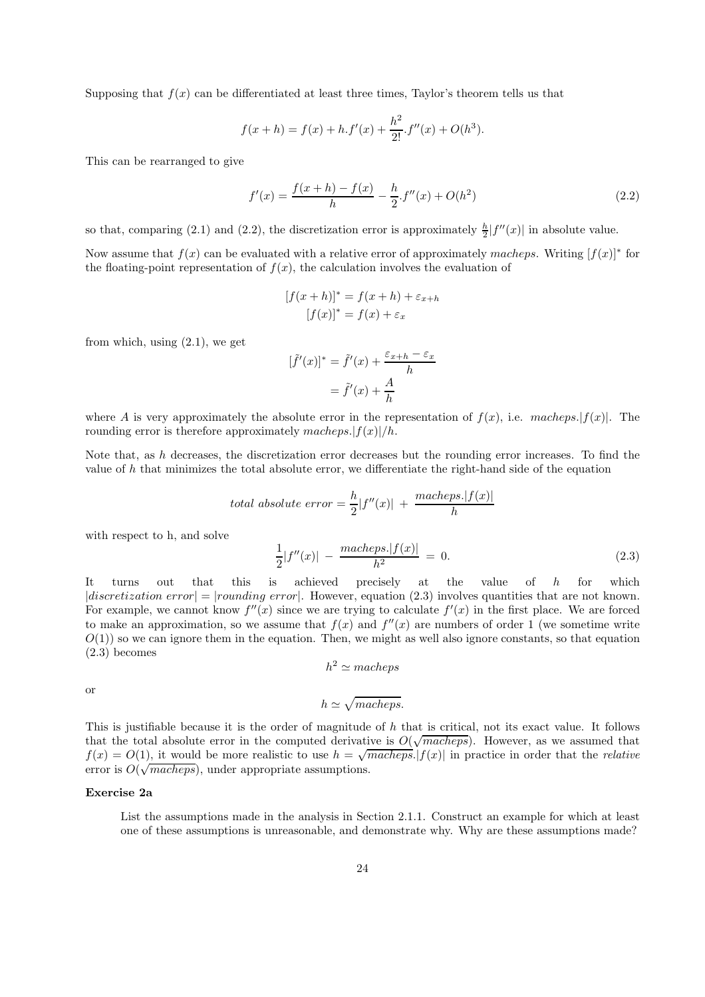Supposing that  $f(x)$  can be differentiated at least three times, Taylor's theorem tells us that

$$
f(x+h) = f(x) + h \cdot f'(x) + \frac{h^2}{2!} \cdot f''(x) + O(h^3).
$$

This can be rearranged to give

$$
f'(x) = \frac{f(x+h) - f(x)}{h} - \frac{h}{2} f''(x) + O(h^2)
$$
\n(2.2)

so that, comparing (2.1) and (2.2), the discretization error is approximately  $\frac{h}{2}|f''(x)|$  in absolute value.

Now assume that  $f(x)$  can be evaluated with a relative error of approximately macheps. Writing  $[f(x)]^*$  for the floating-point representation of  $f(x)$ , the calculation involves the evaluation of

$$
[f(x+h)]^* = f(x+h) + \varepsilon_{x+h}
$$

$$
[f(x)]^* = f(x) + \varepsilon_x
$$

from which, using (2.1), we get

$$
[\tilde{f}'(x)]^* = \tilde{f}'(x) + \frac{\varepsilon_{x+h} - \varepsilon_x}{h}
$$

$$
= \tilde{f}'(x) + \frac{A}{h}
$$

where A is very approximately the absolute error in the representation of  $f(x)$ , i.e. macheps. $|f(x)|$ . The rounding error is therefore approximately macheps. $|f(x)|/h$ .

Note that, as  $h$  decreases, the discretization error decreases but the rounding error increases. To find the value of  $h$  that minimizes the total absolute error, we differentiate the right-hand side of the equation

total absolute error = 
$$
\frac{h}{2}|f''(x)| + \frac{macheps.|f(x)|}{h}
$$

with respect to h, and solve

$$
\frac{1}{2}|f''(x)| - \frac{macheps.|f(x)|}{h^2} = 0.
$$
\n(2.3)

It turns out that this is achieved precisely at the value of h for which  $|discretization error| = |rounding error|$ . However, equation (2.3) involves quantities that are not known. For example, we cannot know  $f''(x)$  since we are trying to calculate  $f'(x)$  in the first place. We are forced to make an approximation, so we assume that  $f(x)$  and  $f''(x)$  are numbers of order 1 (we sometime write  $O(1)$  so we can ignore them in the equation. Then, we might as well also ignore constants, so that equation (2.3) becomes

$$
h^2 \simeq matches
$$

or

$$
h \simeq \sqrt{macheps}.
$$
 This is justifiable because it is the order of magnitude of h that is critical, not its exact value. It follows that the total absolute error in the computed derivative is  $O(\sqrt{macheps})$ . However, as we assumed that  $f(x) = O(1)$ , it would be more realistic to use  $h = \sqrt{macheps} \cdot |f(x)|$  in practice in order that the *relative*

#### Exercise 2a

error is  $O(\sqrt{macheps})$ , under appropriate assumptions.

List the assumptions made in the analysis in Section 2.1.1. Construct an example for which at least one of these assumptions is unreasonable, and demonstrate why. Why are these assumptions made?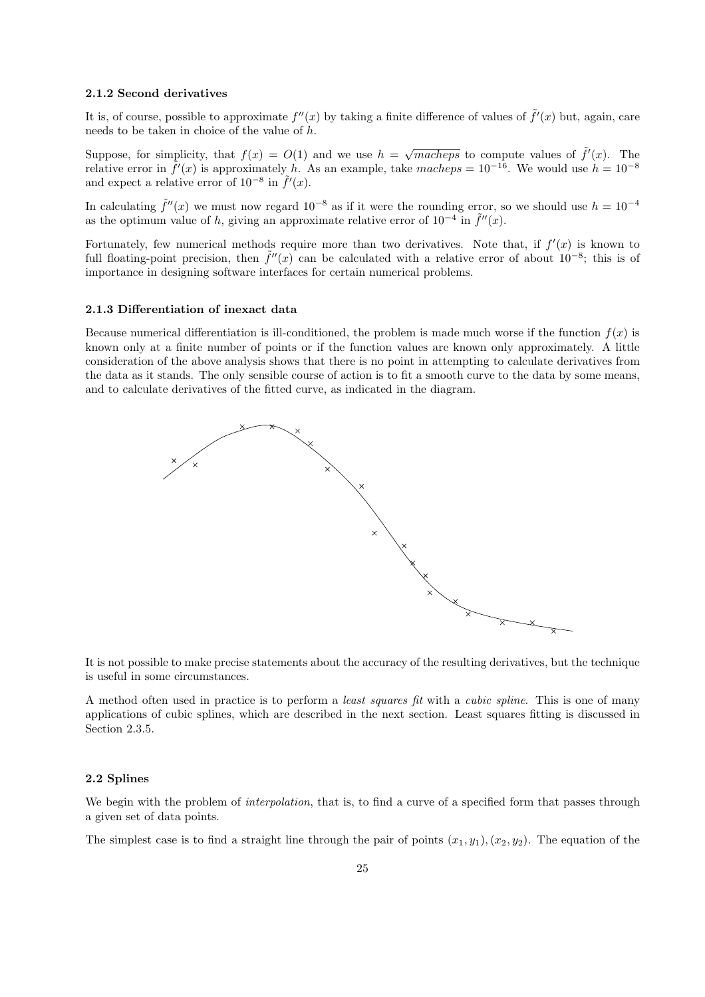#### 2.1.2 Second derivatives

It is, of course, possible to approximate  $f''(x)$  by taking a finite difference of values of  $\tilde{f}'(x)$  but, again, care needs to be taken in choice of the value of h.

Suppose, for simplicity, that  $f(x) = O(1)$  and we use  $h = \sqrt{macheps}$  to compute values of  $\tilde{f}'(x)$ . The relative error in  $\tilde{f}'(x)$  is approximately h. As an example, take macheps =  $10^{-16}$ . We would use  $h = 10^{-8}$ and expect a relative error of  $10^{-8}$  in  $\tilde{f}'(x)$ .

In calculating  $\tilde{f}''(x)$  we must now regard  $10^{-8}$  as if it were the rounding error, so we should use  $h = 10^{-4}$ as the optimum value of h, giving an approximate relative error of  $10^{-4}$  in  $\tilde{f}''(x)$ .

Fortunately, few numerical methods require more than two derivatives. Note that, if  $f'(x)$  is known to full floating-point precision, then  $\tilde{f}''(x)$  can be calculated with a relative error of about  $10^{-8}$ ; this is of importance in designing software interfaces for certain numerical problems.

#### 2.1.3 Differentiation of inexact data

Because numerical differentiation is ill-conditioned, the problem is made much worse if the function  $f(x)$  is known only at a finite number of points or if the function values are known only approximately. A little consideration of the above analysis shows that there is no point in attempting to calculate derivatives from the data as it stands. The only sensible course of action is to fit a smooth curve to the data by some means, and to calculate derivatives of the fitted curve, as indicated in the diagram.



It is not possible to make precise statements about the accuracy of the resulting derivatives, but the technique is useful in some circumstances.

A method often used in practice is to perform a least squares fit with a cubic spline. This is one of many applications of cubic splines, which are described in the next section. Least squares fitting is discussed in Section 2.3.5.

#### 2.2 Splines

We begin with the problem of *interpolation*, that is, to find a curve of a specified form that passes through a given set of data points.

The simplest case is to find a straight line through the pair of points  $(x_1, y_1), (x_2, y_2)$ . The equation of the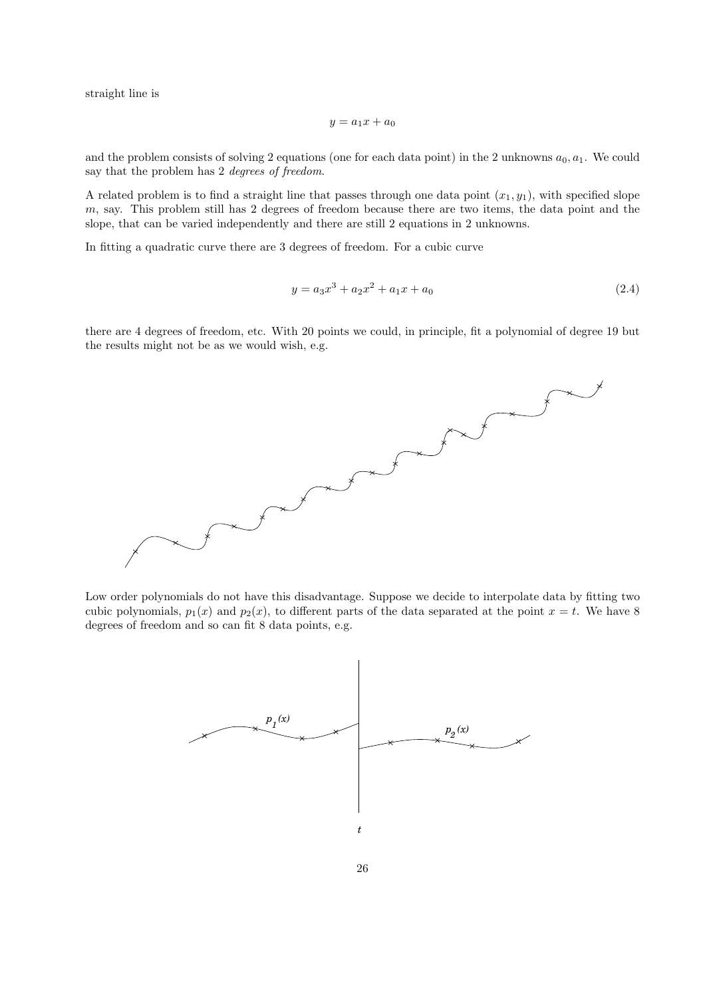straight line is

$$
y = a_1 x + a_0
$$

and the problem consists of solving 2 equations (one for each data point) in the 2 unknowns  $a_0, a_1$ . We could say that the problem has 2 degrees of freedom.

A related problem is to find a straight line that passes through one data point  $(x_1, y_1)$ , with specified slope m, say. This problem still has 2 degrees of freedom because there are two items, the data point and the slope, that can be varied independently and there are still 2 equations in 2 unknowns.

In fitting a quadratic curve there are 3 degrees of freedom. For a cubic curve

$$
y = a_3 x^3 + a_2 x^2 + a_1 x + a_0 \tag{2.4}
$$

there are 4 degrees of freedom, etc. With 20 points we could, in principle, fit a polynomial of degree 19 but the results might not be as we would wish, e.g.



Low order polynomials do not have this disadvantage. Suppose we decide to interpolate data by fitting two cubic polynomials,  $p_1(x)$  and  $p_2(x)$ , to different parts of the data separated at the point  $x = t$ . We have 8 degrees of freedom and so can fit 8 data points, e.g.

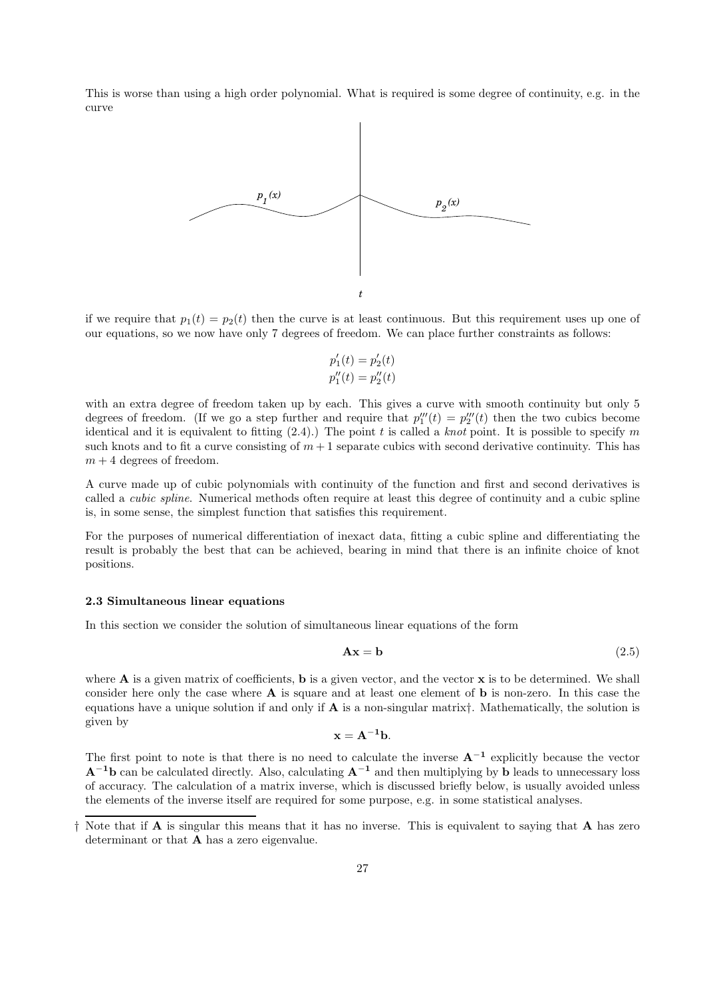This is worse than using a high order polynomial. What is required is some degree of continuity, e.g. in the curve



if we require that  $p_1(t) = p_2(t)$  then the curve is at least continuous. But this requirement uses up one of our equations, so we now have only 7 degrees of freedom. We can place further constraints as follows:

$$
p'_1(t) = p'_2(t)
$$
  

$$
p''_1(t) = p''_2(t)
$$

with an extra degree of freedom taken up by each. This gives a curve with smooth continuity but only 5 degrees of freedom. (If we go a step further and require that  $p_1'''(t) = p_2'''(t)$  then the two cubics become identical and it is equivalent to fitting  $(2.4)$ .) The point t is called a knot point. It is possible to specify m such knots and to fit a curve consisting of  $m + 1$  separate cubics with second derivative continuity. This has  $m + 4$  degrees of freedom.

A curve made up of cubic polynomials with continuity of the function and first and second derivatives is called a cubic spline. Numerical methods often require at least this degree of continuity and a cubic spline is, in some sense, the simplest function that satisfies this requirement.

For the purposes of numerical differentiation of inexact data, fitting a cubic spline and differentiating the result is probably the best that can be achieved, bearing in mind that there is an infinite choice of knot positions.

## 2.3 Simultaneous linear equations

In this section we consider the solution of simultaneous linear equations of the form

$$
Ax = b \tag{2.5}
$$

where **A** is a given matrix of coefficients, **b** is a given vector, and the vector **x** is to be determined. We shall consider here only the case where A is square and at least one element of b is non-zero. In this case the equations have a unique solution if and only if  $A$  is a non-singular matrix†. Mathematically, the solution is given by

$$
\mathbf{x} = \mathbf{A}^{-1} \mathbf{b}.
$$

The first point to note is that there is no need to calculate the inverse  $A^{-1}$  explicitly because the vector  $A^{-1}b$  can be calculated directly. Also, calculating  $A^{-1}$  and then multiplying by b leads to unnecessary loss of accuracy. The calculation of a matrix inverse, which is discussed briefly below, is usually avoided unless the elements of the inverse itself are required for some purpose, e.g. in some statistical analyses.

<sup>†</sup> Note that if A is singular this means that it has no inverse. This is equivalent to saying that A has zero determinant or that A has a zero eigenvalue.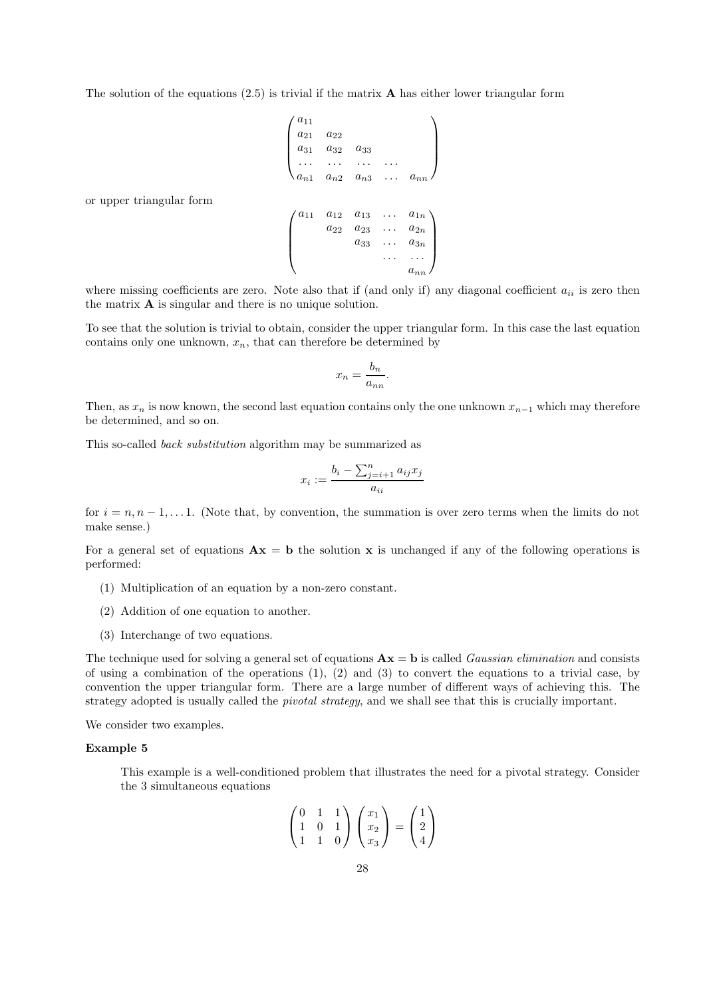The solution of the equations  $(2.5)$  is trivial if the matrix **A** has either lower triangular form

$$
\begin{pmatrix}\na_{11} & & & & \\
a_{21} & a_{22} & & & \\
a_{31} & a_{32} & a_{33} & & \\
\cdots & \cdots & \cdots & \cdots & \\
a_{n1} & a_{n2} & a_{n3} & \cdots & a_{nn}\n\end{pmatrix}
$$
\nor upper triangular form\n
$$
\begin{pmatrix}\na_{11} & a_{12} & a_{13} & \cdots & a_{1n} \\
a_{22} & a_{23} & \cdots & a_{2n} \\
a_{33} & \cdots & a_{3n} & \cdots & a_{nn}\n\end{pmatrix}
$$

where missing coefficients are zero. Note also that if (and only if) any diagonal coefficient  $a_{ii}$  is zero then the matrix A is singular and there is no unique solution.

To see that the solution is trivial to obtain, consider the upper triangular form. In this case the last equation contains only one unknown,  $x_n$ , that can therefore be determined by

$$
x_n = \frac{b_n}{a_{nn}}.
$$

Then, as  $x_n$  is now known, the second last equation contains only the one unknown  $x_{n-1}$  which may therefore be determined, and so on.

This so-called back substitution algorithm may be summarized as

$$
x_i := \frac{b_i - \sum_{j=i+1}^n a_{ij} x_j}{a_{ii}}
$$

for  $i = n, n - 1, \ldots 1$ . (Note that, by convention, the summation is over zero terms when the limits do not make sense.)

For a general set of equations  $\mathbf{A}\mathbf{x} = \mathbf{b}$  the solution x is unchanged if any of the following operations is performed:

- (1) Multiplication of an equation by a non-zero constant.
- (2) Addition of one equation to another.
- (3) Interchange of two equations.

The technique used for solving a general set of equations  $\mathbf{A} \mathbf{x} = \mathbf{b}$  is called *Gaussian elimination* and consists of using a combination of the operations  $(1), (2)$  and  $(3)$  to convert the equations to a trivial case, by convention the upper triangular form. There are a large number of different ways of achieving this. The strategy adopted is usually called the *pivotal strategy*, and we shall see that this is crucially important.

We consider two examples.

#### Example 5

This example is a well-conditioned problem that illustrates the need for a pivotal strategy. Consider the 3 simultaneous equations

$$
\begin{pmatrix} 0 & 1 & 1 \\ 1 & 0 & 1 \\ 1 & 1 & 0 \end{pmatrix} \begin{pmatrix} x_1 \\ x_2 \\ x_3 \end{pmatrix} = \begin{pmatrix} 1 \\ 2 \\ 4 \end{pmatrix}
$$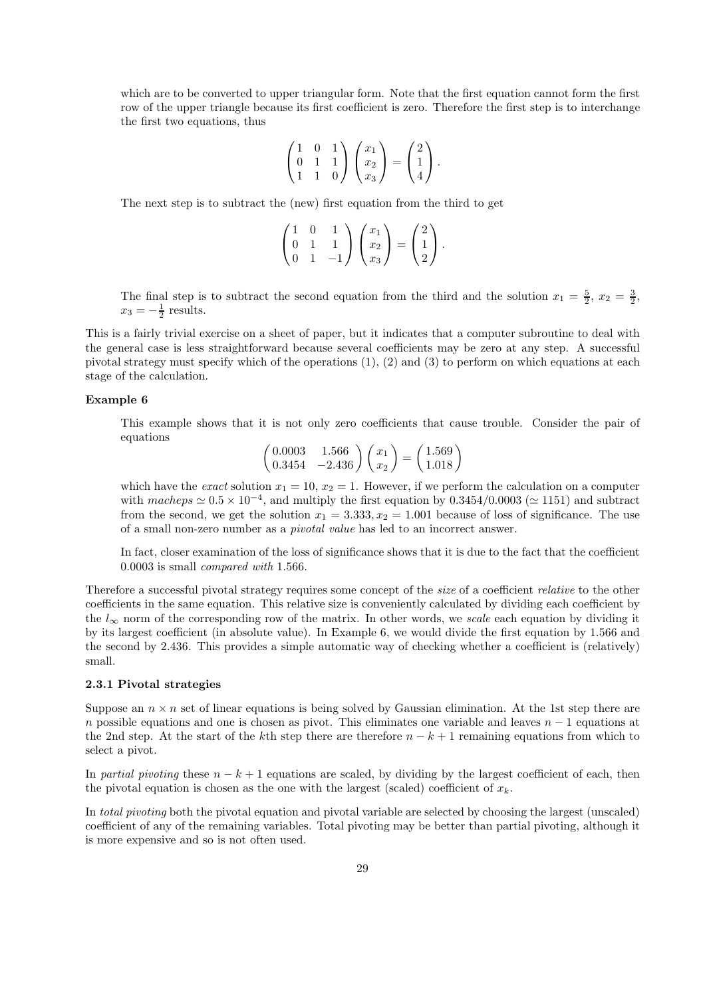which are to be converted to upper triangular form. Note that the first equation cannot form the first row of the upper triangle because its first coefficient is zero. Therefore the first step is to interchange the first two equations, thus

$$
\begin{pmatrix} 1 & 0 & 1 \\ 0 & 1 & 1 \\ 1 & 1 & 0 \end{pmatrix} \begin{pmatrix} x_1 \\ x_2 \\ x_3 \end{pmatrix} = \begin{pmatrix} 2 \\ 1 \\ 4 \end{pmatrix}.
$$

The next step is to subtract the (new) first equation from the third to get

$$
\begin{pmatrix} 1 & 0 & 1 \\ 0 & 1 & 1 \\ 0 & 1 & -1 \end{pmatrix} \begin{pmatrix} x_1 \\ x_2 \\ x_3 \end{pmatrix} = \begin{pmatrix} 2 \\ 1 \\ 2 \end{pmatrix}.
$$

The final step is to subtract the second equation from the third and the solution  $x_1 = \frac{5}{2}$ ,  $x_2 = \frac{3}{2}$ ,  $x_3 = -\frac{1}{2}$  results.

This is a fairly trivial exercise on a sheet of paper, but it indicates that a computer subroutine to deal with the general case is less straightforward because several coefficients may be zero at any step. A successful pivotal strategy must specify which of the operations (1), (2) and (3) to perform on which equations at each stage of the calculation.

## Example 6

This example shows that it is not only zero coefficients that cause trouble. Consider the pair of equations

> $\begin{pmatrix} 0.0003 & 1.566 \\ 0.3454 & -2.436 \end{pmatrix} \begin{pmatrix} x_1 \\ x_2 \end{pmatrix}$  $= \left( \frac{1.569}{1.018} \right)$

which have the exact solution  $x_1 = 10$ ,  $x_2 = 1$ . However, if we perform the calculation on a computer with  $macheps \simeq 0.5 \times 10^{-4}$ , and multiply the first equation by  $0.3454/0.0003 \ (\simeq 1151)$  and subtract from the second, we get the solution  $x_1 = 3.333, x_2 = 1.001$  because of loss of significance. The use of a small non-zero number as a pivotal value has led to an incorrect answer.

In fact, closer examination of the loss of significance shows that it is due to the fact that the coefficient 0.0003 is small compared with 1.566.

Therefore a successful pivotal strategy requires some concept of the size of a coefficient relative to the other coefficients in the same equation. This relative size is conveniently calculated by dividing each coefficient by the  $l_{\infty}$  norm of the corresponding row of the matrix. In other words, we scale each equation by dividing it by its largest coefficient (in absolute value). In Example 6, we would divide the first equation by 1.566 and the second by 2.436. This provides a simple automatic way of checking whether a coefficient is (relatively) small.

## 2.3.1 Pivotal strategies

Suppose an  $n \times n$  set of linear equations is being solved by Gaussian elimination. At the 1st step there are n possible equations and one is chosen as pivot. This eliminates one variable and leaves  $n - 1$  equations at the 2nd step. At the start of the kth step there are therefore  $n - k + 1$  remaining equations from which to select a pivot.

In partial pivoting these  $n - k + 1$  equations are scaled, by dividing by the largest coefficient of each, then the pivotal equation is chosen as the one with the largest (scaled) coefficient of  $x_k$ .

In total pivoting both the pivotal equation and pivotal variable are selected by choosing the largest (unscaled) coefficient of any of the remaining variables. Total pivoting may be better than partial pivoting, although it is more expensive and so is not often used.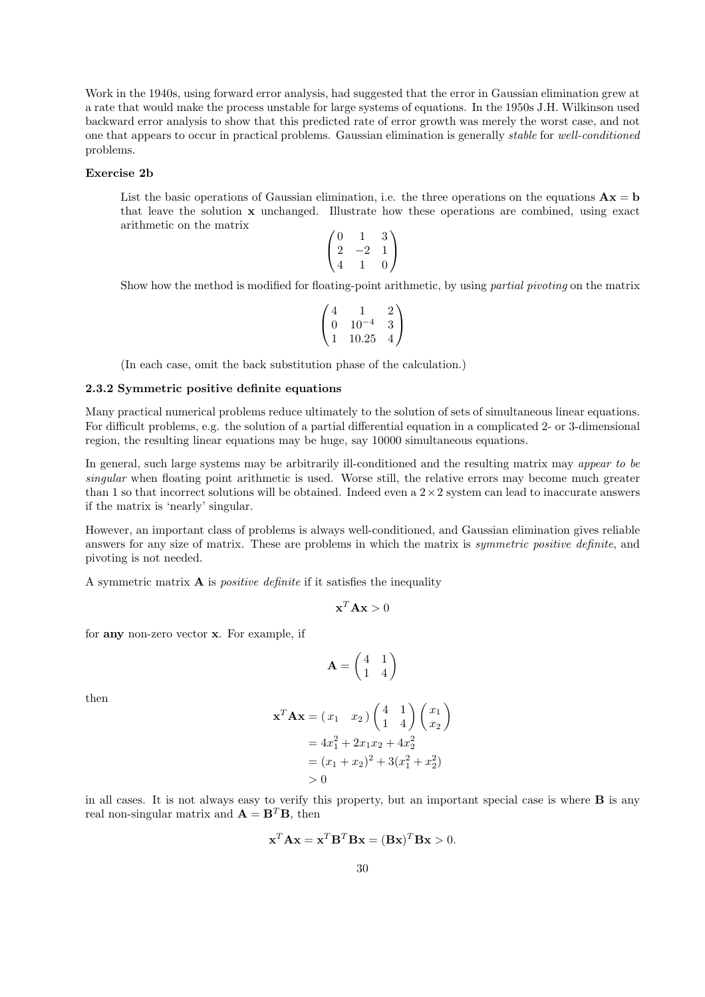Work in the 1940s, using forward error analysis, had suggested that the error in Gaussian elimination grew at a rate that would make the process unstable for large systems of equations. In the 1950s J.H. Wilkinson used backward error analysis to show that this predicted rate of error growth was merely the worst case, and not one that appears to occur in practical problems. Gaussian elimination is generally stable for well-conditioned problems.

## Exercise 2b

List the basic operations of Gaussian elimination, i.e. the three operations on the equations  $\mathbf{A}\mathbf{x} = \mathbf{b}$ that leave the solution x unchanged. Illustrate how these operations are combined, using exact arithmetic on the matrix  $\sim$   $\sqrt{ }$ 

$$
\begin{pmatrix} 0 & 1 & 3 \ 2 & -2 & 1 \ 4 & 1 & 0 \end{pmatrix}
$$

Show how the method is modified for floating-point arithmetic, by using partial pivoting on the matrix

$$
\begin{pmatrix} 4 & 1 & 2 \ 0 & 10^{-4} & 3 \ 1 & 10.25 & 4 \end{pmatrix}
$$

(In each case, omit the back substitution phase of the calculation.)

#### 2.3.2 Symmetric positive definite equations

Many practical numerical problems reduce ultimately to the solution of sets of simultaneous linear equations. For difficult problems, e.g. the solution of a partial differential equation in a complicated 2- or 3-dimensional region, the resulting linear equations may be huge, say 10000 simultaneous equations.

In general, such large systems may be arbitrarily ill-conditioned and the resulting matrix may appear to be singular when floating point arithmetic is used. Worse still, the relative errors may become much greater than 1 so that incorrect solutions will be obtained. Indeed even a  $2 \times 2$  system can lead to inaccurate answers if the matrix is 'nearly' singular.

However, an important class of problems is always well-conditioned, and Gaussian elimination gives reliable answers for any size of matrix. These are problems in which the matrix is symmetric positive definite, and pivoting is not needed.

A symmetric matrix  $\bf{A}$  is *positive definite* if it satisfies the inequality

$$
\mathbf{x}^T \mathbf{A} \mathbf{x} > 0
$$

for any non-zero vector x. For example, if

$$
\mathbf{A} = \begin{pmatrix} 4 & 1 \\ 1 & 4 \end{pmatrix}
$$

then

$$
\mathbf{x}^T \mathbf{A} \mathbf{x} = (x_1 \quad x_2) \begin{pmatrix} 4 & 1 \\ 1 & 4 \end{pmatrix} \begin{pmatrix} x_1 \\ x_2 \end{pmatrix}
$$
  
=  $4x_1^2 + 2x_1x_2 + 4x_2^2$   
=  $(x_1 + x_2)^2 + 3(x_1^2 + x_2^2)$   
> 0

in all cases. It is not always easy to verify this property, but an important special case is where B is any real non-singular matrix and  $\mathbf{A} = \mathbf{B}^T \mathbf{B}$ , then

$$
\mathbf{x}^T \mathbf{A} \mathbf{x} = \mathbf{x}^T \mathbf{B}^T \mathbf{B} \mathbf{x} = (\mathbf{B} \mathbf{x})^T \mathbf{B} \mathbf{x} > 0.
$$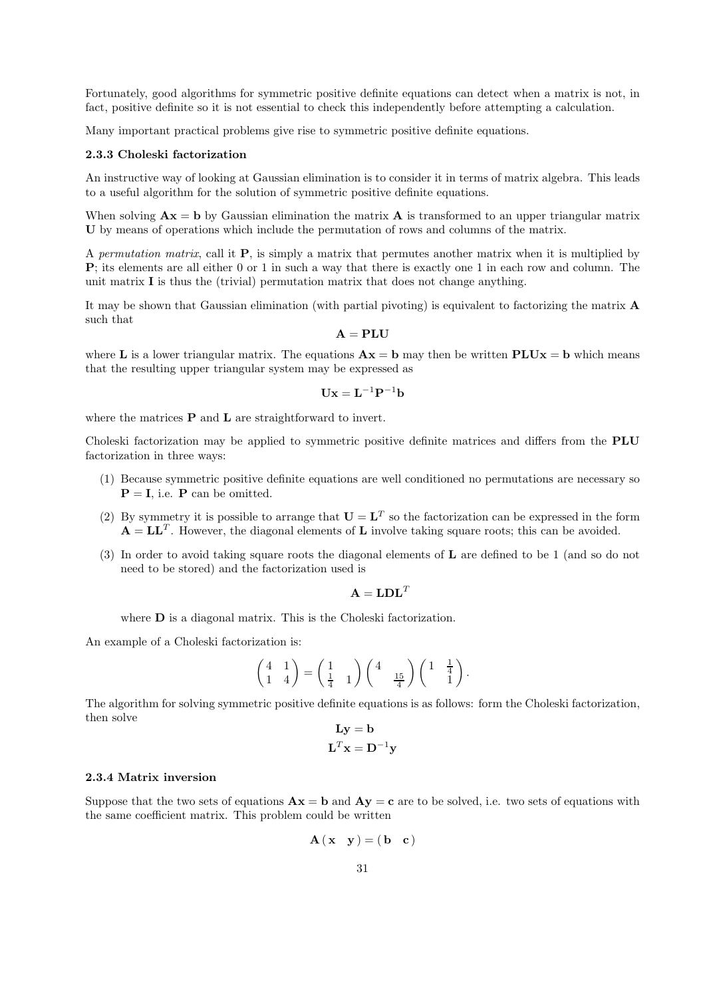Fortunately, good algorithms for symmetric positive definite equations can detect when a matrix is not, in fact, positive definite so it is not essential to check this independently before attempting a calculation.

Many important practical problems give rise to symmetric positive definite equations.

## 2.3.3 Choleski factorization

An instructive way of looking at Gaussian elimination is to consider it in terms of matrix algebra. This leads to a useful algorithm for the solution of symmetric positive definite equations.

When solving  $\mathbf{A}\mathbf{x} = \mathbf{b}$  by Gaussian elimination the matrix  $\mathbf{A}$  is transformed to an upper triangular matrix U by means of operations which include the permutation of rows and columns of the matrix.

A permutation matrix, call it P, is simply a matrix that permutes another matrix when it is multiplied by P; its elements are all either 0 or 1 in such a way that there is exactly one 1 in each row and column. The unit matrix  $\bf{I}$  is thus the (trivial) permutation matrix that does not change anything.

It may be shown that Gaussian elimination (with partial pivoting) is equivalent to factorizing the matrix A such that

$$
\mathbf{A} = \mathbf{P}\mathbf{L}\mathbf{U}
$$

where L is a lower triangular matrix. The equations  $\mathbf{A}\mathbf{x} = \mathbf{b}$  may then be written  $\text{PLU}\mathbf{x} = \mathbf{b}$  which means that the resulting upper triangular system may be expressed as

$$
\mathbf{U}\mathbf{x}=\mathbf{L}^{-1}\mathbf{P}^{-1}\mathbf{b}
$$

where the matrices  $P$  and  $L$  are straightforward to invert.

Choleski factorization may be applied to symmetric positive definite matrices and differs from the PLU factorization in three ways:

- (1) Because symmetric positive definite equations are well conditioned no permutations are necessary so  $P = I$ , i.e. P can be omitted.
- (2) By symmetry it is possible to arrange that  $U = L^T$  so the factorization can be expressed in the form  $\mathbf{A} = \mathbf{L}\mathbf{L}^T$ . However, the diagonal elements of  $\mathbf L$  involve taking square roots; this can be avoided.
- (3) In order to avoid taking square roots the diagonal elements of L are defined to be 1 (and so do not need to be stored) and the factorization used is

$$
\mathbf{A}=\mathbf{LDL}^T
$$

where **D** is a diagonal matrix. This is the Choleski factorization.

An example of a Choleski factorization is:

$$
\begin{pmatrix} 4 & 1 \ 1 & 4 \end{pmatrix} = \begin{pmatrix} 1 & 1 \ \frac{1}{4} & 1 \end{pmatrix} \begin{pmatrix} 4 & \frac{15}{4} \end{pmatrix} \begin{pmatrix} 1 & \frac{1}{4} \\ 1 & 1 \end{pmatrix}.
$$

The algorithm for solving symmetric positive definite equations is as follows: form the Choleski factorization, then solve

$$
\mathbf{L}\mathbf{y} = \mathbf{b}
$$

$$
\mathbf{L}^T \mathbf{x} = \mathbf{D}^{-1} \mathbf{y}
$$

#### 2.3.4 Matrix inversion

Suppose that the two sets of equations  $\mathbf{A}\mathbf{x} = \mathbf{b}$  and  $\mathbf{A}\mathbf{y} = \mathbf{c}$  are to be solved, i.e. two sets of equations with the same coefficient matrix. This problem could be written

$$
\mathbf{A}(\mathbf{x} \ \mathbf{y}) = (\mathbf{b} \ \mathbf{c})
$$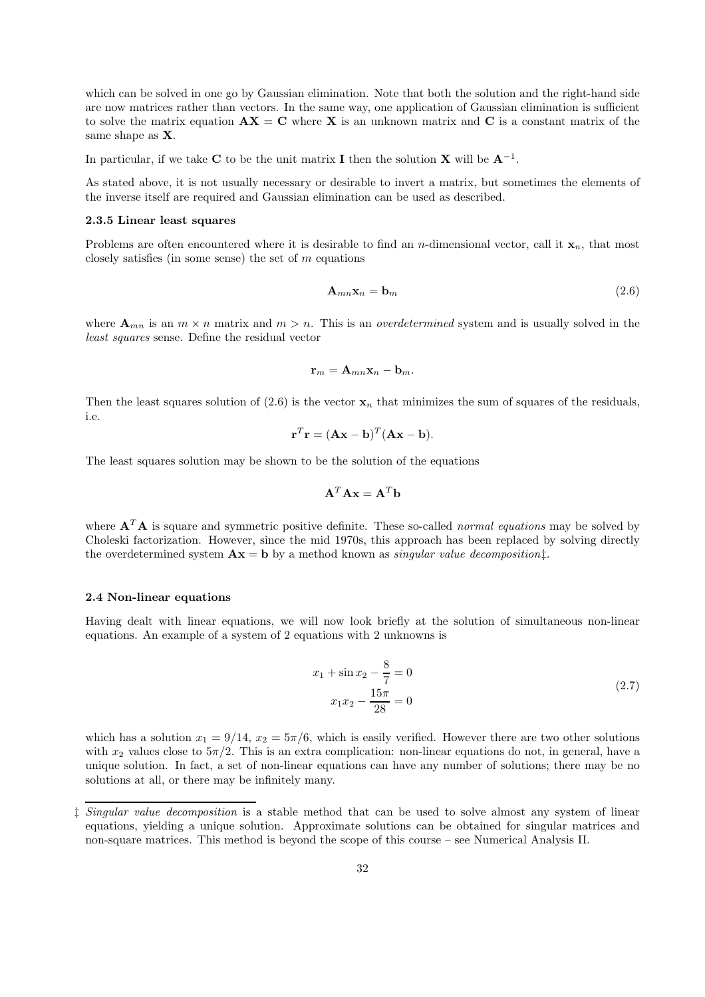which can be solved in one go by Gaussian elimination. Note that both the solution and the right-hand side are now matrices rather than vectors. In the same way, one application of Gaussian elimination is sufficient to solve the matrix equation  $AX = C$  where X is an unknown matrix and C is a constant matrix of the same shape as X.

In particular, if we take C to be the unit matrix I then the solution X will be  $A^{-1}$ .

As stated above, it is not usually necessary or desirable to invert a matrix, but sometimes the elements of the inverse itself are required and Gaussian elimination can be used as described.

#### 2.3.5 Linear least squares

Problems are often encountered where it is desirable to find an *n*-dimensional vector, call it  $\mathbf{x}_n$ , that most closely satisfies (in some sense) the set of  $m$  equations

$$
\mathbf{A}_{mn}\mathbf{x}_n = \mathbf{b}_m \tag{2.6}
$$

where  $\mathbf{A}_{mn}$  is an  $m \times n$  matrix and  $m > n$ . This is an *overdetermined* system and is usually solved in the least squares sense. Define the residual vector

$$
\mathbf{r}_m = \mathbf{A}_{mn} \mathbf{x}_n - \mathbf{b}_m.
$$

Then the least squares solution of (2.6) is the vector  $x_n$  that minimizes the sum of squares of the residuals, i.e.

$$
\mathbf{r}^T \mathbf{r} = (\mathbf{A}\mathbf{x} - \mathbf{b})^T (\mathbf{A}\mathbf{x} - \mathbf{b}).
$$

The least squares solution may be shown to be the solution of the equations

$$
\mathbf{A}^T \mathbf{A} \mathbf{x} = \mathbf{A}^T \mathbf{b}
$$

where  $\mathbf{A}^T \mathbf{A}$  is square and symmetric positive definite. These so-called *normal equations* may be solved by Choleski factorization. However, since the mid 1970s, this approach has been replaced by solving directly the overdetermined system  $\mathbf{A}\mathbf{x} = \mathbf{b}$  by a method known as *singular value decomposition* $\ddagger$ .

#### 2.4 Non-linear equations

Having dealt with linear equations, we will now look briefly at the solution of simultaneous non-linear equations. An example of a system of 2 equations with 2 unknowns is

$$
x_1 + \sin x_2 - \frac{8}{7} = 0
$$
  

$$
x_1 x_2 - \frac{15\pi}{28} = 0
$$
 (2.7)

which has a solution  $x_1 = 9/14$ ,  $x_2 = 5\pi/6$ , which is easily verified. However there are two other solutions with  $x_2$  values close to  $5\pi/2$ . This is an extra complication: non-linear equations do not, in general, have a unique solution. In fact, a set of non-linear equations can have any number of solutions; there may be no solutions at all, or there may be infinitely many.

<sup>‡</sup> Singular value decomposition is a stable method that can be used to solve almost any system of linear equations, yielding a unique solution. Approximate solutions can be obtained for singular matrices and non-square matrices. This method is beyond the scope of this course – see Numerical Analysis II.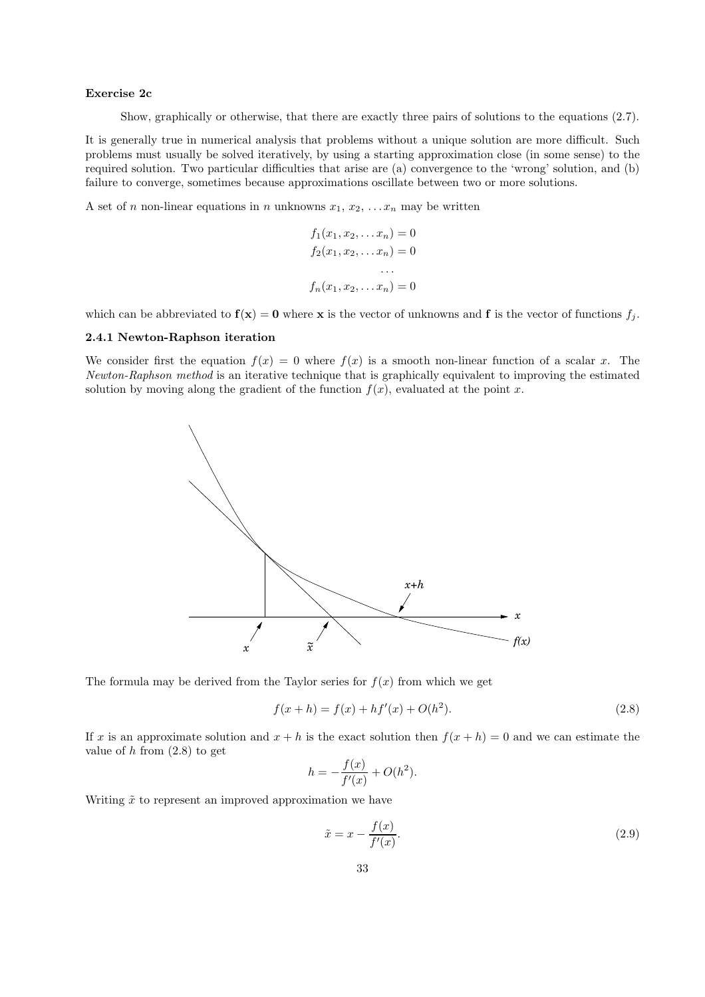### Exercise 2c

Show, graphically or otherwise, that there are exactly three pairs of solutions to the equations (2.7).

It is generally true in numerical analysis that problems without a unique solution are more difficult. Such problems must usually be solved iteratively, by using a starting approximation close (in some sense) to the required solution. Two particular difficulties that arise are (a) convergence to the 'wrong' solution, and (b) failure to converge, sometimes because approximations oscillate between two or more solutions.

A set of *n* non-linear equations in *n* unknowns  $x_1, x_2, \ldots x_n$  may be written

$$
f_1(x_1, x_2,... x_n) = 0
$$
  
\n
$$
f_2(x_1, x_2,... x_n) = 0
$$
  
\n...  
\n
$$
f_n(x_1, x_2,... x_n) = 0
$$

which can be abbreviated to  $f(x) = 0$  where x is the vector of unknowns and f is the vector of functions  $f_j$ .

## 2.4.1 Newton-Raphson iteration

We consider first the equation  $f(x) = 0$  where  $f(x)$  is a smooth non-linear function of a scalar x. The Newton-Raphson method is an iterative technique that is graphically equivalent to improving the estimated solution by moving along the gradient of the function  $f(x)$ , evaluated at the point x.



The formula may be derived from the Taylor series for  $f(x)$  from which we get

$$
f(x+h) = f(x) + hf'(x) + O(h^2).
$$
\n(2.8)

If x is an approximate solution and  $x + h$  is the exact solution then  $f(x + h) = 0$  and we can estimate the value of  $h$  from  $(2.8)$  to get

$$
h = -\frac{f(x)}{f'(x)} + O(h^2).
$$

Writing  $\tilde{x}$  to represent an improved approximation we have

$$
\tilde{x} = x - \frac{f(x)}{f'(x)}.\tag{2.9}
$$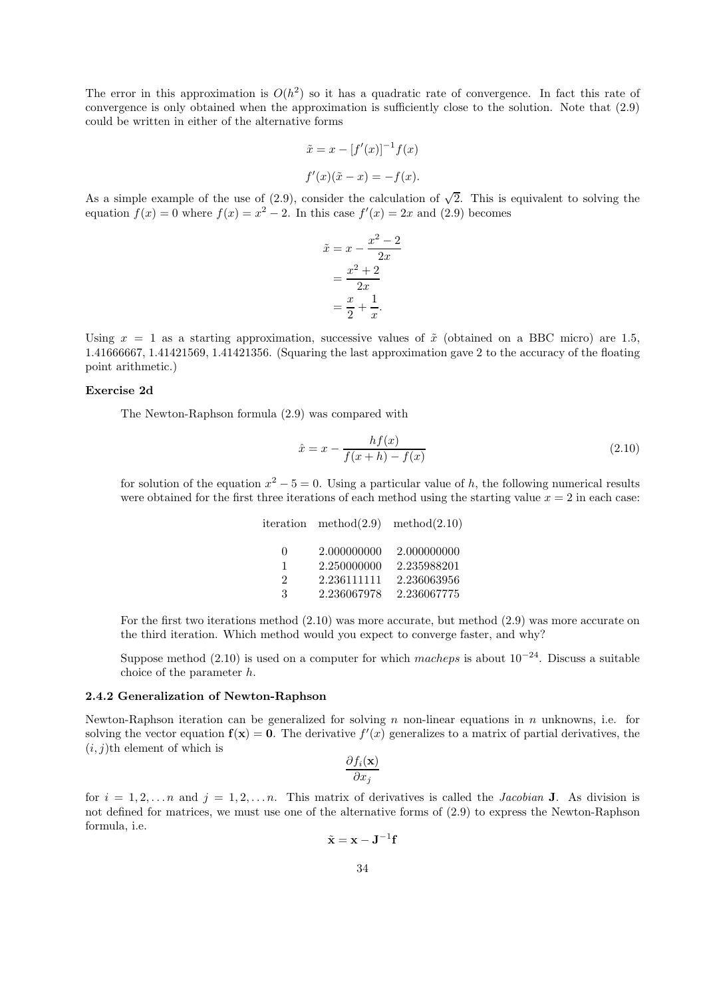The error in this approximation is  $O(h^2)$  so it has a quadratic rate of convergence. In fact this rate of convergence is only obtained when the approximation is sufficiently close to the solution. Note that (2.9) could be written in either of the alternative forms

$$
\tilde{x} = x - [f'(x)]^{-1} f(x)
$$
  
 $f'(x)(\tilde{x} - x) = -f(x).$ 

As a simple example of the use of (2.9), consider the calculation of  $\sqrt{2}$ . This is equivalent to solving the equation  $f(x) = 0$  where  $f(x) = x^2 - 2$ . In this case  $f'(x) = 2x$  and (2.9) becomes

$$
\tilde{x} = x - \frac{x^2 - 2}{2x}
$$

$$
= \frac{x^2 + 2}{2x}
$$

$$
= \frac{x}{2} + \frac{1}{x}.
$$

Using  $x = 1$  as a starting approximation, successive values of  $\tilde{x}$  (obtained on a BBC micro) are 1.5, 1.41666667, 1.41421569, 1.41421356. (Squaring the last approximation gave 2 to the accuracy of the floating point arithmetic.)

## Exercise 2d

The Newton-Raphson formula (2.9) was compared with

$$
\hat{x} = x - \frac{hf(x)}{f(x+h) - f(x)}
$$
\n(2.10)

for solution of the equation  $x^2 - 5 = 0$ . Using a particular value of h, the following numerical results were obtained for the first three iterations of each method using the starting value  $x = 2$  in each case:

| iteration                            | method(2.9)                                              | method(2.10)                                             |
|--------------------------------------|----------------------------------------------------------|----------------------------------------------------------|
| $\Omega$<br>1<br>$\mathfrak{D}$<br>3 | 2.000000000<br>2.250000000<br>2.236111111<br>2.236067978 | 2.000000000<br>2.235988201<br>2.236063956<br>2.236067775 |
|                                      |                                                          |                                                          |

For the first two iterations method (2.10) was more accurate, but method (2.9) was more accurate on the third iteration. Which method would you expect to converge faster, and why?

Suppose method (2.10) is used on a computer for which macheps is about  $10^{-24}$ . Discuss a suitable choice of the parameter h.

### 2.4.2 Generalization of Newton-Raphson

Newton-Raphson iteration can be generalized for solving n non-linear equations in n unknowns, i.e. for solving the vector equation  $f(x) = 0$ . The derivative  $f'(x)$  generalizes to a matrix of partial derivatives, the  $(i, j)$ th element of which is

$$
\frac{\partial f_i(\mathbf{x})}{\partial x_j}
$$

for  $i = 1, 2, \ldots n$  and  $j = 1, 2, \ldots n$ . This matrix of derivatives is called the *Jacobian* **J**. As division is not defined for matrices, we must use one of the alternative forms of (2.9) to express the Newton-Raphson formula, i.e.

$$
\tilde{\mathbf{x}} = \mathbf{x} - \mathbf{J}^{-1} \mathbf{f}
$$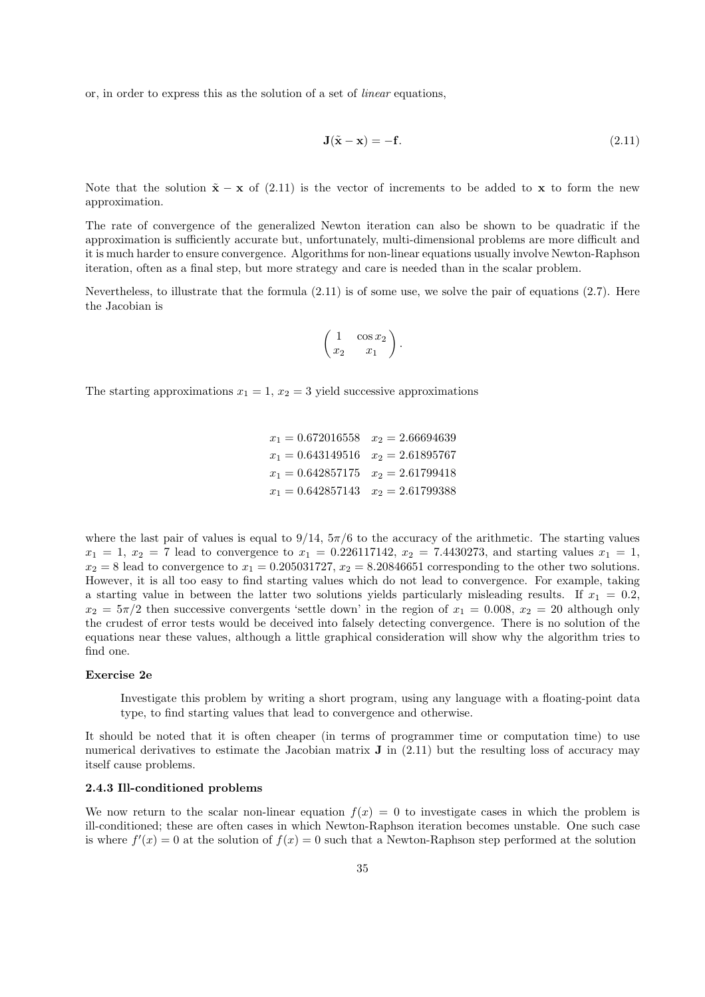or, in order to express this as the solution of a set of linear equations,

$$
\mathbf{J}(\tilde{\mathbf{x}} - \mathbf{x}) = -\mathbf{f}.\tag{2.11}
$$

Note that the solution  $\tilde{\mathbf{x}} - \mathbf{x}$  of (2.11) is the vector of increments to be added to x to form the new approximation.

The rate of convergence of the generalized Newton iteration can also be shown to be quadratic if the approximation is sufficiently accurate but, unfortunately, multi-dimensional problems are more difficult and it is much harder to ensure convergence. Algorithms for non-linear equations usually involve Newton-Raphson iteration, often as a final step, but more strategy and care is needed than in the scalar problem.

Nevertheless, to illustrate that the formula (2.11) is of some use, we solve the pair of equations (2.7). Here the Jacobian is

$$
\left(\begin{array}{cc} 1 & \cos x_2 \\ x_2 & x_1 \end{array}\right).
$$

The starting approximations  $x_1 = 1, x_2 = 3$  yield successive approximations

 $x_1 = 0.672016558$   $x_2 = 2.66694639$  $x_1 = 0.643149516$   $x_2 = 2.61895767$  $x_1 = 0.642857175$   $x_2 = 2.61799418$  $x_1 = 0.642857143$   $x_2 = 2.61799388$ 

where the last pair of values is equal to  $9/14$ ,  $5\pi/6$  to the accuracy of the arithmetic. The starting values  $x_1 = 1, x_2 = 7$  lead to convergence to  $x_1 = 0.226117142, x_2 = 7.4430273$ , and starting values  $x_1 = 1$ ,  $x_2 = 8$  lead to convergence to  $x_1 = 0.205031727$ ,  $x_2 = 8.20846651$  corresponding to the other two solutions. However, it is all too easy to find starting values which do not lead to convergence. For example, taking a starting value in between the latter two solutions yields particularly misleading results. If  $x_1 = 0.2$ ,  $x_2 = 5\pi/2$  then successive convergents 'settle down' in the region of  $x_1 = 0.008$ ,  $x_2 = 20$  although only the crudest of error tests would be deceived into falsely detecting convergence. There is no solution of the equations near these values, although a little graphical consideration will show why the algorithm tries to find one.

#### Exercise 2e

Investigate this problem by writing a short program, using any language with a floating-point data type, to find starting values that lead to convergence and otherwise.

It should be noted that it is often cheaper (in terms of programmer time or computation time) to use numerical derivatives to estimate the Jacobian matrix  $\bf{J}$  in (2.11) but the resulting loss of accuracy may itself cause problems.

## 2.4.3 Ill-conditioned problems

We now return to the scalar non-linear equation  $f(x) = 0$  to investigate cases in which the problem is ill-conditioned; these are often cases in which Newton-Raphson iteration becomes unstable. One such case is where  $f'(x) = 0$  at the solution of  $f(x) = 0$  such that a Newton-Raphson step performed at the solution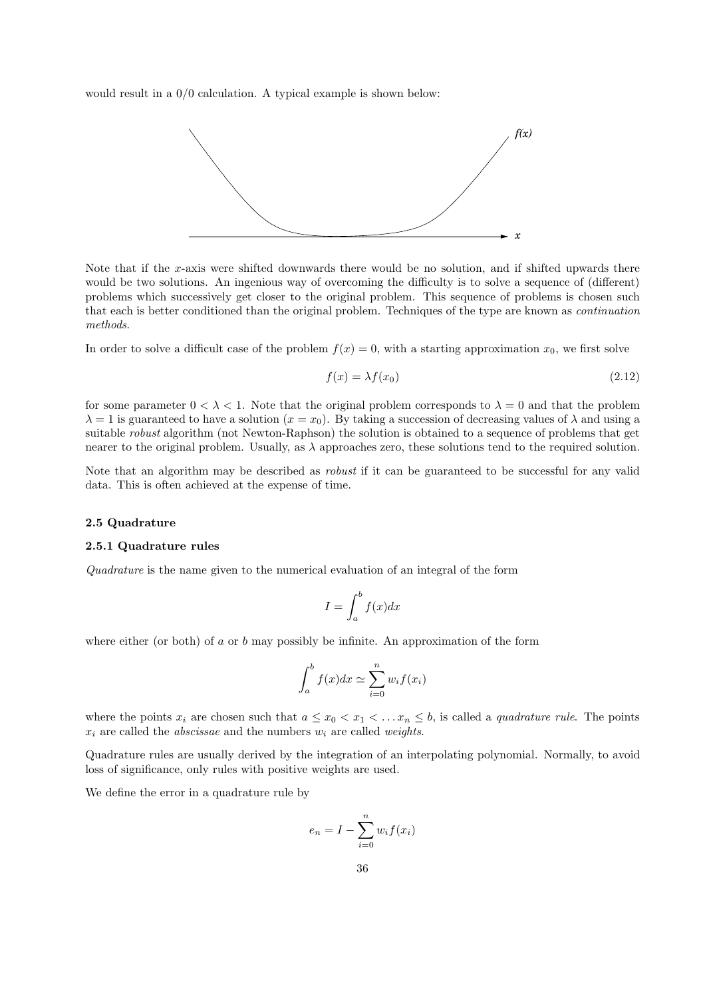would result in a 0/0 calculation. A typical example is shown below:



Note that if the x-axis were shifted downwards there would be no solution, and if shifted upwards there would be two solutions. An ingenious way of overcoming the difficulty is to solve a sequence of (different) problems which successively get closer to the original problem. This sequence of problems is chosen such that each is better conditioned than the original problem. Techniques of the type are known as continuation methods.

In order to solve a difficult case of the problem  $f(x) = 0$ , with a starting approximation  $x_0$ , we first solve

$$
f(x) = \lambda f(x_0) \tag{2.12}
$$

for some parameter  $0 < \lambda < 1$ . Note that the original problem corresponds to  $\lambda = 0$  and that the problem  $\lambda = 1$  is guaranteed to have a solution  $(x = x_0)$ . By taking a succession of decreasing values of  $\lambda$  and using a suitable robust algorithm (not Newton-Raphson) the solution is obtained to a sequence of problems that get nearer to the original problem. Usually, as  $\lambda$  approaches zero, these solutions tend to the required solution.

Note that an algorithm may be described as *robust* if it can be guaranteed to be successful for any valid data. This is often achieved at the expense of time.

#### 2.5 Quadrature

#### 2.5.1 Quadrature rules

Quadrature is the name given to the numerical evaluation of an integral of the form

$$
I = \int_{a}^{b} f(x)dx
$$

where either (or both) of  $a$  or  $b$  may possibly be infinite. An approximation of the form

$$
\int_a^b f(x)dx \simeq \sum_{i=0}^n w_i f(x_i)
$$

where the points  $x_i$  are chosen such that  $a \leq x_0 < x_1 < \ldots x_n \leq b$ , is called a *quadrature rule*. The points  $x_i$  are called the *abscissae* and the numbers  $w_i$  are called *weights*.

Quadrature rules are usually derived by the integration of an interpolating polynomial. Normally, to avoid loss of significance, only rules with positive weights are used.

We define the error in a quadrature rule by

$$
e_n = I - \sum_{i=0}^{n} w_i f(x_i)
$$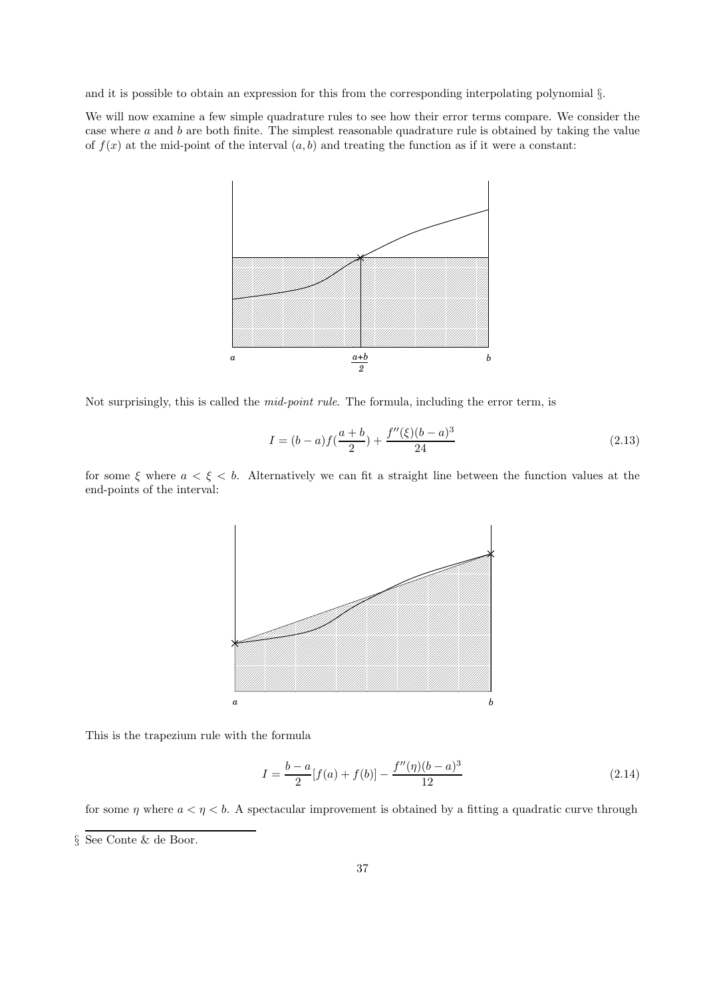and it is possible to obtain an expression for this from the corresponding interpolating polynomial §.

We will now examine a few simple quadrature rules to see how their error terms compare. We consider the case where a and b are both finite. The simplest reasonable quadrature rule is obtained by taking the value of  $f(x)$  at the mid-point of the interval  $(a, b)$  and treating the function as if it were a constant:



Not surprisingly, this is called the *mid-point rule*. The formula, including the error term, is

$$
I = (b - a)f(\frac{a + b}{2}) + \frac{f''(\xi)(b - a)^3}{24}
$$
\n(2.13)

for some  $\xi$  where  $a < \xi < b$ . Alternatively we can fit a straight line between the function values at the end-points of the interval:



This is the trapezium rule with the formula

$$
I = \frac{b-a}{2}[f(a) + f(b)] - \frac{f''(\eta)(b-a)^3}{12}
$$
\n(2.14)

for some  $\eta$  where  $a < \eta < b$ . A spectacular improvement is obtained by a fitting a quadratic curve through § See Conte & de Boor.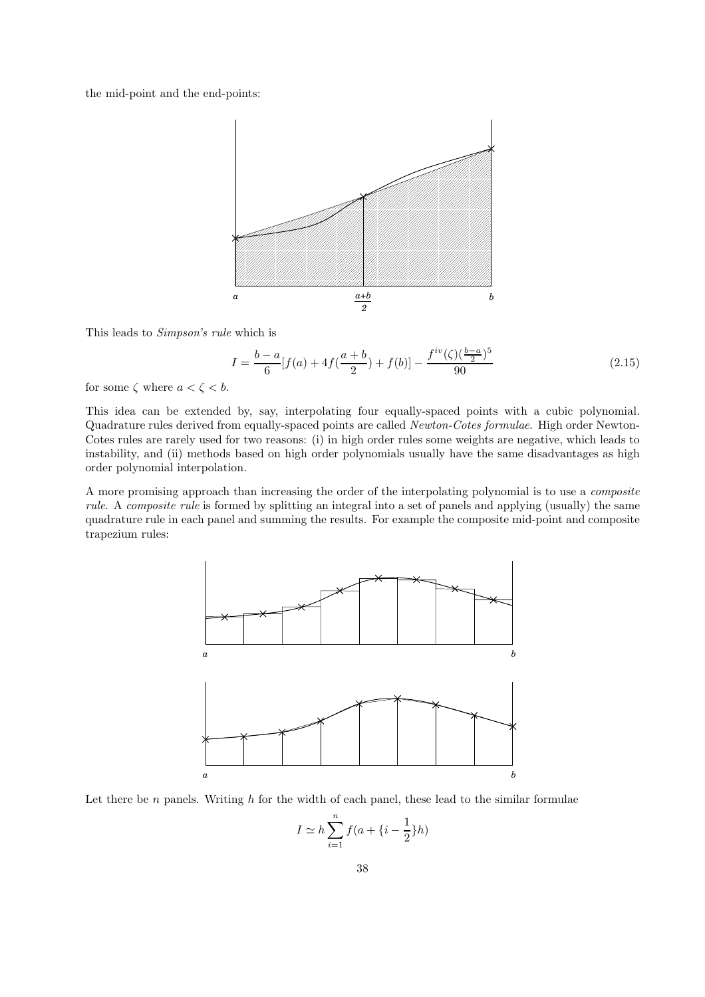the mid-point and the end-points:



This leads to Simpson's rule which is

$$
I = \frac{b-a}{6} [f(a) + 4f(\frac{a+b}{2}) + f(b)] - \frac{f^{iv}(\zeta)(\frac{b-a}{2})^5}{90}
$$
 (2.15)

for some  $\zeta$  where  $a < \zeta < b$ .

This idea can be extended by, say, interpolating four equally-spaced points with a cubic polynomial. Quadrature rules derived from equally-spaced points are called Newton-Cotes formulae. High order Newton-Cotes rules are rarely used for two reasons: (i) in high order rules some weights are negative, which leads to instability, and (ii) methods based on high order polynomials usually have the same disadvantages as high order polynomial interpolation.

A more promising approach than increasing the order of the interpolating polynomial is to use a composite rule. A composite rule is formed by splitting an integral into a set of panels and applying (usually) the same quadrature rule in each panel and summing the results. For example the composite mid-point and composite trapezium rules:



Let there be  $n$  panels. Writing  $h$  for the width of each panel, these lead to the similar formulae

$$
I \simeq h \sum_{i=1}^{n} f(a + \{i - \frac{1}{2}\}h)
$$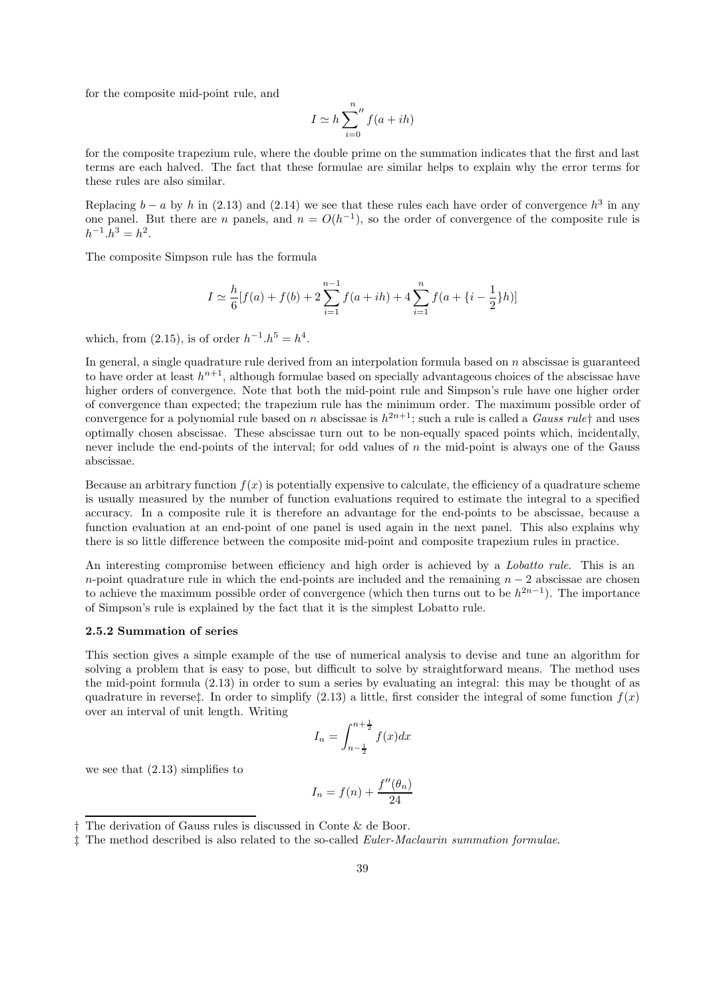for the composite mid-point rule, and

$$
I \simeq h \sum_{i=0}^{n} f(a+ih)
$$

for the composite trapezium rule, where the double prime on the summation indicates that the first and last terms are each halved. The fact that these formulae are similar helps to explain why the error terms for these rules are also similar.

Replacing  $b - a$  by h in (2.13) and (2.14) we see that these rules each have order of convergence  $h^3$  in any one panel. But there are *n* panels, and  $n = O(h^{-1})$ , so the order of convergence of the composite rule is  $h^{-1}h^3 = h^2.$ 

The composite Simpson rule has the formula

$$
I \simeq \frac{h}{6} [f(a) + f(b) + 2 \sum_{i=1}^{n-1} f(a+ih) + 4 \sum_{i=1}^{n} f(a + \{i - \frac{1}{2}\}h)]
$$

which, from (2.15), is of order  $h^{-1}.h^5 = h^4$ .

In general, a single quadrature rule derived from an interpolation formula based on n abscissae is guaranteed to have order at least  $h^{n+1}$ , although formulae based on specially advantageous choices of the abscissae have higher orders of convergence. Note that both the mid-point rule and Simpson's rule have one higher order of convergence than expected; the trapezium rule has the minimum order. The maximum possible order of convergence for a polynomial rule based on n abscissae is  $h^{2n+1}$ ; such a rule is called a *Gauss rule*† and uses optimally chosen abscissae. These abscissae turn out to be non-equally spaced points which, incidentally, never include the end-points of the interval; for odd values of n the mid-point is always one of the Gauss abscissae.

Because an arbitrary function  $f(x)$  is potentially expensive to calculate, the efficiency of a quadrature scheme is usually measured by the number of function evaluations required to estimate the integral to a specified accuracy. In a composite rule it is therefore an advantage for the end-points to be abscissae, because a function evaluation at an end-point of one panel is used again in the next panel. This also explains why there is so little difference between the composite mid-point and composite trapezium rules in practice.

An interesting compromise between efficiency and high order is achieved by a *Lobatto rule*. This is an n-point quadrature rule in which the end-points are included and the remaining  $n - 2$  abscissae are chosen to achieve the maximum possible order of convergence (which then turns out to be  $h^{2n-1}$ ). The importance of Simpson's rule is explained by the fact that it is the simplest Lobatto rule.

## 2.5.2 Summation of series

This section gives a simple example of the use of numerical analysis to devise and tune an algorithm for solving a problem that is easy to pose, but difficult to solve by straightforward means. The method uses the mid-point formula (2.13) in order to sum a series by evaluating an integral: this may be thought of as quadrature in reverse<sub>‡</sub>. In order to simplify (2.13) a little, first consider the integral of some function  $f(x)$ over an interval of unit length. Writing

$$
I_n = \int_{n - \frac{1}{2}}^{n + \frac{1}{2}} f(x) dx
$$

we see that (2.13) simplifies to

$$
I_n = f(n) + \frac{f''(\theta_n)}{24}
$$

<sup>†</sup> The derivation of Gauss rules is discussed in Conte & de Boor.

<sup>‡</sup> The method described is also related to the so-called Euler-Maclaurin summation formulae.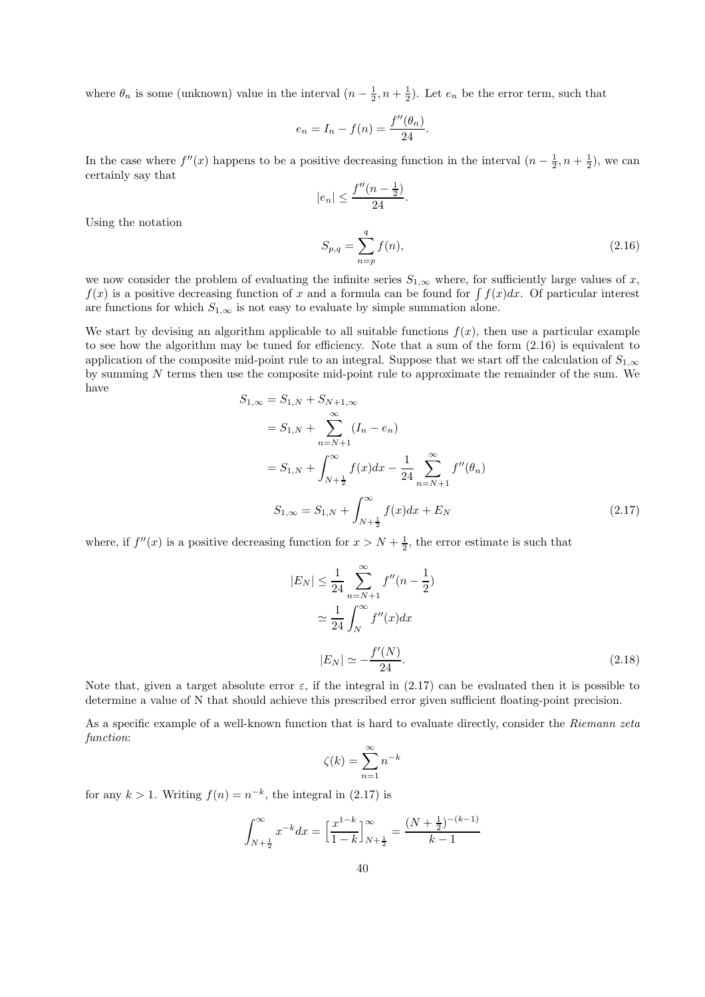where  $\theta_n$  is some (unknown) value in the interval  $(n-\frac{1}{2},n+\frac{1}{2})$ . Let  $e_n$  be the error term, such that

$$
e_n = I_n - f(n) = \frac{f''(\theta_n)}{24}.
$$

In the case where  $f''(x)$  happens to be a positive decreasing function in the interval  $(n-\frac{1}{2},n+\frac{1}{2})$ , we can certainly say that

$$
|e_n| \le \frac{f''(n - \frac{1}{2})}{24}.
$$
  

$$
S_{p,q} = \sum^q f(n),
$$
 (2.16)

Using the notation

we now consider the problem of evaluating the infinite series  $S_{1,\infty}$  where, for sufficiently large values of x,  $f(x)$  is a positive decreasing function of x and a formula can be found for  $\int f(x)dx$ . Of particular interest are functions for which  $S_{1,\infty}$  is not easy to evaluate by simple summation alone.

 $n=p$ 

We start by devising an algorithm applicable to all suitable functions  $f(x)$ , then use a particular example to see how the algorithm may be tuned for efficiency. Note that a sum of the form (2.16) is equivalent to application of the composite mid-point rule to an integral. Suppose that we start off the calculation of  $S_{1,\infty}$ by summing N terms then use the composite mid-point rule to approximate the remainder of the sum. We have  $S_{1,\infty} = S_{1,N} + S$ 

$$
= S_{1,N} + S_{N+1,\infty}
$$
  
\n
$$
= S_{1,N} + \sum_{n=N+1}^{\infty} (I_n - e_n)
$$
  
\n
$$
= S_{1,N} + \int_{N+\frac{1}{2}}^{\infty} f(x) dx - \frac{1}{24} \sum_{n=N+1}^{\infty} f''(\theta_n)
$$
  
\n
$$
S_{1,\infty} = S_{1,N} + \int_{N+\frac{1}{2}}^{\infty} f(x) dx + E_N
$$
\n(2.17)

where, if  $f''(x)$  is a positive decreasing function for  $x > N + \frac{1}{2}$ , the error estimate is such that

$$
|E_N| \le \frac{1}{24} \sum_{n=N+1}^{\infty} f''(n - \frac{1}{2})
$$
  
\n
$$
\approx \frac{1}{24} \int_N^{\infty} f''(x) dx
$$
  
\n
$$
|E_N| \approx -\frac{f'(N)}{24}.
$$
\n(2.18)

Note that, given a target absolute error  $\varepsilon$ , if the integral in (2.17) can be evaluated then it is possible to determine a value of N that should achieve this prescribed error given sufficient floating-point precision.

As a specific example of a well-known function that is hard to evaluate directly, consider the Riemann zeta function:

$$
\zeta(k) = \sum_{n=1}^{\infty} n^{-k}
$$

for any  $k > 1$ . Writing  $f(n) = n^{-k}$ , the integral in (2.17) is

$$
\int_{N+\frac{1}{2}}^{\infty} x^{-k} dx = \left[ \frac{x^{1-k}}{1-k} \right]_{N+\frac{1}{2}}^{\infty} = \frac{(N+\frac{1}{2})^{-(k-1)}}{k-1}
$$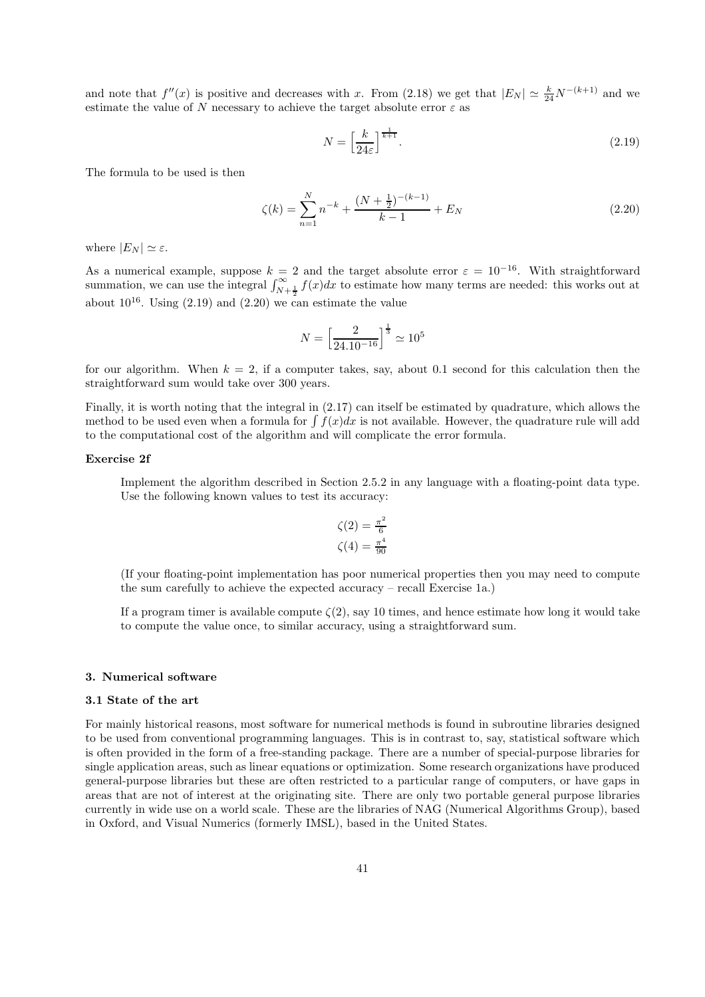and note that  $f''(x)$  is positive and decreases with x. From (2.18) we get that  $|E_N| \simeq \frac{k}{24} N^{-(k+1)}$  and we estimate the value of N necessary to achieve the target absolute error  $\varepsilon$  as

$$
N = \left[\frac{k}{24\varepsilon}\right]^{\frac{1}{k+1}}.\tag{2.19}
$$

The formula to be used is then

$$
\zeta(k) = \sum_{n=1}^{N} n^{-k} + \frac{(N + \frac{1}{2})^{-(k-1)}}{k-1} + E_N
$$
\n(2.20)

where  $|E_N| \simeq \varepsilon$ .

As a numerical example, suppose  $k = 2$  and the target absolute error  $\varepsilon = 10^{-16}$ . With straightforward summation, we can use the integral  $\int_{N+\frac{1}{2}}^{\infty} f(x)dx$  to estimate how many terms are needed: this works out at about  $10^{16}$ . Using  $(2.19)$  and  $(2.20)$  we can estimate the value

$$
N = \left[\frac{2}{24.10^{-16}}\right]^{\frac{1}{3}} \simeq 10^5
$$

for our algorithm. When  $k = 2$ , if a computer takes, say, about 0.1 second for this calculation then the straightforward sum would take over 300 years.

Finally, it is worth noting that the integral in (2.17) can itself be estimated by quadrature, which allows the method to be used even when a formula for  $\int f(x)dx$  is not available. However, the quadrature rule will add to the computational cost of the algorithm and will complicate the error formula.

## Exercise 2f

Implement the algorithm described in Section 2.5.2 in any language with a floating-point data type. Use the following known values to test its accuracy:

$$
\zeta(2) = \frac{\pi^2}{6}
$$

$$
\zeta(4) = \frac{\pi^4}{90}
$$

(If your floating-point implementation has poor numerical properties then you may need to compute the sum carefully to achieve the expected accuracy – recall Exercise 1a.)

If a program timer is available compute  $\zeta(2)$ , say 10 times, and hence estimate how long it would take to compute the value once, to similar accuracy, using a straightforward sum.

#### 3. Numerical software

#### 3.1 State of the art

For mainly historical reasons, most software for numerical methods is found in subroutine libraries designed to be used from conventional programming languages. This is in contrast to, say, statistical software which is often provided in the form of a free-standing package. There are a number of special-purpose libraries for single application areas, such as linear equations or optimization. Some research organizations have produced general-purpose libraries but these are often restricted to a particular range of computers, or have gaps in areas that are not of interest at the originating site. There are only two portable general purpose libraries currently in wide use on a world scale. These are the libraries of NAG (Numerical Algorithms Group), based in Oxford, and Visual Numerics (formerly IMSL), based in the United States.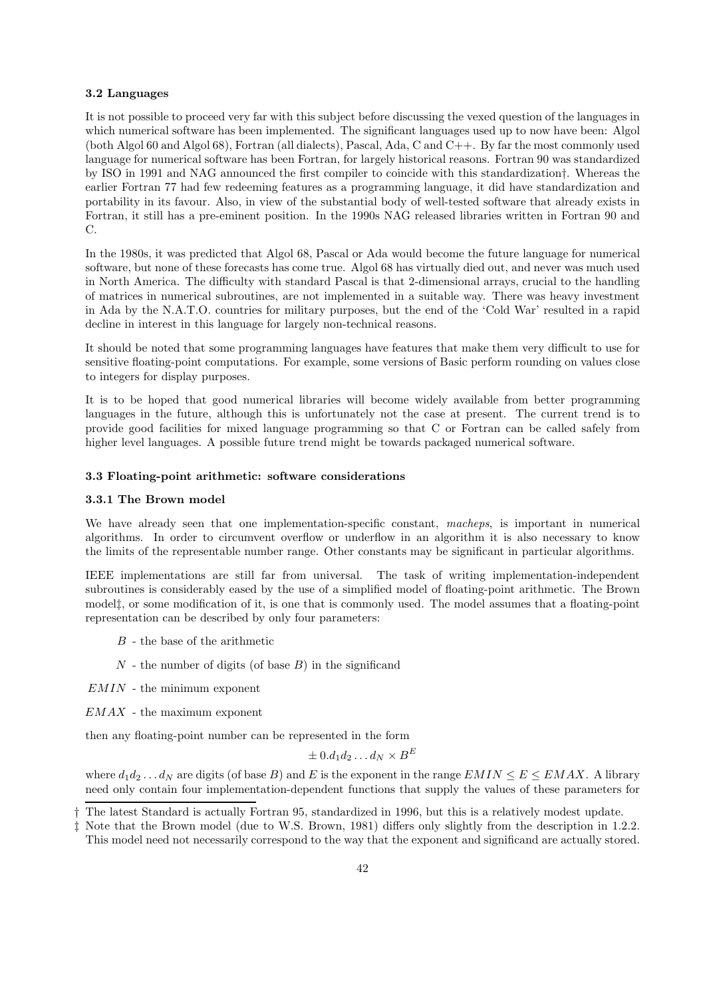#### 3.2 Languages

It is not possible to proceed very far with this subject before discussing the vexed question of the languages in which numerical software has been implemented. The significant languages used up to now have been: Algol (both Algol 60 and Algol 68), Fortran (all dialects), Pascal, Ada, C and C++. By far the most commonly used language for numerical software has been Fortran, for largely historical reasons. Fortran 90 was standardized by ISO in 1991 and NAG announced the first compiler to coincide with this standardization†. Whereas the earlier Fortran 77 had few redeeming features as a programming language, it did have standardization and portability in its favour. Also, in view of the substantial body of well-tested software that already exists in Fortran, it still has a pre-eminent position. In the 1990s NAG released libraries written in Fortran 90 and C.

In the 1980s, it was predicted that Algol 68, Pascal or Ada would become the future language for numerical software, but none of these forecasts has come true. Algol 68 has virtually died out, and never was much used in North America. The difficulty with standard Pascal is that 2-dimensional arrays, crucial to the handling of matrices in numerical subroutines, are not implemented in a suitable way. There was heavy investment in Ada by the N.A.T.O. countries for military purposes, but the end of the 'Cold War' resulted in a rapid decline in interest in this language for largely non-technical reasons.

It should be noted that some programming languages have features that make them very difficult to use for sensitive floating-point computations. For example, some versions of Basic perform rounding on values close to integers for display purposes.

It is to be hoped that good numerical libraries will become widely available from better programming languages in the future, although this is unfortunately not the case at present. The current trend is to provide good facilities for mixed language programming so that C or Fortran can be called safely from higher level languages. A possible future trend might be towards packaged numerical software.

## 3.3 Floating-point arithmetic: software considerations

## 3.3.1 The Brown model

We have already seen that one implementation-specific constant, macheps, is important in numerical algorithms. In order to circumvent overflow or underflow in an algorithm it is also necessary to know the limits of the representable number range. Other constants may be significant in particular algorithms.

IEEE implementations are still far from universal. The task of writing implementation-independent subroutines is considerably eased by the use of a simplified model of floating-point arithmetic. The Brown model‡, or some modification of it, is one that is commonly used. The model assumes that a floating-point representation can be described by only four parameters:

- $B$  the base of the arithmetic
- $N$  the number of digits (of base  $B$ ) in the significand

 $EMIN$  - the minimum exponent

 $EMAX$  - the maximum exponent

then any floating-point number can be represented in the form

$$
\pm 0.d_1d_2\ldots d_N\times B^E
$$

where  $d_1d_2 \ldots d_N$  are digits (of base B) and E is the exponent in the range  $EMIN \le E \le EMAX$ . A library need only contain four implementation-dependent functions that supply the values of these parameters for

<sup>†</sup> The latest Standard is actually Fortran 95, standardized in 1996, but this is a relatively modest update.

<sup>‡</sup> Note that the Brown model (due to W.S. Brown, 1981) differs only slightly from the description in 1.2.2. This model need not necessarily correspond to the way that the exponent and significand are actually stored.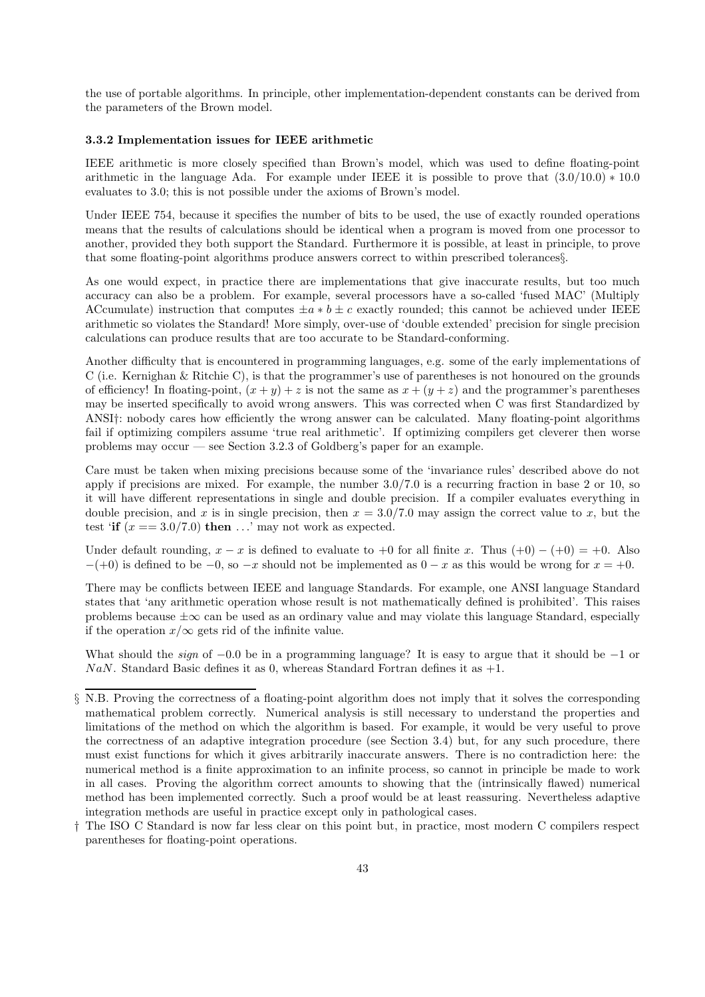the use of portable algorithms. In principle, other implementation-dependent constants can be derived from the parameters of the Brown model.

## 3.3.2 Implementation issues for IEEE arithmetic

IEEE arithmetic is more closely specified than Brown's model, which was used to define floating-point arithmetic in the language Ada. For example under IEEE it is possible to prove that  $(3.0/10.0) * 10.0$ evaluates to 3.0; this is not possible under the axioms of Brown's model.

Under IEEE 754, because it specifies the number of bits to be used, the use of exactly rounded operations means that the results of calculations should be identical when a program is moved from one processor to another, provided they both support the Standard. Furthermore it is possible, at least in principle, to prove that some floating-point algorithms produce answers correct to within prescribed tolerances§.

As one would expect, in practice there are implementations that give inaccurate results, but too much accuracy can also be a problem. For example, several processors have a so-called 'fused MAC' (Multiply ACcumulate) instruction that computes  $\pm a * b \pm c$  exactly rounded; this cannot be achieved under IEEE arithmetic so violates the Standard! More simply, over-use of 'double extended' precision for single precision calculations can produce results that are too accurate to be Standard-conforming.

Another difficulty that is encountered in programming languages, e.g. some of the early implementations of C (i.e. Kernighan & Ritchie C), is that the programmer's use of parentheses is not honoured on the grounds of efficiency! In floating-point,  $(x + y) + z$  is not the same as  $x + (y + z)$  and the programmer's parentheses may be inserted specifically to avoid wrong answers. This was corrected when C was first Standardized by ANSI†: nobody cares how efficiently the wrong answer can be calculated. Many floating-point algorithms fail if optimizing compilers assume 'true real arithmetic'. If optimizing compilers get cleverer then worse problems may occur — see Section 3.2.3 of Goldberg's paper for an example.

Care must be taken when mixing precisions because some of the 'invariance rules' described above do not apply if precisions are mixed. For example, the number 3.0/7.0 is a recurring fraction in base 2 or 10, so it will have different representations in single and double precision. If a compiler evaluates everything in double precision, and x is in single precision, then  $x = 3.0/7.0$  may assign the correct value to x, but the test 'if  $(x == 3.0/7.0)$  then  $\ldots$ ' may not work as expected.

Under default rounding,  $x - x$  is defined to evaluate to +0 for all finite x. Thus  $(+0) - (+0) = +0$ . Also  $-(+0)$  is defined to be  $-0$ , so  $-x$  should not be implemented as  $0-x$  as this would be wrong for  $x = +0$ .

There may be conflicts between IEEE and language Standards. For example, one ANSI language Standard states that 'any arithmetic operation whose result is not mathematically defined is prohibited'. This raises problems because  $\pm\infty$  can be used as an ordinary value and may violate this language Standard, especially if the operation  $x/\infty$  gets rid of the infinite value.

What should the *sign* of  $-0.0$  be in a programming language? It is easy to argue that it should be  $-1$  or NaN. Standard Basic defines it as 0, whereas Standard Fortran defines it as  $+1$ .

<sup>§</sup> N.B. Proving the correctness of a floating-point algorithm does not imply that it solves the corresponding mathematical problem correctly. Numerical analysis is still necessary to understand the properties and limitations of the method on which the algorithm is based. For example, it would be very useful to prove the correctness of an adaptive integration procedure (see Section 3.4) but, for any such procedure, there must exist functions for which it gives arbitrarily inaccurate answers. There is no contradiction here: the numerical method is a finite approximation to an infinite process, so cannot in principle be made to work in all cases. Proving the algorithm correct amounts to showing that the (intrinsically flawed) numerical method has been implemented correctly. Such a proof would be at least reassuring. Nevertheless adaptive integration methods are useful in practice except only in pathological cases.

<sup>†</sup> The ISO C Standard is now far less clear on this point but, in practice, most modern C compilers respect parentheses for floating-point operations.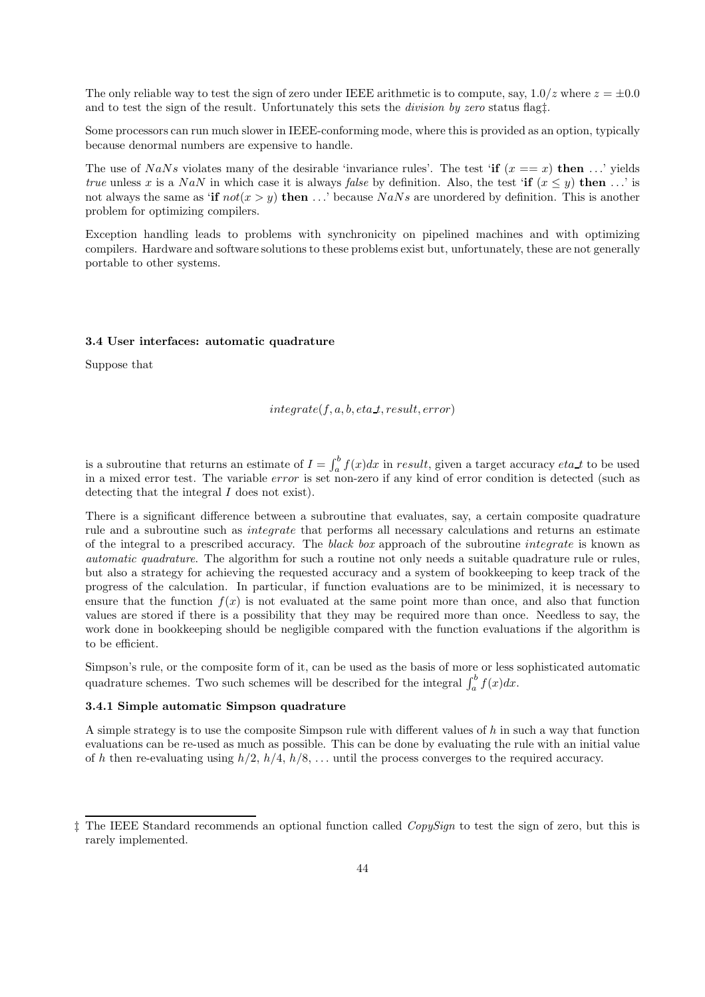The only reliable way to test the sign of zero under IEEE arithmetic is to compute, say,  $1.0/z$  where  $z = \pm 0.0$ and to test the sign of the result. Unfortunately this sets the *division by zero* status flagt.

Some processors can run much slower in IEEE-conforming mode, where this is provided as an option, typically because denormal numbers are expensive to handle.

The use of NaNs violates many of the desirable 'invariance rules'. The test 'if  $(x == x)$  then ...' yields true unless x is a NaN in which case it is always false by definition. Also, the test 'if  $(x \le y)$  then ...' is not always the same as 'if  $not(x > y)$  then ...' because NaNs are unordered by definition. This is another problem for optimizing compilers.

Exception handling leads to problems with synchronicity on pipelined machines and with optimizing compilers. Hardware and software solutions to these problems exist but, unfortunately, these are not generally portable to other systems.

#### 3.4 User interfaces: automatic quadrature

Suppose that

```
interate(f, a, b, eta_t, result, error)
```
is a subroutine that returns an estimate of  $I = \int_a^b f(x)dx$  in result, given a target accuracy eta t to be used in a mixed error test. The variable error is set non-zero if any kind of error condition is detected (such as detecting that the integral I does not exist).

There is a significant difference between a subroutine that evaluates, say, a certain composite quadrature rule and a subroutine such as integrate that performs all necessary calculations and returns an estimate of the integral to a prescribed accuracy. The black box approach of the subroutine integrate is known as automatic quadrature. The algorithm for such a routine not only needs a suitable quadrature rule or rules, but also a strategy for achieving the requested accuracy and a system of bookkeeping to keep track of the progress of the calculation. In particular, if function evaluations are to be minimized, it is necessary to ensure that the function  $f(x)$  is not evaluated at the same point more than once, and also that function values are stored if there is a possibility that they may be required more than once. Needless to say, the work done in bookkeeping should be negligible compared with the function evaluations if the algorithm is to be efficient.

Simpson's rule, or the composite form of it, can be used as the basis of more or less sophisticated automatic quadrature schemes. Two such schemes will be described for the integral  $\int_a^b f(x)dx$ .

## 3.4.1 Simple automatic Simpson quadrature

A simple strategy is to use the composite Simpson rule with different values of  $h$  in such a way that function evaluations can be re-used as much as possible. This can be done by evaluating the rule with an initial value of h then re-evaluating using  $h/2$ ,  $h/4$ ,  $h/8$ , ... until the process converges to the required accuracy.

<sup>‡</sup> The IEEE Standard recommends an optional function called CopySign to test the sign of zero, but this is rarely implemented.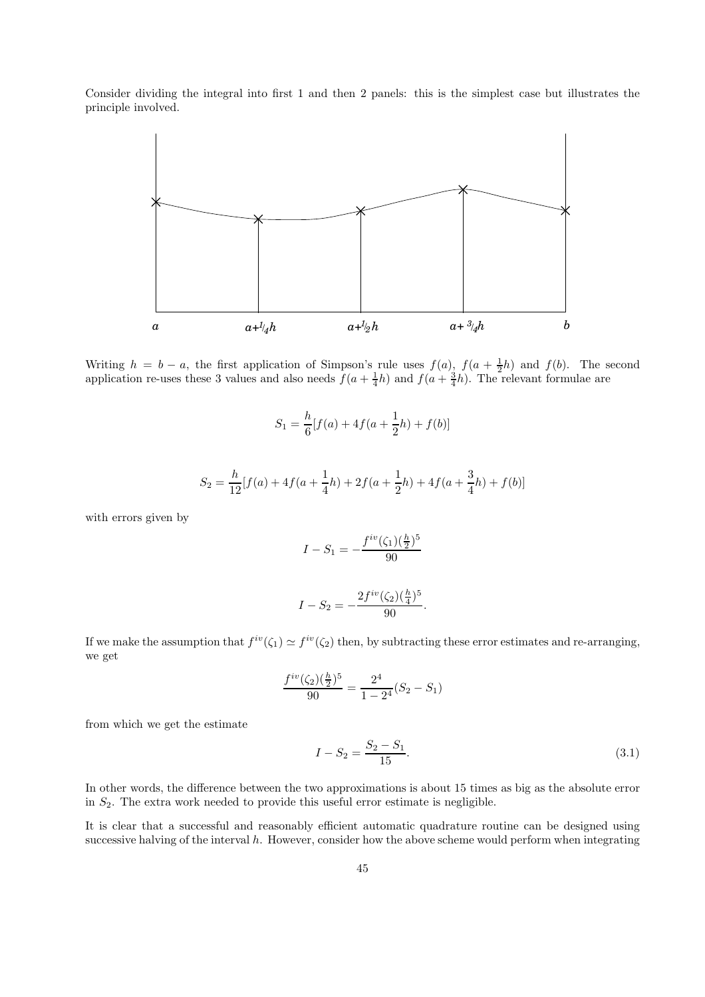Consider dividing the integral into first 1 and then 2 panels: this is the simplest case but illustrates the principle involved.



Writing  $h = b - a$ , the first application of Simpson's rule uses  $f(a)$ ,  $f(a + \frac{1}{2}h)$  and  $f(b)$ . The second application re-uses these 3 values and also needs  $f(a + \frac{1}{4}h)$  and  $f(a + \frac{3}{4}h)$ . The relevant formulae are

$$
S_1 = \frac{h}{6} [f(a) + 4f(a + \frac{1}{2}h) + f(b)]
$$

$$
S_2 = \frac{h}{12} [f(a) + 4f(a + \frac{1}{4}h) + 2f(a + \frac{1}{2}h) + 4f(a + \frac{3}{4}h) + f(b)]
$$

with errors given by

$$
I - S_1 = -\frac{f^{iv}(\zeta_1)(\frac{h}{2})^5}{90}
$$

$$
I - S_2 = -\frac{2f^{iv}(\zeta_2)(\frac{h}{4})^5}{90}.
$$

If we make the assumption that  $f^{iv}(\zeta_1) \simeq f^{iv}(\zeta_2)$  then, by subtracting these error estimates and re-arranging, we get

90

$$
\frac{f^{iv}(\zeta_2)(\frac{h}{2})^5}{90} = \frac{2^4}{1 - 2^4}(S_2 - S_1)
$$

from which we get the estimate

$$
I - S_2 = \frac{S_2 - S_1}{15}.
$$
\n(3.1)

In other words, the difference between the two approximations is about 15 times as big as the absolute error in  $S_2$ . The extra work needed to provide this useful error estimate is negligible.

It is clear that a successful and reasonably efficient automatic quadrature routine can be designed using successive halving of the interval h. However, consider how the above scheme would perform when integrating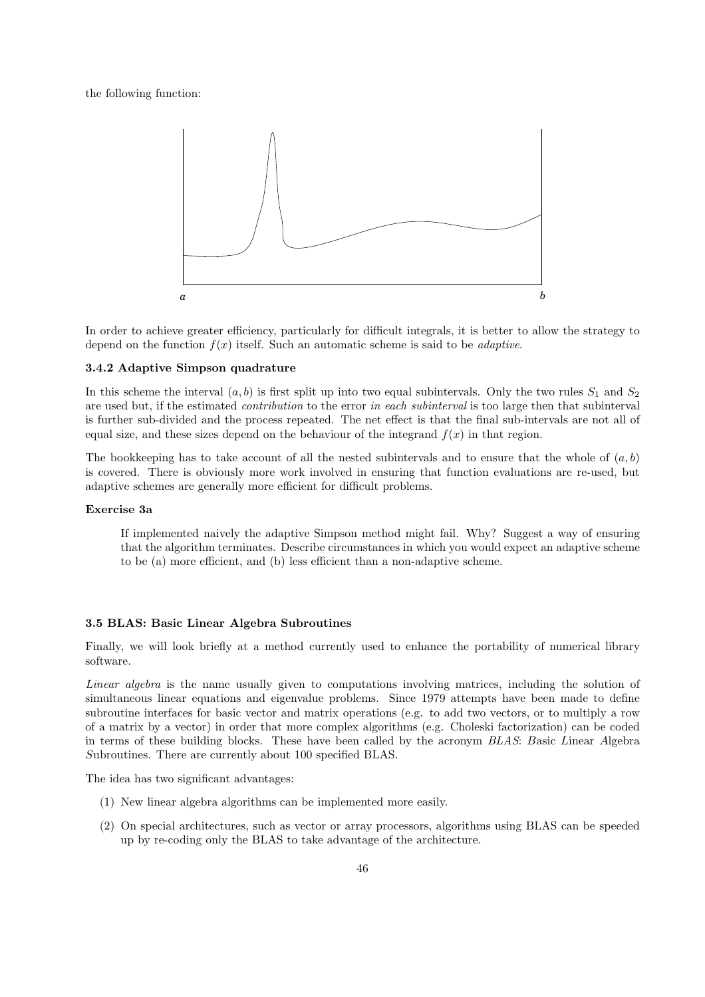the following function:



In order to achieve greater efficiency, particularly for difficult integrals, it is better to allow the strategy to depend on the function  $f(x)$  itself. Such an automatic scheme is said to be *adaptive*.

## 3.4.2 Adaptive Simpson quadrature

In this scheme the interval  $(a, b)$  is first split up into two equal subintervals. Only the two rules  $S_1$  and  $S_2$ are used but, if the estimated *contribution* to the error in each subinterval is too large then that subinterval is further sub-divided and the process repeated. The net effect is that the final sub-intervals are not all of equal size, and these sizes depend on the behaviour of the integrand  $f(x)$  in that region.

The bookkeeping has to take account of all the nested subintervals and to ensure that the whole of  $(a, b)$ is covered. There is obviously more work involved in ensuring that function evaluations are re-used, but adaptive schemes are generally more efficient for difficult problems.

#### Exercise 3a

If implemented naively the adaptive Simpson method might fail. Why? Suggest a way of ensuring that the algorithm terminates. Describe circumstances in which you would expect an adaptive scheme to be (a) more efficient, and (b) less efficient than a non-adaptive scheme.

#### 3.5 BLAS: Basic Linear Algebra Subroutines

Finally, we will look briefly at a method currently used to enhance the portability of numerical library software.

Linear algebra is the name usually given to computations involving matrices, including the solution of simultaneous linear equations and eigenvalue problems. Since 1979 attempts have been made to define subroutine interfaces for basic vector and matrix operations (e.g. to add two vectors, or to multiply a row of a matrix by a vector) in order that more complex algorithms (e.g. Choleski factorization) can be coded in terms of these building blocks. These have been called by the acronym BLAS: Basic Linear Algebra Subroutines. There are currently about 100 specified BLAS.

The idea has two significant advantages:

- (1) New linear algebra algorithms can be implemented more easily.
- (2) On special architectures, such as vector or array processors, algorithms using BLAS can be speeded up by re-coding only the BLAS to take advantage of the architecture.